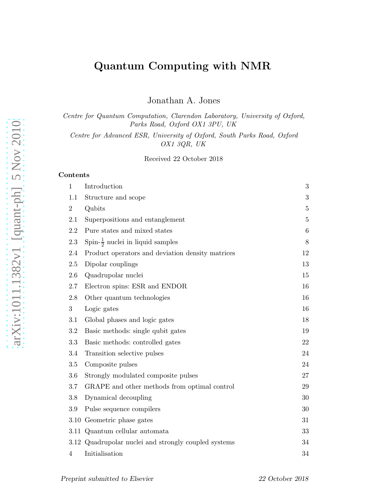# Quantum Computing with NMR

Jonathan A. Jones

Centre for Quantum Computation, Clarendon Laboratory, University of Oxford, Parks Road, Oxford OX1 3PU, UK

Centre for Advanced ESR, University of Oxford, South Parks Road, Oxford OX1 3QR, UK

Received 22 October 2018

## Contents

| $\mathbf{1}$   | Introduction                                         | 3              |
|----------------|------------------------------------------------------|----------------|
| 1.1            | Structure and scope                                  | 3              |
| $\overline{2}$ | Qubits                                               | $\overline{5}$ |
| 2.1            | Superpositions and entanglement                      | $\overline{5}$ |
| 2.2            | Pure states and mixed states                         | $\,6$          |
| 2.3            | Spin- $\frac{1}{2}$ nuclei in liquid samples         | $8\,$          |
| 2.4            | Product operators and deviation density matrices     | 12             |
| 2.5            | Dipolar couplings                                    | 13             |
| $2.6\,$        | Quadrupolar nuclei                                   | 15             |
| 2.7            | Electron spins: ESR and ENDOR                        | 16             |
| 2.8            | Other quantum technologies                           | 16             |
| 3              | Logic gates                                          | 16             |
| 3.1            | Global phases and logic gates                        | 18             |
| 3.2            | Basic methods: single qubit gates                    | 19             |
| 3.3            | Basic methods: controlled gates                      | 22             |
| 3.4            | Transition selective pulses                          | 24             |
| $3.5\,$        | Composite pulses                                     | 24             |
| 3.6            | Strongly modulated composite pulses                  | 27             |
| 3.7            | GRAPE and other methods from optimal control         | 29             |
| 3.8            | Dynamical decoupling                                 | 30             |
| 3.9            | Pulse sequence compilers                             | 30             |
|                | 3.10 Geometric phase gates                           | 31             |
|                | 3.11 Quantum cellular automata                       | 33             |
|                | 3.12 Quadrupolar nuclei and strongly coupled systems | 34             |
| 4              | Initialisation                                       | 34             |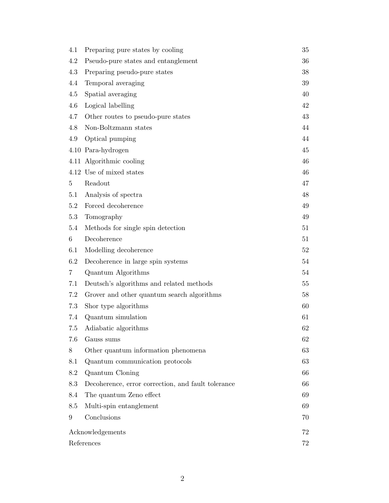| 4.1              | Preparing pure states by cooling                   | $35\,$ |  |
|------------------|----------------------------------------------------|--------|--|
| 4.2              | Pseudo-pure states and entanglement                | 36     |  |
| 4.3              | Preparing pseudo-pure states                       | 38     |  |
| 4.4              | Temporal averaging                                 | 39     |  |
| 4.5              | Spatial averaging                                  | 40     |  |
| 4.6              | Logical labelling                                  | 42     |  |
| 4.7              | Other routes to pseudo-pure states                 | 43     |  |
| 4.8              | Non-Boltzmann states                               | 44     |  |
| 4.9              | Optical pumping                                    | 44     |  |
|                  | 4.10 Para-hydrogen                                 | 45     |  |
|                  | 4.11 Algorithmic cooling                           | 46     |  |
|                  | 4.12 Use of mixed states                           | 46     |  |
| 5                | Readout                                            | 47     |  |
| 5.1              | Analysis of spectra                                | 48     |  |
| 5.2              | Forced decoherence                                 | 49     |  |
| 5.3              | Tomography                                         | 49     |  |
| 5.4              | Methods for single spin detection                  | 51     |  |
| $6\phantom{.}$   | Decoherence                                        | 51     |  |
| 6.1              | Modelling decoherence                              | 52     |  |
| 6.2              | Decoherence in large spin systems                  | 54     |  |
| $\overline{7}$   | Quantum Algorithms                                 | 54     |  |
| 7.1              | Deutsch's algorithms and related methods           | 55     |  |
| 7.2              | Grover and other quantum search algorithms         | 58     |  |
| 7.3              | Shor type algorithms                               | 60     |  |
| 7.4              | Quantum simulation                                 | 61     |  |
| 7.5              | Adiabatic algorithms                               | 62     |  |
| 7.6              | Gauss sums                                         | 62     |  |
| 8                | Other quantum information phenomena                | 63     |  |
| 8.1              | Quantum communication protocols                    | 63     |  |
| 8.2              | Quantum Cloning                                    | 66     |  |
| 8.3              | Decoherence, error correction, and fault tolerance | 66     |  |
| 8.4              | The quantum Zeno effect                            | 69     |  |
| 8.5              | Multi-spin entanglement                            | 69     |  |
| 9                | Conclusions                                        | 70     |  |
| Acknowledgements |                                                    |        |  |
| References       |                                                    |        |  |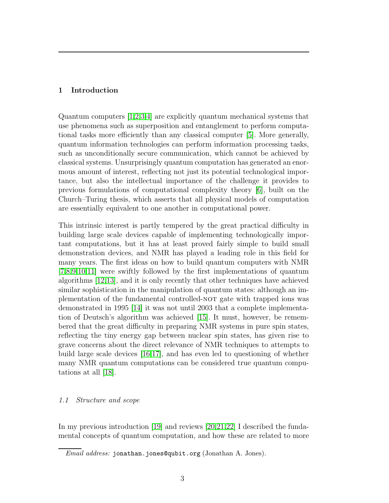# 1 Introduction

Quantum computers [\[1,](#page-71-0)[2](#page-71-1)[,3,](#page-71-2)[4\]](#page-71-3) are explicitly quantum mechanical systems that use phenomena such as superposition and entanglement to perform computational tasks more efficiently than any classical computer [\[5\]](#page-71-4). More generally, quantum information technologies can perform information processing tasks, such as unconditionally secure communication, which cannot be achieved by classical systems. Unsurprisingly quantum computation has generated an enormous amount of interest, reflecting not just its potential technological importance, but also the intellectual importance of the challenge it provides to previous formulations of computational complexity theory [\[6\]](#page-71-5), built on the Church–Turing thesis, which asserts that all physical models of computation are essentially equivalent to one another in computational power.

This intrinsic interest is partly tempered by the great practical difficulty in building large scale devices capable of implementing technologically important computations, but it has at least proved fairly simple to build small demonstration devices, and NMR has played a leading role in this field for many years. The first ideas on how to build quantum computers with NMR [\[7](#page-71-6)[,8](#page-71-7)[,9,](#page-71-8)[10](#page-71-9)[,11\]](#page-71-10) were swiftly followed by the first implementations of quantum algorithms [\[12,](#page-71-11)[13\]](#page-71-12), and it is only recently that other techniques have achieved similar sophistication in the manipulation of quantum states: although an implementation of the fundamental controlled-not gate with trapped ions was demonstrated in 1995 [\[14\]](#page-71-13) it was not until 2003 that a complete implementation of Deutsch's algorithm was achieved [\[15\]](#page-71-14). It must, however, be remembered that the great difficulty in preparing NMR systems in pure spin states, reflecting the tiny energy gap between nuclear spin states, has given rise to grave concerns about the direct relevance of NMR techniques to attempts to build large scale devices [\[16](#page-72-0)[,17\]](#page-72-1), and has even led to questioning of whether many NMR quantum computations can be considered true quantum computations at all [\[18\]](#page-72-2).

## 1.1 Structure and scope

In my previous introduction [\[19\]](#page-72-3) and reviews [\[20](#page-72-4)[,21](#page-72-5)[,22\]](#page-72-6) I described the fundamental concepts of quantum computation, and how these are related to more

*Email address:* jonathan.jones@qubit.org (Jonathan A. Jones).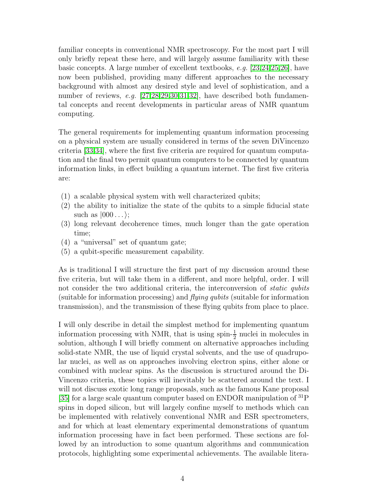familiar concepts in conventional NMR spectroscopy. For the most part I will only briefly repeat these here, and will largely assume familiarity with these basic concepts. A large number of excellent textbooks, e.g.  $[23, 24, 25, 26]$  $[23, 24, 25, 26]$  $[23, 24, 25, 26]$  $[23, 24, 25, 26]$  $[23, 24, 25, 26]$ , have now been published, providing many different approaches to the necessary background with almost any desired style and level of sophistication, and a number of reviews, e.g. [\[27](#page-72-11)[,28,](#page-72-12)[29,](#page-72-13)[30,](#page-72-14)[31,](#page-72-15)[32\]](#page-72-16), have described both fundamental concepts and recent developments in particular areas of NMR quantum computing.

The general requirements for implementing quantum information processing on a physical system are usually considered in terms of the seven DiVincenzo criteria [\[33,](#page-72-17)[34\]](#page-72-18), where the first five criteria are required for quantum computation and the final two permit quantum computers to be connected by quantum information links, in effect building a quantum internet. The first five criteria are:

- (1) a scalable physical system with well characterized qubits;
- (2) the ability to initialize the state of the qubits to a simple fiducial state such as  $|000 \dots \rangle$ ;
- (3) long relevant decoherence times, much longer than the gate operation time;
- (4) a "universal" set of quantum gate;
- (5) a qubit-specific measurement capability.

As is traditional I will structure the first part of my discussion around these five criteria, but will take them in a different, and more helpful, order. I will not consider the two additional criteria, the interconversion of *static qubits* (suitable for information processing) and flying qubits (suitable for information transmission), and the transmission of these flying qubits from place to place.

I will only describe in detail the simplest method for implementing quantum information processing with NMR, that is using  $\text{spin-}\frac{1}{2}$  nuclei in molecules in solution, although I will briefly comment on alternative approaches including solid-state NMR, the use of liquid crystal solvents, and the use of quadrupolar nuclei, as well as on approaches involving electron spins, either alone or combined with nuclear spins. As the discussion is structured around the Di-Vincenzo criteria, these topics will inevitably be scattered around the text. I will not discuss exotic long range proposals, such as the famous Kane proposal [\[35\]](#page-72-19) for a large scale quantum computer based on ENDOR manipulation of <sup>31</sup>P spins in doped silicon, but will largely confine myself to methods which can be implemented with relatively conventional NMR and ESR spectrometers, and for which at least elementary experimental demonstrations of quantum information processing have in fact been performed. These sections are followed by an introduction to some quantum algorithms and communication protocols, highlighting some experimental achievements. The available litera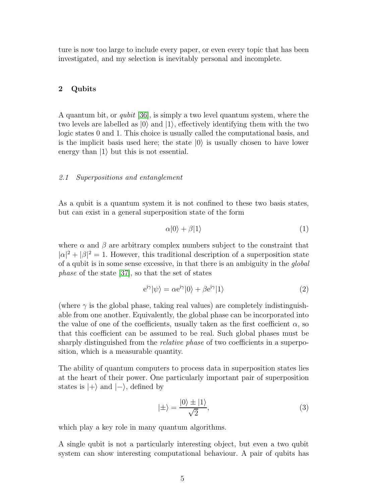ture is now too large to include every paper, or even every topic that has been investigated, and my selection is inevitably personal and incomplete.

# 2 Qubits

A quantum bit, or qubit [\[36\]](#page-72-20), is simply a two level quantum system, where the two levels are labelled as  $|0\rangle$  and  $|1\rangle$ , effectively identifying them with the two logic states 0 and 1. This choice is usually called the computational basis, and is the implicit basis used here; the state  $|0\rangle$  is usually chosen to have lower energy than  $|1\rangle$  but this is not essential.

## 2.1 Superpositions and entanglement

As a qubit is a quantum system it is not confined to these two basis states, but can exist in a general superposition state of the form

<span id="page-4-0"></span>
$$
\alpha|0\rangle + \beta|1\rangle \tag{1}
$$

where  $\alpha$  and  $\beta$  are arbitrary complex numbers subject to the constraint that  $|\alpha|^2 + |\beta|^2 = 1$ . However, this traditional description of a superposition state of a qubit is in some sense excessive, in that there is an ambiguity in the global phase of the state [\[37\]](#page-72-21), so that the set of states

<span id="page-4-1"></span>
$$
e^{i\gamma}|\psi\rangle = \alpha e^{i\gamma}|0\rangle + \beta e^{i\gamma}|1\rangle \tag{2}
$$

(where  $\gamma$  is the global phase, taking real values) are completely indistinguishable from one another. Equivalently, the global phase can be incorporated into the value of one of the coefficients, usually taken as the first coefficient  $\alpha$ , so that this coefficient can be assumed to be real. Such global phases must be sharply distinguished from the *relative phase* of two coefficients in a superposition, which is a measurable quantity.

The ability of quantum computers to process data in superposition states lies at the heart of their power. One particularly important pair of superposition states is  $|+\rangle$  and  $|-\rangle$ , defined by

$$
|\pm\rangle = \frac{|0\rangle \pm |1\rangle}{\sqrt{2}},\tag{3}
$$

which play a key role in many quantum algorithms.

A single qubit is not a particularly interesting object, but even a two qubit system can show interesting computational behaviour. A pair of qubits has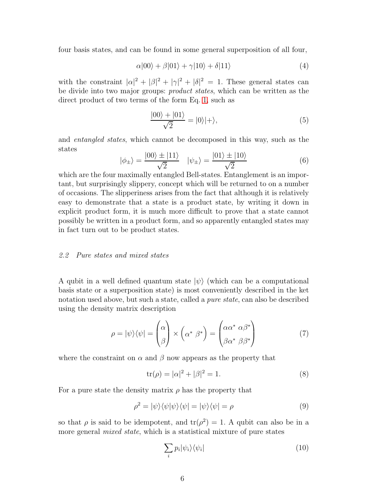four basis states, and can be found in some general superposition of all four,

$$
\alpha|00\rangle + \beta|01\rangle + \gamma|10\rangle + \delta|11\rangle \tag{4}
$$

with the constraint  $|\alpha|^2 + |\beta|^2 + |\gamma|^2 + |\delta|^2 = 1$ . These general states can be divide into two major groups: product states, which can be written as the direct product of two terms of the form Eq. [1,](#page-4-0) such as

$$
\frac{|00\rangle + |01\rangle}{\sqrt{2}} = |0\rangle| + \rangle,\tag{5}
$$

and entangled states, which cannot be decomposed in this way, such as the states

$$
|\phi_{\pm}\rangle = \frac{|00\rangle \pm |11\rangle}{\sqrt{2}} \quad |\psi_{\pm}\rangle = \frac{|01\rangle \pm |10\rangle}{\sqrt{2}} \tag{6}
$$

which are the four maximally entangled Bell-states. Entanglement is an important, but surprisingly slippery, concept which will be returned to on a number of occasions. The slipperiness arises from the fact that although it is relatively easy to demonstrate that a state is a product state, by writing it down in explicit product form, it is much more difficult to prove that a state cannot possibly be written in a product form, and so apparently entangled states may in fact turn out to be product states.

### 2.2 Pure states and mixed states

A qubit in a well defined quantum state  $|\psi\rangle$  (which can be a computational basis state or a superposition state) is most conveniently described in the ket notation used above, but such a state, called a pure state, can also be described using the density matrix description

<span id="page-5-0"></span>
$$
\rho = |\psi\rangle\langle\psi| = \begin{pmatrix} \alpha \\ \beta \end{pmatrix} \times \left(\alpha^* \beta^*\right) = \begin{pmatrix} \alpha\alpha^* \alpha\beta^* \\ \beta\alpha^* \beta\beta^* \end{pmatrix}
$$
(7)

where the constraint on  $\alpha$  and  $\beta$  now appears as the property that

$$
tr(\rho) = |\alpha|^2 + |\beta|^2 = 1.
$$
 (8)

For a pure state the density matrix  $\rho$  has the property that

$$
\rho^2 = |\psi\rangle\langle\psi|\psi\rangle\langle\psi| = |\psi\rangle\langle\psi| = \rho \tag{9}
$$

so that  $\rho$  is said to be idempotent, and  $tr(\rho^2) = 1$ . A qubit can also be in a more general *mixed state*, which is a statistical mixture of pure states

<span id="page-5-1"></span>
$$
\sum_{i} p_i |\psi_i\rangle\langle\psi_i| \tag{10}
$$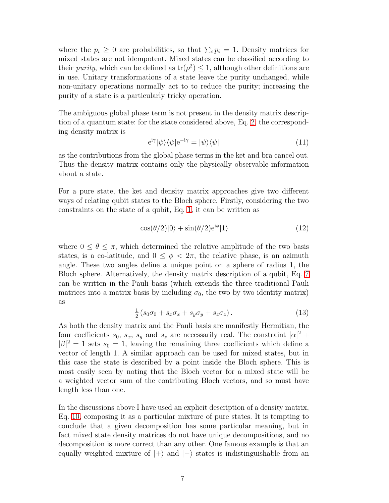where the  $p_i \geq 0$  are probabilities, so that  $\sum_i p_i = 1$ . Density matrices for mixed states are not idempotent. Mixed states can be classified according to their *purity*, which can be defined as  $tr(\rho^2) \leq 1$ , although other definitions are in use. Unitary transformations of a state leave the purity unchanged, while non-unitary operations normally act to to reduce the purity; increasing the purity of a state is a particularly tricky operation.

The ambiguous global phase term is not present in the density matrix description of a quantum state: for the state considered above, Eq. [2,](#page-4-1) the corresponding density matrix is

$$
e^{i\gamma}|\psi\rangle\langle\psi|e^{-i\gamma} = |\psi\rangle\langle\psi| \tag{11}
$$

as the contributions from the global phase terms in the ket and bra cancel out. Thus the density matrix contains only the physically observable information about a state.

For a pure state, the ket and density matrix approaches give two different ways of relating qubit states to the Bloch sphere. Firstly, considering the two constraints on the state of a qubit, Eq. [1,](#page-4-0) it can be written as

$$
\cos(\theta/2)|0\rangle + \sin(\theta/2)e^{i\phi}|1\rangle \tag{12}
$$

where  $0 \leq \theta \leq \pi$ , which determined the relative amplitude of the two basis states, is a co-latitude, and  $0 \leq \phi < 2\pi$ , the relative phase, is an azimuth angle. These two angles define a unique point on a sphere of radius 1, the Bloch sphere. Alternatively, the density matrix description of a qubit, Eq. [7](#page-5-0) can be written in the Pauli basis (which extends the three traditional Pauli matrices into a matrix basis by including  $\sigma_0$ , the two by two identity matrix) as

$$
\frac{1}{2}\left(s_0\sigma_0 + s_x\sigma_x + s_y\sigma_y + s_z\sigma_z\right). \tag{13}
$$

As both the density matrix and the Pauli basis are manifestly Hermitian, the four coefficients  $s_0$ ,  $s_x$ ,  $s_y$  and  $s_z$  are necessarily real. The constraint  $|\alpha|^2$  +  $|\beta|^2 = 1$  sets  $s_0 = 1$ , leaving the remaining three coefficients which define a vector of length 1. A similar approach can be used for mixed states, but in this case the state is described by a point inside the Bloch sphere. This is most easily seen by noting that the Bloch vector for a mixed state will be a weighted vector sum of the contributing Bloch vectors, and so must have length less than one.

In the discussions above I have used an explicit description of a density matrix, Eq. [10,](#page-5-1) composing it as a particular mixture of pure states. It is tempting to conclude that a given decomposition has some particular meaning, but in fact mixed state density matrices do not have unique decompositions, and no decomposition is more correct than any other. One famous example is that an equally weighted mixture of  $|+\rangle$  and  $|-\rangle$  states is indistinguishable from an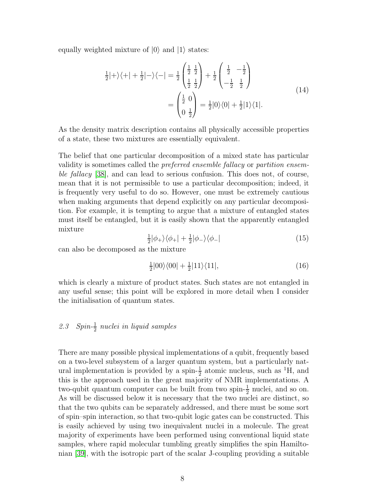equally weighted mixture of  $|0\rangle$  and  $|1\rangle$  states:

$$
\frac{1}{2}|+\rangle\langle+|+\frac{1}{2}|-\rangle\langle-| = \frac{1}{2}\begin{pmatrix}\frac{1}{2} & \frac{1}{2} \\ \frac{1}{2} & \frac{1}{2}\end{pmatrix} + \frac{1}{2}\begin{pmatrix}\frac{1}{2} & -\frac{1}{2} \\ -\frac{1}{2} & \frac{1}{2}\end{pmatrix}
$$
\n
$$
= \begin{pmatrix}\frac{1}{2} & 0 \\ 0 & \frac{1}{2}\end{pmatrix} = \frac{1}{2}|0\rangle\langle0| + \frac{1}{2}|1\rangle\langle1|.
$$
\n(14)

As the density matrix description contains all physically accessible properties of a state, these two mixtures are essentially equivalent.

The belief that one particular decomposition of a mixed state has particular validity is sometimes called the preferred ensemble fallacy or partition ensemble fallacy [\[38\]](#page-72-22), and can lead to serious confusion. This does not, of course, mean that it is not permissible to use a particular decomposition; indeed, it is frequently very useful to do so. However, one must be extremely cautious when making arguments that depend explicitly on any particular decomposition. For example, it is tempting to argue that a mixture of entangled states must itself be entangled, but it is easily shown that the apparently entangled mixture

$$
\frac{1}{2}|\phi_{+}\rangle\langle\phi_{+}| + \frac{1}{2}|\phi_{-}\rangle\langle\phi_{-}| \tag{15}
$$

can also be decomposed as the mixture

$$
\frac{1}{2}|00\rangle\langle00| + \frac{1}{2}|11\rangle\langle11|,\tag{16}
$$

which is clearly a mixture of product states. Such states are not entangled in any useful sense; this point will be explored in more detail when I consider the initialisation of quantum states.

# 2.3 Spin- $\frac{1}{2}$  nuclei in liquid samples

There are many possible physical implementations of a qubit, frequently based on a two-level subsystem of a larger quantum system, but a particularly natural implementation is provided by a spin- $\frac{1}{2}$  atomic nucleus, such as <sup>1</sup>H, and this is the approach used in the great majority of NMR implementations. A two-qubit quantum computer can be built from two  $\text{spin-}\frac{1}{2}$  nuclei, and so on. As will be discussed below it is necessary that the two nuclei are distinct, so that the two qubits can be separately addressed, and there must be some sort of spin–spin interaction, so that two-qubit logic gates can be constructed. This is easily achieved by using two inequivalent nuclei in a molecule. The great majority of experiments have been performed using conventional liquid state samples, where rapid molecular tumbling greatly simplifies the spin Hamiltonian [\[39\]](#page-73-0), with the isotropic part of the scalar J-coupling providing a suitable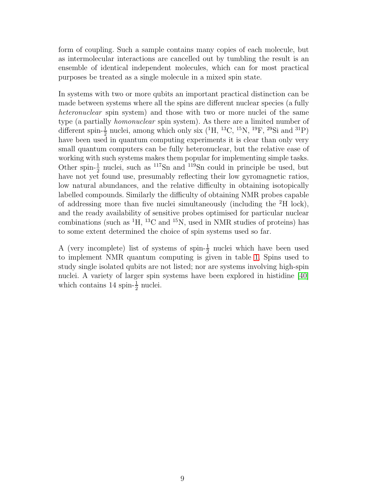form of coupling. Such a sample contains many copies of each molecule, but as intermolecular interactions are cancelled out by tumbling the result is an ensemble of identical independent molecules, which can for most practical purposes be treated as a single molecule in a mixed spin state.

In systems with two or more qubits an important practical distinction can be made between systems where all the spins are different nuclear species (a fully heteronuclear spin system) and those with two or more nuclei of the same type (a partially homonuclear spin system). As there are a limited number of different spin- $\frac{1}{2}$  nuclei, among which only six  $(^1H, ^{13}C, ^{15}N, ^{19}F, ^{29}Si$  and  $^{31}P)$ have been used in quantum computing experiments it is clear than only very small quantum computers can be fully heteronuclear, but the relative ease of working with such systems makes them popular for implementing simple tasks. Other spin- $\frac{1}{2}$  nuclei, such as <sup>117</sup>Sn and <sup>119</sup>Sn could in principle be used, but have not yet found use, presumably reflecting their low gyromagnetic ratios, low natural abundances, and the relative difficulty in obtaining isotopically labelled compounds. Similarly the difficulty of obtaining NMR probes capable of addressing more than five nuclei simultaneously (including the  ${}^{2}H$  lock), and the ready availability of sensitive probes optimised for particular nuclear combinations (such as  ${}^{1}H$ ,  ${}^{13}C$  and  ${}^{15}N$ , used in NMR studies of proteins) has to some extent determined the choice of spin systems used so far.

A (very incomplete) list of systems of  $\text{spin-}\frac{1}{2}$  nuclei which have been used to implement NMR quantum computing is given in table [1.](#page-9-0) Spins used to study single isolated qubits are not listed; nor are systems involving high-spin nuclei. A variety of larger spin systems have been explored in histidine [\[40\]](#page-73-1) which contains 14 spin- $\frac{1}{2}$  nuclei.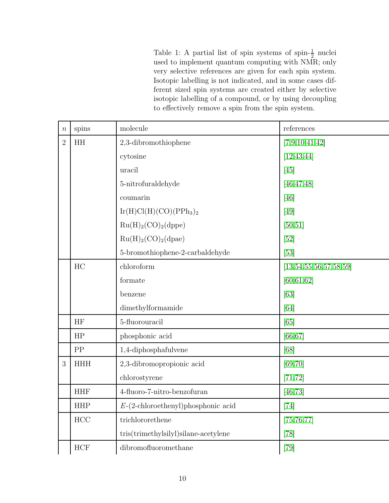Table 1: A partial list of spin systems of spin- $\frac{1}{2}$  nuclei used to implement quantum computing with NMR; only very selective references are given for each spin system. Isotopic labelling is not indicated, and in some cases different sized spin systems are created either by selective isotopic labelling of a compound, or by using decoupling to effectively remove a spin from the spin system.

<span id="page-9-0"></span>

| $\, n$         | spins                       | molecule                                     | references             |
|----------------|-----------------------------|----------------------------------------------|------------------------|
| $\overline{2}$ | HH                          | 2,3-dibromothiophene                         | [7,9,10,41,42]         |
|                |                             | cytosine                                     | [12, 43, 44]           |
|                |                             | uracil                                       | [45]                   |
|                |                             | 5-nitrofuraldehyde                           | [46, 47, 48]           |
|                |                             | coumarin                                     | [46]                   |
|                |                             | $Ir(H)Cl(H)(CO)(PPh_3)_2$                    | $[49]$                 |
|                |                             | $Ru(H)2(CO)2(dppe)$                          | [50, 51]               |
|                |                             | $Ru(H)2(CO)2(dpae)$                          | $[52]$                 |
|                |                             | 5-bromothiophene-2-carbaldehyde              | $[53]$                 |
|                | HC                          | chloroform                                   | [13,54,55,56,57,58,59] |
|                |                             | formate                                      | [60, 61, 62]           |
|                |                             | benzene                                      | [63]                   |
|                |                             | dimethylformamide                            | [64]                   |
|                | HF                          | 5-fluorouracil                               | [65]                   |
|                | HP                          | phosphonic acid                              | [66, 67]               |
|                | PP                          | $1,4$ -diphosphafulvene                      | [68]                   |
| 3              | <b>HHH</b>                  | 2,3-dibromopropionic acid                    | [69, 70]               |
|                |                             | chlorostyrene                                | [71, 72]               |
|                | <b>HHF</b>                  | 4-fluoro-7-nitro-benzofuran                  | [46, 73]               |
|                | $\rm{HHP}$                  | $E-(2\text{-chloroethenyl})$ phosphonic acid | $[74]$                 |
|                | HCC                         | trichlororethene                             | [75, 76, 77]           |
|                |                             | tris(trimethylsilyl)silane-acetylene         | $[78]$                 |
|                | $\ensuremath{\mathrm{HCF}}$ | $\operatorname{dibromofluorome thane}$       | $[79]$                 |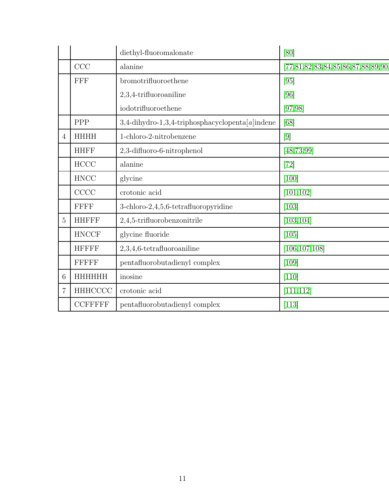|                |                              | $\operatorname{diethyl-fluoromalonate}$             | [80]                               |
|----------------|------------------------------|-----------------------------------------------------|------------------------------------|
|                | CCC                          | alanine                                             | [77,81,82,83,84,85,86,87,88,89,90] |
|                | $\ensuremath{\mathbf{FFF}}$  | bromotrifluoroethene                                | [95]                               |
|                |                              | $2,3,4$ -trifluoroaniline                           | [96]                               |
|                |                              | iodotrifluoroethene                                 | [97,98]                            |
|                | PPP                          | 3,4-dihydro-1,3,4-triphosphacyclopenta $[a]$ indene | [68]                               |
| $\overline{4}$ | <b>HHHH</b>                  | 1-chloro-2-nitrobenzene                             | $[9]$                              |
|                | <b>HHFF</b>                  | 2,3-difluoro-6-nitrophenol                          | [48, 73, 99]                       |
|                | HCCC                         | alanine                                             | $[72]$                             |
|                | ${\rm HNCC}$                 | glycine                                             | $[100]$                            |
|                | $\ensuremath{\mathrm{CCCC}}$ | crotonic acid                                       | [101, 102]                         |
|                | FFFF                         | 3-chloro-2,4,5,6-tetrafluoropyridine                | $[103]$                            |
| $\overline{5}$ | <b>HHFFF</b>                 | 2,4,5-trifluorobenzonitrile                         | [103, 104]                         |
|                | <b>HNCCF</b>                 | glycine fluoride                                    | $[105]$                            |
|                | <b>HFFFF</b>                 | $2,3,4,6$ -tetrafluoroaniline                       | [106, 107, 108]                    |
|                | <b>FFFFFF</b>                | pentafluorobutadienyl complex                       | $[109]$                            |
| 6              | <b>HHHHHH</b>                | inosine                                             | $[110]$                            |
| 7              | <b>HHHCCCC</b>               | crotonic acid                                       | [111, 112]                         |
|                | <b>CCFFFFF</b>               | pentafluorobutadienyl complex                       | $[113]$                            |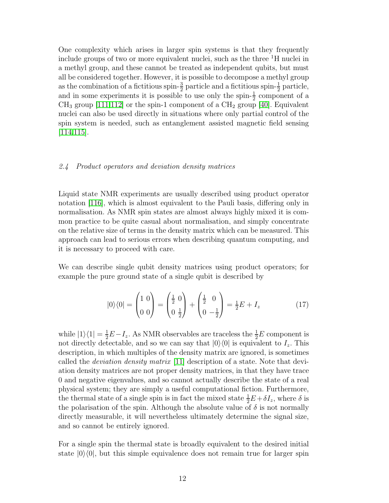One complexity which arises in larger spin systems is that they frequently include groups of two or more equivalent nuclei, such as the three  $\rm{^1H}$  nuclei in a methyl group, and these cannot be treated as independent qubits, but must all be considered together. However, it is possible to decompose a methyl group as the combination of a fictitious spin- $\frac{3}{2}$  particle and a fictitious spin- $\frac{1}{2}$  particle, and in some experiments it is possible to use only the spin- $\frac{1}{2}$  component of a CH<sub>3</sub> group [\[111](#page-76-7)[,112\]](#page-76-8) or the spin-1 component of a CH<sub>2</sub> group [\[40\]](#page-73-1). Equivalent nuclei can also be used directly in situations where only partial control of the spin system is needed, such as entanglement assisted magnetic field sensing [\[114,](#page-76-10)[115\]](#page-76-11).

### 2.4 Product operators and deviation density matrices

Liquid state NMR experiments are usually described using product operator notation [\[116\]](#page-76-12), which is almost equivalent to the Pauli basis, differing only in normalisation. As NMR spin states are almost always highly mixed it is common practice to be quite casual about normalisation, and simply concentrate on the relative size of terms in the density matrix which can be measured. This approach can lead to serious errors when describing quantum computing, and it is necessary to proceed with care.

We can describe single qubit density matrices using product operators; for example the pure ground state of a single qubit is described by

$$
|0\rangle\langle 0| = \begin{pmatrix} 1 & 0 \\ 0 & 0 \end{pmatrix} = \begin{pmatrix} \frac{1}{2} & 0 \\ 0 & \frac{1}{2} \end{pmatrix} + \begin{pmatrix} \frac{1}{2} & 0 \\ 0 & -\frac{1}{2} \end{pmatrix} = \frac{1}{2}E + I_z
$$
 (17)

while  $|1\rangle\langle 1| = \frac{1}{2}E - I_z$ . As NMR observables are traceless the  $\frac{1}{2}E$  component is not directly detectable, and so we can say that  $|0\rangle\langle 0|$  is equivalent to  $I_z$ . This description, in which multiples of the density matrix are ignored, is sometimes called the *deviation density matrix* [\[11\]](#page-71-10) description of a state. Note that deviation density matrices are not proper density matrices, in that they have trace 0 and negative eigenvalues, and so cannot actually describe the state of a real physical system; they are simply a useful computational fiction. Furthermore, the thermal state of a single spin is in fact the mixed state  $\frac{1}{2}E + \delta I_z$ , where  $\delta$  is the polarisation of the spin. Although the absolute value of  $\delta$  is not normally directly measurable, it will nevertheless ultimately determine the signal size, and so cannot be entirely ignored.

For a single spin the thermal state is broadly equivalent to the desired initial state  $|0\rangle\langle 0|$ , but this simple equivalence does not remain true for larger spin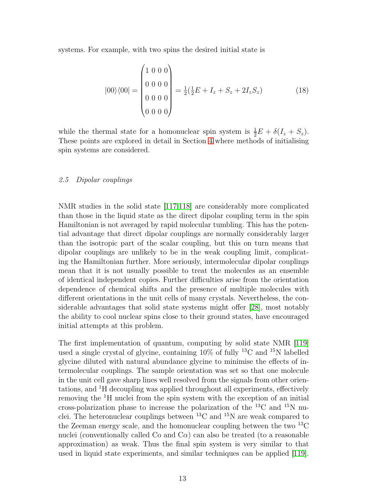systems. For example, with two spins the desired initial state is

$$
|00\rangle\langle00| = \begin{pmatrix} 1 & 0 & 0 & 0 \\ 0 & 0 & 0 & 0 \\ 0 & 0 & 0 & 0 \\ 0 & 0 & 0 & 0 \end{pmatrix} = \frac{1}{2}(\frac{1}{2}E + I_z + S_z + 2I_zS_z)
$$
(18)

while the thermal state for a homonuclear spin system is  $\frac{1}{2}E + \delta(I_z + S_z)$ . These points are explored in detail in Section [4](#page-33-0) where methods of initialising spin systems are considered.

## 2.5 Dipolar couplings

NMR studies in the solid state [\[117,](#page-76-13)[118\]](#page-76-14) are considerably more complicated than those in the liquid state as the direct dipolar coupling term in the spin Hamiltonian is not averaged by rapid molecular tumbling. This has the potential advantage that direct dipolar couplings are normally considerably larger than the isotropic part of the scalar coupling, but this on turn means that dipolar couplings are unlikely to be in the weak coupling limit, complicating the Hamiltonian further. More seriously, intermolecular dipolar couplings mean that it is not usually possible to treat the molecules as an ensemble of identical independent copies. Further difficulties arise from the orientation dependence of chemical shifts and the presence of multiple molecules with different orientations in the unit cells of many crystals. Nevertheless, the considerable advantages that solid state systems might offer [\[28\]](#page-72-12), most notably the ability to cool nuclear spins close to their ground states, have encouraged initial attempts at this problem.

The first implementation of quantum, computing by solid state NMR [\[119\]](#page-76-15) used a single crystal of glycine, containing  $10\%$  of fully  $^{13}$ C and  $^{15}$ N labelled glycine diluted with natural abundance glycine to minimise the effects of intermolecular couplings. The sample orientation was set so that one molecule in the unit cell gave sharp lines well resolved from the signals from other orientations, and  ${}^{1}H$  decoupling was applied throughout all experiments, effectively removing the <sup>1</sup>H nuclei from the spin system with the exception of an initial cross-polarization phase to increase the polarization of the  $^{13}$ C and  $^{15}$ N nuclei. The heteronuclear couplings between  ${}^{13}$ C and  ${}^{15}$ N are weak compared to the Zeeman energy scale, and the homonuclear coupling between the two  ${}^{13}C$ nuclei (conventionally called Co and  $C_{\alpha}$ ) can also be treated (to a reasonable approximation) as weak. Thus the final spin system is very similar to that used in liquid state experiments, and similar techniques can be applied [\[119\]](#page-76-15).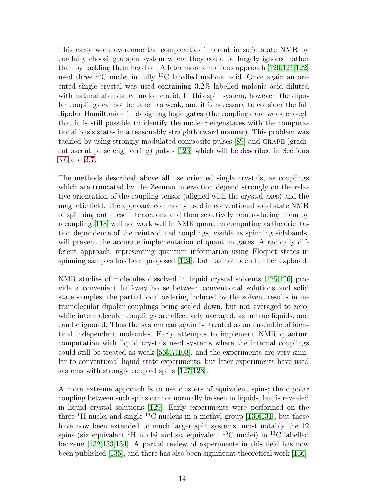This early work overcame the complexities inherent in solid state NMR by carefully choosing a spin system where they could be largely ignored rather than by tackling them head on. A later more ambitious approach [\[120,](#page-76-16)[121,](#page-76-17)[122\]](#page-76-18) used three <sup>13</sup>C nuclei in fully <sup>13</sup>C labelled malonic acid. Once again an oriented single crystal was used containing 3.2% labelled malonic acid diluted with natural abundance malonic acid. In this spin system, however, the dipolar couplings cannot be taken as weak, and it is necessary to consider the full dipolar Hamiltonian in designing logic gates (the couplings are weak enough that it is still possible to identify the nuclear eigenstates with the computational basis states in a reasonably straightforward manner). This problem was tackled by using strongly modulated composite pulses [\[89\]](#page-75-7) and GRAPE (gradient ascent pulse engineering) pulses [\[123\]](#page-76-19) which will be described in Sections [3.6](#page-26-0) and [3.7.](#page-28-0)

The methods described above all use oriented single crystals, as couplings which are truncated by the Zeeman interaction depend strongly on the relative orientation of the coupling tensor (aligned with the crystal axes) and the magnetic field. The approach commonly used in conventional solid state NMR of spinning out these interactions and then selectively reintroducing them by recoupling [\[118\]](#page-76-14) will not work well in NMR quantum computing as the orientation dependence of the reintroduced couplings, visible as spinning sidebands, will prevent the accurate implementation of quantum gates. A radically different approach, representing quantum information using Floquet states in spinning samples has been proposed [\[124\]](#page-77-0), but has not been further explored.

NMR studies of molecules dissolved in liquid crystal solvents [\[125,](#page-77-1)[126\]](#page-77-2) provide a convenient half-way house between conventional solutions and solid state samples: the partial local ordering induced by the solvent results in intramolecular dipolar couplings being scaled down, but not averaged to zero, while intermolecular couplings are effectively averaged, as in true liquids, and can be ignored. Thus the system can again be treated as an ensemble of identical independent molecules. Early attempts to implement NMR quantum computation with liquid crystals used systems where the internal couplings could still be treated as weak [\[56,](#page-73-17)[57,](#page-73-18)[103\]](#page-75-21), and the experiments are very similar to conventional liquid state experiments, but later experiments have used systems with strongly coupled spins [\[127](#page-77-3)[,128\]](#page-77-4).

A more extreme approach is to use clusters of equivalent spins; the dipolar coupling between such spins cannot normally be seen in liquids, but is revealed in liquid crystal solutions [\[129\]](#page-77-5). Early experiments were performed on the three <sup>1</sup>H nuclei and single <sup>13</sup>C nucleus in a methyl group [\[130,](#page-77-6)[131\]](#page-77-7), but these have now been extended to much larger spin systems, most notably the 12 spins (six equivalent <sup>1</sup>H nuclei and six equivalent <sup>13</sup>C nuclei) in <sup>13</sup>C labelled benzene [\[132](#page-77-8)[,133,](#page-77-9)[134\]](#page-77-10). A partial review of experiments in this field has now been published [\[135\]](#page-77-11), and there has also been significant theoretical work [\[136\]](#page-77-12).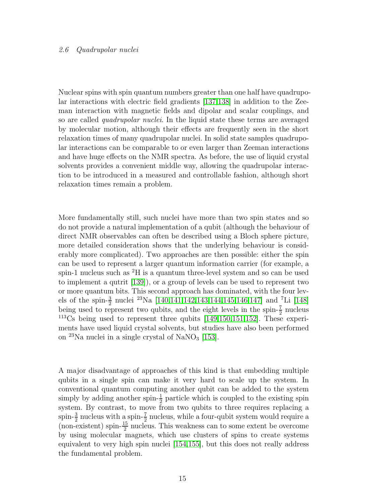#### 2.6 Quadrupolar nuclei

Nuclear spins with spin quantum numbers greater than one half have quadrupolar interactions with electric field gradients [\[137](#page-77-13)[,138\]](#page-77-14) in addition to the Zeeman interaction with magnetic fields and dipolar and scalar couplings, and so are called *quadrupolar nuclei*. In the liquid state these terms are averaged by molecular motion, although their effects are frequently seen in the short relaxation times of many quadrupolar nuclei. In solid state samples quadrupolar interactions can be comparable to or even larger than Zeeman interactions and have huge effects on the NMR spectra. As before, the use of liquid crystal solvents provides a convenient middle way, allowing the quadrupolar interaction to be introduced in a measured and controllable fashion, although short relaxation times remain a problem.

More fundamentally still, such nuclei have more than two spin states and so do not provide a natural implementation of a qubit (although the behaviour of direct NMR observables can often be described using a Bloch sphere picture, more detailed consideration shows that the underlying behaviour is considerably more complicated). Two approaches are then possible: either the spin can be used to represent a larger quantum information carrier (for example, a spin-1 nucleus such as  ${}^{2}H$  is a quantum three-level system and so can be used to implement a qutrit [\[139\]](#page-77-15)), or a group of levels can be used to represent two or more quantum bits. This second approach has dominated, with the four levels of the spin- $\frac{3}{2}$  nuclei <sup>23</sup>Na [\[140,](#page-77-16)[141,](#page-77-17)[142](#page-77-18)[,143,](#page-77-19)[144](#page-77-20)[,145](#page-77-21)[,146,](#page-78-0)[147\]](#page-78-1) and <sup>7</sup>Li [\[148\]](#page-78-2) being used to represent two qubits, and the eight levels in the spin- $\frac{7}{2}$  nucleus <sup>113</sup>Cs being used to represent three qubits [\[149,](#page-78-3)[150,](#page-78-4)[151,](#page-78-5)[152\]](#page-78-6). These experiments have used liquid crystal solvents, but studies have also been performed on  $^{23}$ Na nuclei in a single crystal of NaNO<sub>3</sub> [\[153\]](#page-78-7).

A major disadvantage of approaches of this kind is that embedding multiple qubits in a single spin can make it very hard to scale up the system. In conventional quantum computing another qubit can be added to the system simply by adding another spin- $\frac{1}{2}$  particle which is coupled to the existing spin system. By contrast, to move from two qubits to three requires replacing a spin- $\frac{3}{2}$  nucleus with a spin- $\frac{7}{2}$  nucleus, while a four-qubit system would require a (non-existent) spin- $\frac{15}{2}$  nucleus. This weakness can to some extent be overcome by using molecular magnets, which use clusters of spins to create systems equivalent to very high spin nuclei [\[154](#page-78-8)[,155\]](#page-78-9), but this does not really address the fundamental problem.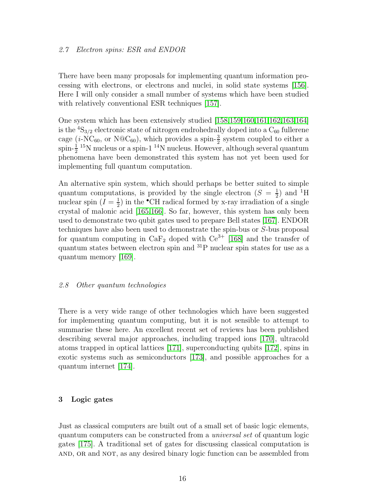## 2.7 Electron spins: ESR and ENDOR

There have been many proposals for implementing quantum information processing with electrons, or electrons and nuclei, in solid state systems [\[156\]](#page-78-10). Here I will only consider a small number of systems which have been studied with relatively conventional ESR techniques [\[157\]](#page-78-11).

One system which has been extensively studied  $[158,159,160,161,162,163,164]$  $[158,159,160,161,162,163,164]$  $[158,159,160,161,162,163,164]$  $[158,159,160,161,162,163,164]$  $[158,159,160,161,162,163,164]$  $[158,159,160,161,162,163,164]$  $[158,159,160,161,162,163,164]$ is the  ${}^{4}S_{3/2}$  electronic state of nitrogen endrohedrally doped into a  $C_{60}$  fullerene cage (*i*-NC<sub>60</sub>, or N@C<sub>60</sub>), which provides a spin- $\frac{3}{2}$  system coupled to either a  $\frac{2}{2}$   $\frac{15}{2}$   $\frac{15}{2}$  N nucleus or a spin-1<sup>14</sup>N nucleus. However, although several quantum phenomena have been demonstrated this system has not yet been used for implementing full quantum computation.

An alternative spin system, which should perhaps be better suited to simple quantum computations, is provided by the single electron  $(S = \frac{1}{2})$  $(\frac{1}{2})$  and <sup>1</sup>H nuclear spin  $(I = \frac{1}{2})$  $\frac{1}{2}$ ) in the <sup>•</sup>CH radical formed by x-ray irradiation of a single crystal of malonic acid [\[165](#page-78-19)[,166\]](#page-78-20). So far, however, this system has only been used to demonstrate two qubit gates used to prepare Bell states [\[167\]](#page-78-21). ENDOR techniques have also been used to demonstrate the spin-bus or S-bus proposal for quantum computing in  $CaF_2$  doped with  $Ce^{3+}$  [\[168\]](#page-79-0) and the transfer of quantum states between electron spin and  ${}^{31}P$  nuclear spin states for use as a quantum memory [\[169\]](#page-79-1).

#### 2.8 Other quantum technologies

There is a very wide range of other technologies which have been suggested for implementing quantum computing, but it is not sensible to attempt to summarise these here. An excellent recent set of reviews has been published describing several major approaches, including trapped ions [\[170\]](#page-79-2), ultracold atoms trapped in optical lattices [\[171\]](#page-79-3), superconducting qubits [\[172\]](#page-79-4), spins in exotic systems such as semiconductors [\[173\]](#page-79-5), and possible approaches for a quantum internet [\[174\]](#page-79-6).

## 3 Logic gates

Just as classical computers are built out of a small set of basic logic elements, quantum computers can be constructed from a universal set of quantum logic gates [\[175\]](#page-79-7). A traditional set of gates for discussing classical computation is AND, OR and NOT, as any desired binary logic function can be assembled from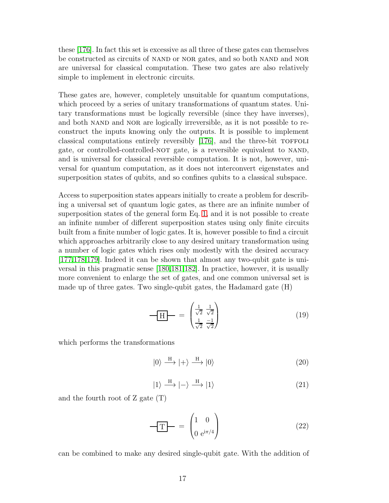these [\[176\]](#page-79-8). In fact this set is excessive as all three of these gates can themselves be constructed as circuits of nand or nor gates, and so both nand and nor are universal for classical computation. These two gates are also relatively simple to implement in electronic circuits.

These gates are, however, completely unsuitable for quantum computations, which proceed by a series of unitary transformations of quantum states. Unitary transformations must be logically reversible (since they have inverses), and both NAND and NOR are logically irreversible, as it is not possible to reconstruct the inputs knowing only the outputs. It is possible to implement classical computations entirely reversibly  $[176]$ , and the three-bit TOFFOLI gate, or controlled-controlled-not gate, is a reversible equivalent to nand, and is universal for classical reversible computation. It is not, however, universal for quantum computation, as it does not interconvert eigenstates and superposition states of qubits, and so confines qubits to a classical subspace.

Access to superposition states appears initially to create a problem for describing a universal set of quantum logic gates, as there are an infinite number of superposition states of the general form Eq. [1,](#page-4-0) and it is not possible to create an infinite number of different superposition states using only finite circuits built from a finite number of logic gates. It is, however possible to find a circuit which approaches arbitrarily close to any desired unitary transformation using a number of logic gates which rises only modestly with the desired accuracy [\[177,](#page-79-9)[178,](#page-79-10)[179\]](#page-79-11). Indeed it can be shown that almost any two-qubit gate is universal in this pragmatic sense [\[180,](#page-79-12)[181](#page-79-13)[,182\]](#page-79-14). In practice, however, it is usually more convenient to enlarge the set of gates, and one common universal set is made up of three gates. Two single-qubit gates, the Hadamard gate (H)

<span id="page-16-1"></span>
$$
-\boxed{\text{H}} = \begin{pmatrix} \frac{1}{\sqrt{2}} & \frac{1}{\sqrt{2}} \\ \frac{1}{\sqrt{2}} & \frac{-1}{\sqrt{2}} \end{pmatrix} \tag{19}
$$

which performs the transformations

$$
|0\rangle \xrightarrow{H} |+\rangle \xrightarrow{H} |0\rangle
$$
 (20)

$$
|1\rangle \xrightarrow{H} |-\rangle \xrightarrow{H} |1\rangle \tag{21}
$$

and the fourth root of Z gate (T)

<span id="page-16-0"></span>
$$
-\boxed{\mathrm{T}} = \begin{pmatrix} 1 & 0 \\ 0 & e^{i\pi/4} \end{pmatrix} \tag{22}
$$

can be combined to make any desired single-qubit gate. With the addition of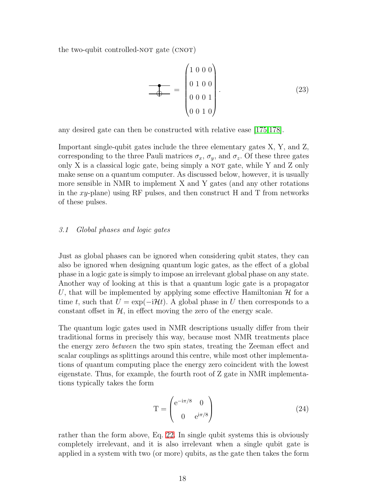the two-qubit controlled-NOT gate (CNOT)

<span id="page-17-0"></span>
$$
\frac{1}{\Phi} = \begin{pmatrix} 1 & 0 & 0 & 0 \\ 0 & 1 & 0 & 0 \\ 0 & 0 & 0 & 1 \\ 0 & 0 & 1 & 0 \end{pmatrix} . \tag{23}
$$

any desired gate can then be constructed with relative ease [\[175](#page-79-7)[,178\]](#page-79-10).

Important single-qubit gates include the three elementary gates X, Y, and Z, corresponding to the three Pauli matrices  $\sigma_x$ ,  $\sigma_y$ , and  $\sigma_z$ . Of these three gates only X is a classical logic gate, being simply a NOT gate, while Y and Z only make sense on a quantum computer. As discussed below, however, it is usually more sensible in NMR to implement X and Y gates (and any other rotations in the  $xy$ -plane) using RF pulses, and then construct H and T from networks of these pulses.

## 3.1 Global phases and logic gates

Just as global phases can be ignored when considering qubit states, they can also be ignored when designing quantum logic gates, as the effect of a global phase in a logic gate is simply to impose an irrelevant global phase on any state. Another way of looking at this is that a quantum logic gate is a propagator U, that will be implemented by applying some effective Hamiltonian  $\mathcal H$  for a time t, such that  $U = \exp(-i\mathcal{H}t)$ . A global phase in U then corresponds to a constant offset in  $H$ , in effect moving the zero of the energy scale.

The quantum logic gates used in NMR descriptions usually differ from their traditional forms in precisely this way, because most NMR treatments place the energy zero between the two spin states, treating the Zeeman effect and scalar couplings as splittings around this centre, while most other implementations of quantum computing place the energy zero coincident with the lowest eigenstate. Thus, for example, the fourth root of Z gate in NMR implementations typically takes the form

$$
T = \begin{pmatrix} e^{-i\pi/8} & 0\\ 0 & e^{i\pi/8} \end{pmatrix}
$$
 (24)

rather than the form above, Eq. [22.](#page-16-0) In single qubit systems this is obviously completely irrelevant, and it is also irrelevant when a single qubit gate is applied in a system with two (or more) qubits, as the gate then takes the form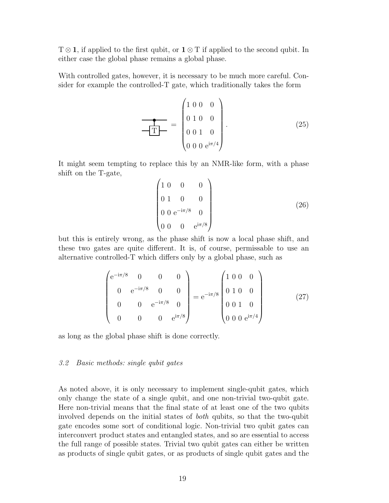$T \otimes \mathbf{1}$ , if applied to the first qubit, or  $\mathbf{1} \otimes T$  if applied to the second qubit. In either case the global phase remains a global phase.

With controlled gates, however, it is necessary to be much more careful. Consider for example the controlled-T gate, which traditionally takes the form

<span id="page-18-0"></span>
$$
\frac{1}{\sqrt{T}} = \begin{pmatrix} 1 & 0 & 0 & 0 \\ 0 & 1 & 0 & 0 \\ 0 & 0 & 1 & 0 \\ 0 & 0 & 0 & e^{i\pi/4} \end{pmatrix} .
$$
 (25)

It might seem tempting to replace this by an NMR-like form, with a phase shift on the T-gate,

$$
\begin{pmatrix}\n1 & 0 & 0 & 0 \\
0 & 1 & 0 & 0 \\
0 & 0 & e^{-i\pi/8} & 0 \\
0 & 0 & 0 & e^{i\pi/8}\n\end{pmatrix}
$$
\n(26)

but this is entirely wrong, as the phase shift is now a local phase shift, and these two gates are quite different. It is, of course, permissable to use an alternative controlled-T which differs only by a global phase, such as

$$
\begin{pmatrix}\ne^{-i\pi/8} & 0 & 0 & 0 \\
0 & e^{-i\pi/8} & 0 & 0 \\
0 & 0 & e^{-i\pi/8} & 0 \\
0 & 0 & 0 & e^{i\pi/8}\n\end{pmatrix} = e^{-i\pi/8} \begin{pmatrix}\n1 & 0 & 0 & 0 \\
0 & 1 & 0 & 0 \\
0 & 0 & 1 & 0 \\
0 & 0 & 0 & e^{i\pi/4}\n\end{pmatrix}
$$
\n(27)

as long as the global phase shift is done correctly.

## 3.2 Basic methods: single qubit gates

As noted above, it is only necessary to implement single-qubit gates, which only change the state of a single qubit, and one non-trivial two-qubit gate. Here non-trivial means that the final state of at least one of the two qubits involved depends on the initial states of both qubits, so that the two-qubit gate encodes some sort of conditional logic. Non-trivial two qubit gates can interconvert product states and entangled states, and so are essential to access the full range of possible states. Trivial two qubit gates can either be written as products of single qubit gates, or as products of single qubit gates and the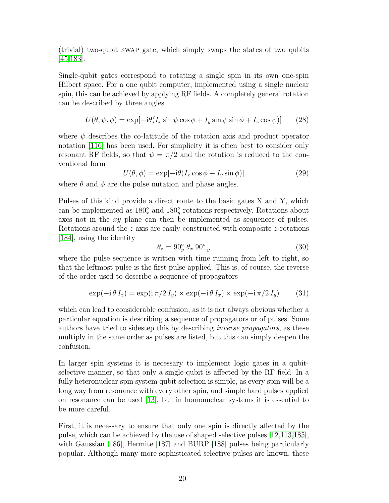(trivial) two-qubit swap gate, which simply swaps the states of two qubits [\[45](#page-73-6)[,183\]](#page-79-15).

Single-qubit gates correspond to rotating a single spin in its own one-spin Hilbert space. For a one qubit computer, implemented using a single nuclear spin, this can be achieved by applying RF fields. A completely general rotation can be described by three angles

$$
U(\theta, \psi, \phi) = \exp[-i\theta(I_x \sin \psi \cos \phi + I_y \sin \psi \sin \phi + I_z \cos \psi)] \tag{28}
$$

where  $\psi$  describes the co-latitude of the rotation axis and product operator notation [\[116\]](#page-76-12) has been used. For simplicity it is often best to consider only resonant RF fields, so that  $\psi = \pi/2$  and the rotation is reduced to the conventional form

$$
U(\theta, \phi) = \exp[-i\theta(I_x \cos \phi + I_y \sin \phi)]
$$
 (29)

where  $\theta$  and  $\phi$  are the pulse nutation and phase angles.

Pulses of this kind provide a direct route to the basic gates X and Y, which can be implemented as  $180^\circ_x$  and  $180^\circ_y$  rotations respectively. Rotations about axes not in the xy plane can then be implemented as sequences of pulses. Rotations around the  $z$  axis are easily constructed with composite  $z$ -rotations [\[184\]](#page-79-16), using the identity

$$
\theta_z = 90_y^{\circ} \ \theta_x \ 90_{-y}^{\circ} \tag{30}
$$

where the pulse sequence is written with time running from left to right, so that the leftmost pulse is the first pulse applied. This is, of course, the reverse of the order used to describe a sequence of propagators

$$
\exp(-i\theta I_z) = \exp(i\pi/2 I_y) \times \exp(-i\theta I_x) \times \exp(-i\pi/2 I_y)
$$
 (31)

which can lead to considerable confusion, as it is not always obvious whether a particular equation is describing a sequence of propagators or of pulses. Some authors have tried to sidestep this by describing inverse propagators, as these multiply in the same order as pulses are listed, but this can simply deepen the confusion.

In larger spin systems it is necessary to implement logic gates in a qubitselective manner, so that only a single-qubit is affected by the RF field. In a fully heteronuclear spin system qubit selection is simple, as every spin will be a long way from resonance with every other spin, and simple hard pulses applied on resonance can be used [\[13\]](#page-71-12), but in homonuclear systems it is essential to be more careful.

First, it is necessary to ensure that only one spin is directly affected by the pulse, which can be achieved by the use of shaped selective pulses [\[12,](#page-71-11)[113](#page-76-9)[,185\]](#page-79-17), with Gaussian [\[186\]](#page-79-18), Hermite [\[187\]](#page-79-19) and BURP [\[188\]](#page-79-20) pulses being particularly popular. Although many more sophisticated selective pulses are known, these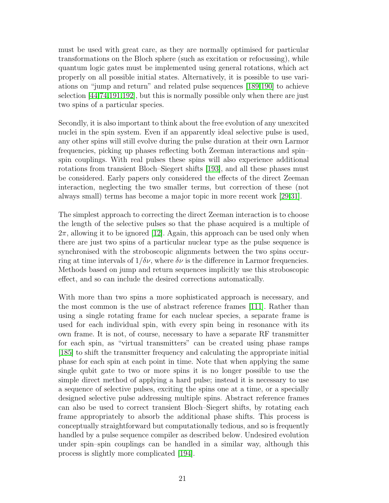must be used with great care, as they are normally optimised for particular transformations on the Bloch sphere (such as excitation or refocussing), while quantum logic gates must be implemented using general rotations, which act properly on all possible initial states. Alternatively, it is possible to use variations on "jump and return" and related pulse sequences [\[189,](#page-79-21)[190\]](#page-79-22) to achieve selection [\[44,](#page-73-5)[74,](#page-74-14)[191,](#page-79-23)[192\]](#page-79-24), but this is normally possible only when there are just two spins of a particular species.

Secondly, it is also important to think about the free evolution of any unexcited nuclei in the spin system. Even if an apparently ideal selective pulse is used, any other spins will still evolve during the pulse duration at their own Larmor frequencies, picking up phases reflecting both Zeeman interactions and spin– spin couplings. With real pulses these spins will also experience additional rotations from transient Bloch–Siegert shifts [\[193\]](#page-79-25), and all these phases must be considered. Early papers only considered the effects of the direct Zeeman interaction, neglecting the two smaller terms, but correction of these (not always small) terms has become a major topic in more recent work [\[29](#page-72-13)[,31\]](#page-72-15).

The simplest approach to correcting the direct Zeeman interaction is to choose the length of the selective pulses so that the phase acquired is a multiple of  $2\pi$ , allowing it to be ignored [\[12\]](#page-71-11). Again, this approach can be used only when there are just two spins of a particular nuclear type as the pulse sequence is synchronised with the stroboscopic alignments between the two spins occurring at time intervals of  $1/\delta \nu$ , where  $\delta \nu$  is the difference in Larmor frequencies. Methods based on jump and return sequences implicitly use this stroboscopic effect, and so can include the desired corrections automatically.

With more than two spins a more sophisticated approach is necessary, and the most common is the use of abstract reference frames [\[111\]](#page-76-7). Rather than using a single rotating frame for each nuclear species, a separate frame is used for each individual spin, with every spin being in resonance with its own frame. It is not, of course, necessary to have a separate RF transmitter for each spin, as "virtual transmitters" can be created using phase ramps [\[185\]](#page-79-17) to shift the transmitter frequency and calculating the appropriate initial phase for each spin at each point in time. Note that when applying the same single qubit gate to two or more spins it is no longer possible to use the simple direct method of applying a hard pulse; instead it is necessary to use a sequence of selective pulses, exciting the spins one at a time, or a specially designed selective pulse addressing multiple spins. Abstract reference frames can also be used to correct transient Bloch–Siegert shifts, by rotating each frame appropriately to absorb the additional phase shifts. This process is conceptually straightforward but computationally tedious, and so is frequently handled by a pulse sequence compiler as described below. Undesired evolution under spin–spin couplings can be handled in a similar way, although this process is slightly more complicated [\[194\]](#page-80-0).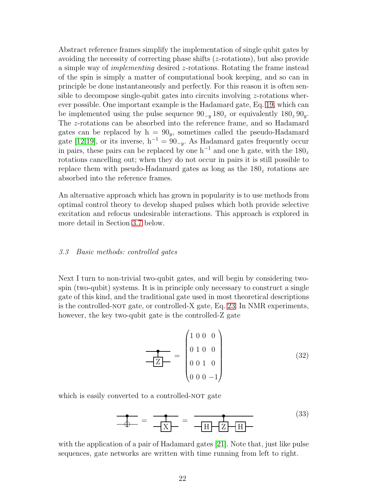Abstract reference frames simplify the implementation of single qubit gates by avoiding the necessity of correcting phase shifts (z-rotations), but also provide a simple way of implementing desired z-rotations. Rotating the frame instead of the spin is simply a matter of computational book keeping, and so can in principle be done instantaneously and perfectly. For this reason it is often sensible to decompose single-qubit gates into circuits involving  $z$ -rotations wherever possible. One important example is the Hadamard gate, Eq. [19,](#page-16-1) which can be implemented using the pulse sequence  $90_{-y} 180_z$  or equivalently  $180_z 90_y$ . The z-rotations can be absorbed into the reference frame, and so Hadamard gates can be replaced by  $h = 90<sub>y</sub>$ , sometimes called the pseudo-Hadamard gate [\[12,](#page-71-11)[19\]](#page-72-3), or its inverse,  $h^{-1} = 90_{-y}$ . As Hadamard gates frequently occur in pairs, these pairs can be replaced by one h<sup>-1</sup> and one h gate, with the  $180_z$ rotations cancelling out; when they do not occur in pairs it is still possible to replace them with pseudo-Hadamard gates as long as the  $180<sub>z</sub>$  rotations are absorbed into the reference frames.

An alternative approach which has grown in popularity is to use methods from optimal control theory to develop shaped pulses which both provide selective excitation and refocus undesirable interactions. This approach is explored in more detail in Section [3.7](#page-28-0) below.

## 3.3 Basic methods: controlled gates

Next I turn to non-trivial two-qubit gates, and will begin by considering twospin (two-qubit) systems. It is in principle only necessary to construct a single gate of this kind, and the traditional gate used in most theoretical descriptions is the controlled-not gate, or controlled-X gate, Eq. [23.](#page-17-0) In NMR experiments, however, the key two-qubit gate is the controlled-Z gate

$$
\frac{1}{\sqrt{Z}} = \begin{pmatrix} 1 & 0 & 0 & 0 \\ 0 & 1 & 0 & 0 \\ 0 & 0 & 1 & 0 \\ 0 & 0 & 0 & -1 \end{pmatrix}
$$
 (32)

which is easily converted to a controlled-NOT gate

$$
\frac{1}{\sqrt{2}} = \frac{1}{\sqrt{2}} = \frac{1}{\sqrt{2}} = \frac{1}{\sqrt{2}} \tag{33}
$$

with the application of a pair of Hadamard gates [\[21\]](#page-72-5). Note that, just like pulse sequences, gate networks are written with time running from left to right.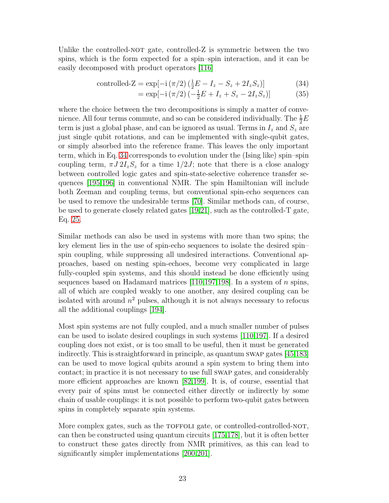Unlike the controlled-NOT gate, controlled- $Z$  is symmetric between the two spins, which is the form expected for a spin–spin interaction, and it can be easily decomposed with product operators [\[116\]](#page-76-12)

controlled-Z = exp[-i(
$$
\pi/2
$$
) ( $\frac{1}{2}E - I_z - S_z + 2I_zS_z$ )] (34)

<span id="page-22-0"></span>
$$
= \exp[-i(\pi/2)(-\frac{1}{2}E + I_z + S_z - 2I_zS_z)]
$$
 (35)

where the choice between the two decompositions is simply a matter of convenience. All four terms commute, and so can be considered individually. The  $\frac{1}{2}E$ term is just a global phase, and can be ignored as usual. Terms in  $I_z$  and  $S_z$  are just single qubit rotations, and can be implemented with single-qubit gates, or simply absorbed into the reference frame. This leaves the only important term, which in Eq. [34](#page-22-0) corresponds to evolution under the (Ising like) spin–spin coupling term,  $\pi J 2I_zS_z$  for a time  $1/2J$ ; note that there is a close analogy between controlled logic gates and spin-state-selective coherence transfer sequences [\[195,](#page-80-1)[196\]](#page-80-2) in conventional NMR. The spin Hamiltonian will include both Zeeman and coupling terms, but conventional spin-echo sequences can be used to remove the undesirable terms [\[70\]](#page-74-10). Similar methods can, of course, be used to generate closely related gates [\[19](#page-72-3)[,21\]](#page-72-5), such as the controlled-T gate, Eq. [25.](#page-18-0)

Similar methods can also be used in systems with more than two spins; the key element lies in the use of spin-echo sequences to isolate the desired spin– spin coupling, while suppressing all undesired interactions. Conventional approaches, based on nesting spin-echoes, become very complicated in large fully-coupled spin systems, and this should instead be done efficiently using sequences based on Hadamard matrices  $[110,197,198]$  $[110,197,198]$  $[110,197,198]$ . In a system of *n* spins, all of which are coupled weakly to one another, any desired coupling can be isolated with around  $n^2$  pulses, although it is not always necessary to refocus all the additional couplings [\[194\]](#page-80-0).

Most spin systems are not fully coupled, and a much smaller number of pulses can be used to isolate desired couplings in such systems [\[110](#page-76-6)[,197\]](#page-80-3). If a desired coupling does not exist, or is too small to be useful, then it must be generated indirectly. This is straightforward in principle, as quantum swap gates [\[45,](#page-73-6)[183\]](#page-79-15) can be used to move logical qubits around a spin system to bring them into contact; in practice it is not necessary to use full swap gates, and considerably more efficient approaches are known [\[82](#page-75-0)[,199\]](#page-80-5). It is, of course, essential that every pair of spins must be connected either directly or indirectly by some chain of usable couplings: it is not possible to perform two-qubit gates between spins in completely separate spin systems.

More complex gates, such as the TOFFOLI gate, or controlled-controlled-NOT, can then be constructed using quantum circuits [\[175](#page-79-7)[,178\]](#page-79-10), but it is often better to construct these gates directly from NMR primitives, as this can lead to significantly simpler implementations [\[200](#page-80-6)[,201\]](#page-80-7).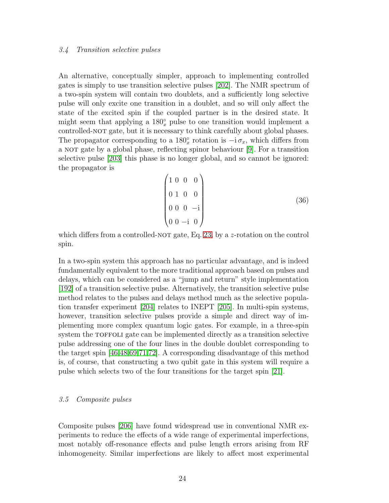### 3.4 Transition selective pulses

An alternative, conceptually simpler, approach to implementing controlled gates is simply to use transition selective pulses [\[202\]](#page-80-8). The NMR spectrum of a two-spin system will contain two doublets, and a sufficiently long selective pulse will only excite one transition in a doublet, and so will only affect the state of the excited spin if the coupled partner is in the desired state. It might seem that applying a  $180^\circ_x$  pulse to one transition would implement a controlled-not gate, but it is necessary to think carefully about global phases. The propagator corresponding to a  $180^\circ_x$  rotation is  $-i\sigma_x$ , which differs from a NOT gate by a global phase, reflecting spinor behaviour [\[9\]](#page-71-8). For a transition selective pulse [\[203\]](#page-80-9) this phase is no longer global, and so cannot be ignored: the propagator is

$$
\begin{pmatrix}\n1 & 0 & 0 & 0 \\
0 & 1 & 0 & 0 \\
0 & 0 & 0 & -i \\
0 & 0 & -i & 0\n\end{pmatrix}
$$
\n(36)

which differs from a controlled-NOT gate, Eq. [23,](#page-17-0) by a z-rotation on the control spin.

In a two-spin system this approach has no particular advantage, and is indeed fundamentally equivalent to the more traditional approach based on pulses and delays, which can be considered as a "jump and return" style implementation [\[192\]](#page-79-24) of a transition selective pulse. Alternatively, the transition selective pulse method relates to the pulses and delays method much as the selective population transfer experiment [\[204\]](#page-80-10) relates to INEPT [\[205\]](#page-80-11). In multi-spin systems, however, transition selective pulses provide a simple and direct way of implementing more complex quantum logic gates. For example, in a three-spin system the TOFFOLI gate can be implemented directly as a transition selective pulse addressing one of the four lines in the double doublet corresponding to the target spin [\[46,](#page-73-7)[48](#page-73-9)[,69](#page-74-9)[,71](#page-74-11)[,72\]](#page-74-12). A corresponding disadvantage of this method is, of course, that constructing a two qubit gate in this system will require a pulse which selects two of the four transitions for the target spin [\[21\]](#page-72-5).

## 3.5 Composite pulses

Composite pulses [\[206\]](#page-80-12) have found widespread use in conventional NMR experiments to reduce the effects of a wide range of experimental imperfections, most notably off-resonance effects and pulse length errors arising from RF inhomogeneity. Similar imperfections are likely to affect most experimental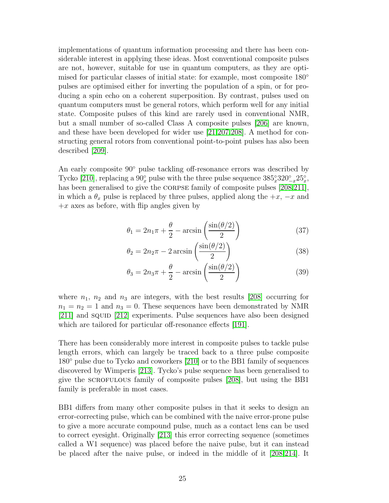implementations of quantum information processing and there has been considerable interest in applying these ideas. Most conventional composite pulses are not, however, suitable for use in quantum computers, as they are optimised for particular classes of initial state: for example, most composite 180◦ pulses are optimised either for inverting the population of a spin, or for producing a spin echo on a coherent superposition. By contrast, pulses used on quantum computers must be general rotors, which perform well for any initial state. Composite pulses of this kind are rarely used in conventional NMR, but a small number of so-called Class A composite pulses [\[206\]](#page-80-12) are known, and these have been developed for wider use [\[21,](#page-72-5)[207](#page-80-13)[,208\]](#page-80-14). A method for constructing general rotors from conventional point-to-point pulses has also been described [\[209\]](#page-80-15).

An early composite 90◦ pulse tackling off-resonance errors was described by Tycko [\[210\]](#page-80-16), replacing a  $90^\circ_x$  pulse with the three pulse sequence  $385^\circ_x 320^\circ_x 25^\circ_x$ , has been generalised to give the CORPSE family of composite pulses [\[208](#page-80-14)[,211\]](#page-80-17), in which a  $\theta_x$  pulse is replaced by three pulses, applied along the  $+x$ ,  $-x$  and  $+x$  axes as before, with flip angles given by

$$
\theta_1 = 2n_1\pi + \frac{\theta}{2} - \arcsin\left(\frac{\sin(\theta/2)}{2}\right) \tag{37}
$$

$$
\theta_2 = 2n_2\pi - 2\arcsin\left(\frac{\sin(\theta/2)}{2}\right) \tag{38}
$$

$$
\theta_3 = 2n_3\pi + \frac{\theta}{2} - \arcsin\left(\frac{\sin(\theta/2)}{2}\right) \tag{39}
$$

where  $n_1$ ,  $n_2$  and  $n_3$  are integers, with the best results [\[208\]](#page-80-14) occurring for  $n_1 = n_2 = 1$  and  $n_3 = 0$ . These sequences have been demonstrated by NMR [\[211\]](#page-80-17) and squip  $[212]$  experiments. Pulse sequences have also been designed which are tailored for particular off-resonance effects [\[191\]](#page-79-23).

There has been considerably more interest in composite pulses to tackle pulse length errors, which can largely be traced back to a three pulse composite 180◦ pulse due to Tycko and coworkers [\[210\]](#page-80-16) or to the BB1 family of sequences discovered by Wimperis [\[213\]](#page-80-19). Tycko's pulse sequence has been generalised to give the scroefulous family of composite pulses  $[208]$ , but using the BB1 family is preferable in most cases.

BB1 differs from many other composite pulses in that it seeks to design an error-correcting pulse, which can be combined with the naive error-prone pulse to give a more accurate compound pulse, much as a contact lens can be used to correct eyesight. Originally [\[213\]](#page-80-19) this error correcting sequence (sometimes called a W1 sequence) was placed before the naive pulse, but it can instead be placed after the naive pulse, or indeed in the middle of it [\[208](#page-80-14)[,214\]](#page-80-20). It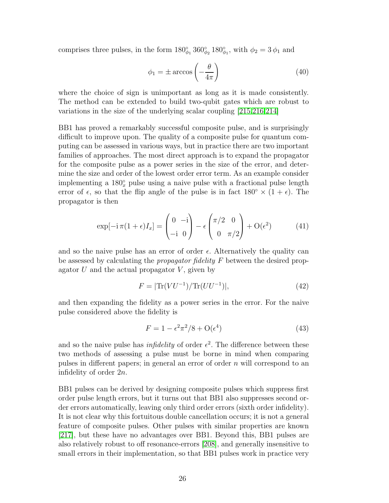comprises three pulses, in the form  $180^{\circ}_{\phi_1} 360^{\circ}_{\phi_2} 180^{\circ}_{\phi_1}$ , with  $\phi_2 = 3 \phi_1$  and

$$
\phi_1 = \pm \arccos\left(-\frac{\theta}{4\pi}\right) \tag{40}
$$

where the choice of sign is unimportant as long as it is made consistently. The method can be extended to build two-qubit gates which are robust to variations in the size of the underlying scalar coupling [\[215](#page-80-21)[,216](#page-80-22)[,214\]](#page-80-20)

BB1 has proved a remarkably successful composite pulse, and is surprisingly difficult to improve upon. The quality of a composite pulse for quantum computing can be assessed in various ways, but in practice there are two important families of approaches. The most direct approach is to expand the propagator for the composite pulse as a power series in the size of the error, and determine the size and order of the lowest order error term. As an example consider implementing a  $180^\circ_x$  pulse using a naive pulse with a fractional pulse length error of  $\epsilon$ , so that the flip angle of the pulse is in fact  $180° \times (1 + \epsilon)$ . The propagator is then

$$
\exp[-i\pi(1+\epsilon)I_x] = \begin{pmatrix} 0 & -i \\ -i & 0 \end{pmatrix} - \epsilon \begin{pmatrix} \pi/2 & 0 \\ 0 & \pi/2 \end{pmatrix} + O(\epsilon^2)
$$
(41)

and so the naive pulse has an error of order  $\epsilon$ . Alternatively the quality can be assessed by calculating the propagator fidelity F between the desired propagator  $U$  and the actual propagator  $V$ , given by

$$
F = |\text{Tr}(VU^{-1})/\text{Tr}(UU^{-1})|,
$$
\n(42)

and then expanding the fidelity as a power series in the error. For the naive pulse considered above the fidelity is

$$
F = 1 - \epsilon^2 \pi^2 / 8 + \mathcal{O}(\epsilon^4)
$$
\n(43)

and so the naive pulse has *infidelity* of order  $\epsilon^2$ . The difference between these two methods of assessing a pulse must be borne in mind when comparing pulses in different papers; in general an error of order n will correspond to an infidelity of order 2n.

BB1 pulses can be derived by designing composite pulses which suppress first order pulse length errors, but it turns out that BB1 also suppresses second order errors automatically, leaving only third order errors (sixth order infidelity). It is not clear why this fortuitous double cancellation occurs; it is not a general feature of composite pulses. Other pulses with similar properties are known [\[217\]](#page-80-23), but these have no advantages over BB1. Beyond this, BB1 pulses are also relatively robust to off resonance-errors [\[208\]](#page-80-14), and generally insensitive to small errors in their implementation, so that BB1 pulses work in practice very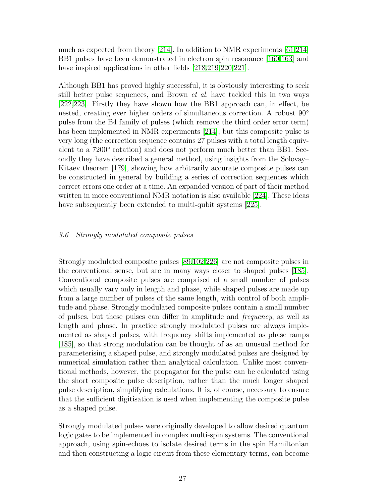much as expected from theory [\[214\]](#page-80-20). In addition to NMR experiments [\[61,](#page-74-1)[214\]](#page-80-20) BB1 pulses have been demonstrated in electron spin resonance [\[160](#page-78-14)[,163\]](#page-78-17) and have inspired applications in other fields [\[218,](#page-81-0)[219](#page-81-1)[,220](#page-81-2)[,221\]](#page-81-3).

Although BB1 has proved highly successful, it is obviously interesting to seek still better pulse sequences, and Brown et al. have tackled this in two ways [\[222,](#page-81-4)[223\]](#page-81-5). Firstly they have shown how the BB1 approach can, in effect, be nested, creating ever higher orders of simultaneous correction. A robust 90◦ pulse from the B4 family of pulses (which remove the third order error term) has been implemented in NMR experiments [\[214\]](#page-80-20), but this composite pulse is very long (the correction sequence contains 27 pulses with a total length equivalent to a 7200◦ rotation) and does not perform much better than BB1. Secondly they have described a general method, using insights from the Solovay– Kitaev theorem [\[179\]](#page-79-11), showing how arbitrarily accurate composite pulses can be constructed in general by building a series of correction sequences which correct errors one order at a time. An expanded version of part of their method written in more conventional NMR notation is also available [\[224\]](#page-81-6). These ideas have subsequently been extended to multi-qubit systems [\[225\]](#page-81-7).

# <span id="page-26-0"></span>3.6 Strongly modulated composite pulses

Strongly modulated composite pulses [\[89](#page-75-7)[,102](#page-75-20)[,226\]](#page-81-8) are not composite pulses in the conventional sense, but are in many ways closer to shaped pulses [\[185\]](#page-79-17). Conventional composite pulses are comprised of a small number of pulses which usually vary only in length and phase, while shaped pulses are made up from a large number of pulses of the same length, with control of both amplitude and phase. Strongly modulated composite pulses contain a small number of pulses, but these pulses can differ in amplitude and frequency, as well as length and phase. In practice strongly modulated pulses are always implemented as shaped pulses, with frequency shifts implemented as phase ramps [\[185\]](#page-79-17), so that strong modulation can be thought of as an unusual method for parameterising a shaped pulse, and strongly modulated pulses are designed by numerical simulation rather than analytical calculation. Unlike most conventional methods, however, the propagator for the pulse can be calculated using the short composite pulse description, rather than the much longer shaped pulse description, simplifying calculations. It is, of course, necessary to ensure that the sufficient digitisation is used when implementing the composite pulse as a shaped pulse.

Strongly modulated pulses were originally developed to allow desired quantum logic gates to be implemented in complex multi-spin systems. The conventional approach, using spin-echoes to isolate desired terms in the spin Hamiltonian and then constructing a logic circuit from these elementary terms, can become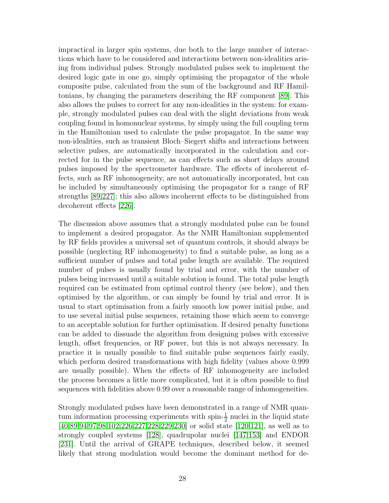impractical in larger spin systems, due both to the large number of interactions which have to be considered and interactions between non-idealities arising from individual pulses. Strongly modulated pulses seek to implement the desired logic gate in one go, simply optimising the propagator of the whole composite pulse, calculated from the sum of the background and RF Hamiltonians, by changing the parameters describing the RF component [\[89\]](#page-75-7). This also allows the pulses to correct for any non-idealities in the system: for example, strongly modulated pulses can deal with the slight deviations from weak coupling found in homonuclear systems, by simply using the full coupling term in the Hamiltonian used to calculate the pulse propagator. In the same way non-idealities, such as transient Bloch–Siegert shifts and interactions between selective pulses, are automatically incorporated in the calculation and corrected for in the pulse sequence, as can effects such as short delays around pulses imposed by the spectrometer hardware. The effects of incoherent effects, such as RF inhomogeneity, are not automatically incorporated, but can be included by simultaneously optimising the propagator for a range of RF strengths [\[89,](#page-75-7)[227\]](#page-81-9); this also allows incoherent effects to be distinguished from decoherent effects [\[226\]](#page-81-8).

The discussion above assumes that a strongly modulated pulse can be found to implement a desired propagator. As the NMR Hamiltonian supplemented by RF fields provides a universal set of quantum controls, it should always be possible (neglecting RF inhomogeneity) to find a suitable pulse, as long as a sufficient number of pulses and total pulse length are available. The required number of pulses is usually found by trial and error, with the number of pulses being increased until a suitable solution is found. The total pulse length required can be estimated from optimal control theory (see below), and then optimised by the algorithm, or can simply be found by trial and error. It is usual to start optimisation from a fairly smooth low power initial pulse, and to use several initial pulse sequences, retaining those which seem to converge to an acceptable solution for further optimisation. If desired penalty functions can be added to dissuade the algorithm from designing pulses with excessive length, offset frequencies, or RF power, but this is not always necessary. In practice it is usually possible to find suitable pulse sequences fairly easily, which perform desired transformations with high fidelity (values above 0.999 are usually possible). When the effects of RF inhomogeneity are included the process becomes a little more complicated, but it is often possible to find sequences with fidelities above 0.99 over a reasonable range of inhomogeneities.

Strongly modulated pulses have been demonstrated in a range of NMR quantum information processing experiments with spin- $\frac{1}{2}$  nuclei in the liquid state [\[40](#page-73-1)[,89,](#page-75-7)[94,](#page-75-12)[97,](#page-75-15)[98,](#page-75-16)[102,](#page-75-20)[226,](#page-81-8)[227](#page-81-9)[,228](#page-81-10)[,229,](#page-81-11)[230\]](#page-81-12) or solid state [\[120](#page-76-16)[,121\]](#page-76-17), as well as to strongly coupled systems [\[128\]](#page-77-4), quadrupolar nuclei [\[147](#page-78-1)[,153\]](#page-78-7) and ENDOR [\[231\]](#page-81-13). Until the arrival of GRAPE techniques, described below, it seemed likely that strong modulation would become the dominant method for de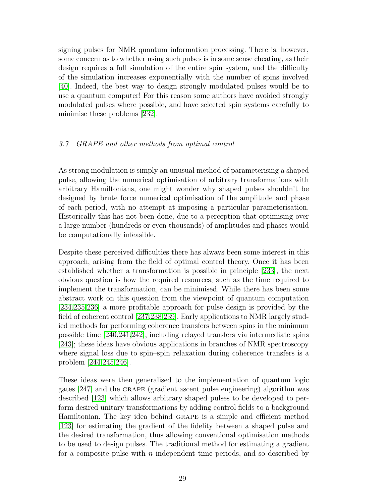signing pulses for NMR quantum information processing. There is, however, some concern as to whether using such pulses is in some sense cheating, as their design requires a full simulation of the entire spin system, and the difficulty of the simulation increases exponentially with the number of spins involved [\[40\]](#page-73-1). Indeed, the best way to design strongly modulated pulses would be to use a quantum computer! For this reason some authors have avoided strongly modulated pulses where possible, and have selected spin systems carefully to minimise these problems [\[232\]](#page-81-14).

# <span id="page-28-0"></span>3.7 GRAPE and other methods from optimal control

As strong modulation is simply an unusual method of parameterising a shaped pulse, allowing the numerical optimisation of arbitrary transformations with arbitrary Hamiltonians, one might wonder why shaped pulses shouldn't be designed by brute force numerical optimisation of the amplitude and phase of each period, with no attempt at imposing a particular parameterisation. Historically this has not been done, due to a perception that optimising over a large number (hundreds or even thousands) of amplitudes and phases would be computationally infeasible.

Despite these perceived difficulties there has always been some interest in this approach, arising from the field of optimal control theory. Once it has been established whether a transformation is possible in principle [\[233\]](#page-81-15), the next obvious question is how the required resources, such as the time required to implement the transformation, can be minimised. While there has been some abstract work on this question from the viewpoint of quantum computation [\[234,](#page-81-16)[235,](#page-81-17)[236\]](#page-81-18) a more profitable approach for pulse design is provided by the field of coherent control [\[237,](#page-81-19)[238](#page-81-20)[,239\]](#page-81-21). Early applications to NMR largely studied methods for performing coherence transfers between spins in the minimum possible time [\[240,](#page-81-22)[241](#page-82-0)[,242\]](#page-82-1), including relayed transfers via intermediate spins [\[243\]](#page-82-2); these ideas have obvious applications in branches of NMR spectroscopy where signal loss due to spin–spin relaxation during coherence transfers is a problem [\[244,](#page-82-3)[245](#page-82-4)[,246\]](#page-82-5).

These ideas were then generalised to the implementation of quantum logic gates [\[247\]](#page-82-6) and the grape (gradient ascent pulse engineering) algorithm was described [\[123\]](#page-76-19) which allows arbitrary shaped pulses to be developed to perform desired unitary transformations by adding control fields to a background Hamiltonian. The key idea behind grape is a simple and efficient method [\[123\]](#page-76-19) for estimating the gradient of the fidelity between a shaped pulse and the desired transformation, thus allowing conventional optimisation methods to be used to design pulses. The traditional method for estimating a gradient for a composite pulse with  $n$  independent time periods, and so described by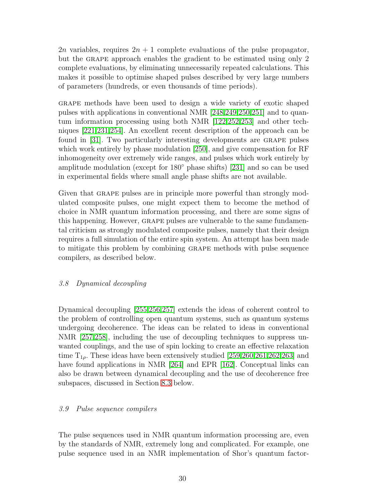2n variables, requires  $2n + 1$  complete evaluations of the pulse propagator, but the GRAPE approach enables the gradient to be estimated using only 2 complete evaluations, by eliminating unnecessarily repeated calculations. This makes it possible to optimise shaped pulses described by very large numbers of parameters (hundreds, or even thousands of time periods).

grape methods have been used to design a wide variety of exotic shaped pulses with applications in conventional NMR [\[248,](#page-82-7)[249](#page-82-8)[,250](#page-82-9)[,251\]](#page-82-10) and to quantum information processing using both NMR [\[122,](#page-76-18)[252](#page-82-11)[,253\]](#page-82-12) and other techniques [\[221,](#page-81-3)[231,](#page-81-13)[254\]](#page-82-13). An excellent recent description of the approach can be found in [\[31\]](#page-72-15). Two particularly interesting developments are grape pulses which work entirely by phase modulation [\[250\]](#page-82-9), and give compensation for RF inhomogeneity over extremely wide ranges, and pulses which work entirely by amplitude modulation (except for 180◦ phase shifts) [\[231\]](#page-81-13) and so can be used in experimental fields where small angle phase shifts are not available.

Given that GRAPE pulses are in principle more powerful than strongly modulated composite pulses, one might expect them to become the method of choice in NMR quantum information processing, and there are some signs of this happening. However, grape pulses are vulnerable to the same fundamental criticism as strongly modulated composite pulses, namely that their design requires a full simulation of the entire spin system. An attempt has been made to mitigate this problem by combining grape methods with pulse sequence compilers, as described below.

# 3.8 Dynamical decoupling

Dynamical decoupling [\[255](#page-82-14)[,256](#page-82-15)[,257\]](#page-82-16) extends the ideas of coherent control to the problem of controlling open quantum systems, such as quantum systems undergoing decoherence. The ideas can be related to ideas in conventional NMR [\[257](#page-82-16)[,258\]](#page-82-17), including the use of decoupling techniques to suppress unwanted couplings, and the use of spin locking to create an effective relaxation time  $T_{1\rho}$ . These ideas have been extensively studied [\[259,](#page-82-18)[260,](#page-82-19)[261](#page-82-20)[,262,](#page-82-21)[263\]](#page-82-22) and have found applications in NMR [\[264\]](#page-83-0) and EPR [\[162\]](#page-78-16). Conceptual links can also be drawn between dynamical decoupling and the use of decoherence free subspaces, discussed in Section [8.3](#page-65-0) below.

# 3.9 Pulse sequence compilers

The pulse sequences used in NMR quantum information processing are, even by the standards of NMR, extremely long and complicated. For example, one pulse sequence used in an NMR implementation of Shor's quantum factor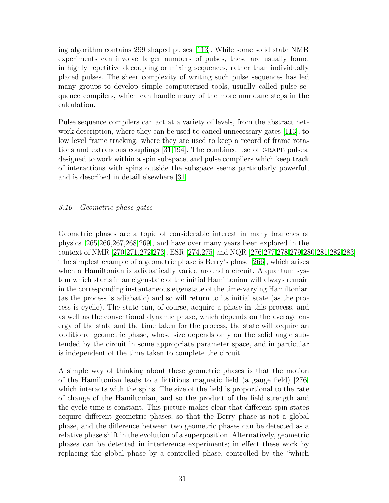ing algorithm contains 299 shaped pulses [\[113\]](#page-76-9). While some solid state NMR experiments can involve larger numbers of pulses, these are usually found in highly repetitive decoupling or mixing sequences, rather than individually placed pulses. The sheer complexity of writing such pulse sequences has led many groups to develop simple computerised tools, usually called pulse sequence compilers, which can handle many of the more mundane steps in the calculation.

Pulse sequence compilers can act at a variety of levels, from the abstract network description, where they can be used to cancel unnecessary gates [\[113\]](#page-76-9), to low level frame tracking, where they are used to keep a record of frame rotations and extraneous couplings [\[31,](#page-72-15)[194\]](#page-80-0). The combined use of grape pulses, designed to work within a spin subspace, and pulse compilers which keep track of interactions with spins outside the subspace seems particularly powerful, and is described in detail elsewhere [\[31\]](#page-72-15).

# 3.10 Geometric phase gates

Geometric phases are a topic of considerable interest in many branches of physics [\[265](#page-83-1)[,266,](#page-83-2)[267,](#page-83-3)[268](#page-83-4)[,269\]](#page-83-5), and have over many years been explored in the context of NMR [\[270,](#page-83-6)[271,](#page-83-7)[272](#page-83-8)[,273\]](#page-83-9), ESR [\[274,](#page-83-10)[275\]](#page-83-11) and NQR [\[276,](#page-83-12)[277,](#page-83-13)[278](#page-83-14)[,279](#page-83-15)[,280](#page-83-16)[,281,](#page-83-17)[282,](#page-83-18)[283\]](#page-83-19). The simplest example of a geometric phase is Berry's phase [\[266\]](#page-83-2), which arises when a Hamiltonian is adiabatically varied around a circuit. A quantum system which starts in an eigenstate of the initial Hamiltonian will always remain in the corresponding instantaneous eigenstate of the time-varying Hamiltonian (as the process is adiabatic) and so will return to its initial state (as the process is cyclic). The state can, of course, acquire a phase in this process, and as well as the conventional dynamic phase, which depends on the average energy of the state and the time taken for the process, the state will acquire an additional geometric phase, whose size depends only on the solid angle subtended by the circuit in some appropriate parameter space, and in particular is independent of the time taken to complete the circuit.

A simple way of thinking about these geometric phases is that the motion of the Hamiltonian leads to a fictitious magnetic field (a gauge field) [\[276\]](#page-83-12) which interacts with the spins. The size of the field is proportional to the rate of change of the Hamiltonian, and so the product of the field strength and the cycle time is constant. This picture makes clear that different spin states acquire different geometric phases, so that the Berry phase is not a global phase, and the difference between two geometric phases can be detected as a relative phase shift in the evolution of a superposition. Alternatively, geometric phases can be detected in interference experiments; in effect these work by replacing the global phase by a controlled phase, controlled by the "which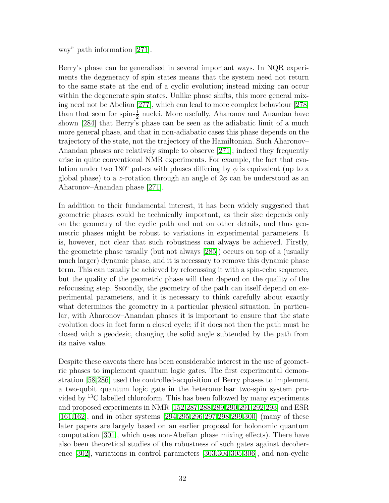way" path information [\[271\]](#page-83-7).

Berry's phase can be generalised in several important ways. In NQR experiments the degeneracy of spin states means that the system need not return to the same state at the end of a cyclic evolution; instead mixing can occur within the degenerate spin states. Unlike phase shifts, this more general mixing need not be Abelian [\[277\]](#page-83-13), which can lead to more complex behaviour [\[278\]](#page-83-14) than that seen for spin- $\frac{1}{2}$  nuclei. More usefully, Aharonov and Anandan have shown [\[284\]](#page-83-20) that Berry's phase can be seen as the adiabatic limit of a much more general phase, and that in non-adiabatic cases this phase depends on the trajectory of the state, not the trajectory of the Hamiltonian. Such Aharonov– Anandan phases are relatively simple to observe [\[271\]](#page-83-7); indeed they frequently arise in quite conventional NMR experiments. For example, the fact that evolution under two 180 $^{\circ}$  pulses with phases differing by  $\phi$  is equivalent (up to a global phase) to a z-rotation through an angle of  $2\phi$  can be understood as an Aharonov–Anandan phase [\[271\]](#page-83-7).

In addition to their fundamental interest, it has been widely suggested that geometric phases could be technically important, as their size depends only on the geometry of the cyclic path and not on other details, and thus geometric phases might be robust to variations in experimental parameters. It is, however, not clear that such robustness can always be achieved. Firstly, the geometric phase usually (but not always [\[285\]](#page-83-21)) occurs on top of a (usually much larger) dynamic phase, and it is necessary to remove this dynamic phase term. This can usually be achieved by refocussing it with a spin-echo sequence, but the quality of the geometric phase will then depend on the quality of the refocussing step. Secondly, the geometry of the path can itself depend on experimental parameters, and it is necessary to think carefully about exactly what determines the geometry in a particular physical situation. In particular, with Aharonov–Anandan phases it is important to ensure that the state evolution does in fact form a closed cycle; if it does not then the path must be closed with a geodesic, changing the solid angle subtended by the path from its naive value.

Despite these caveats there has been considerable interest in the use of geometric phases to implement quantum logic gates. The first experimental demonstration [\[58](#page-73-19)[,286\]](#page-83-22) used the controlled-acquisition of Berry phases to implement a two-qubit quantum logic gate in the heteronuclear two-spin system provided by  ${}^{13}C$  labelled chloroform. This has been followed by many experiments and proposed experiments in NMR [\[152,](#page-78-6)[287](#page-83-23)[,288](#page-83-24)[,289,](#page-83-25)[290](#page-84-0)[,291,](#page-84-1)[292](#page-84-2)[,293\]](#page-84-3) and ESR [\[161,](#page-78-15)[162\]](#page-78-16), and in other systems [\[294,](#page-84-4)[295](#page-84-5)[,296](#page-84-6)[,297,](#page-84-7)[298,](#page-84-8)[299,](#page-84-9)[300\]](#page-84-10) (many of these later papers are largely based on an earlier proposal for holonomic quantum computation [\[301\]](#page-84-11), which uses non-Abelian phase mixing effects). There have also been theoretical studies of the robustness of such gates against decoherence [\[302\]](#page-84-12), variations in control parameters [\[303](#page-84-13)[,304](#page-84-14)[,305,](#page-84-15)[306\]](#page-84-16), and non-cyclic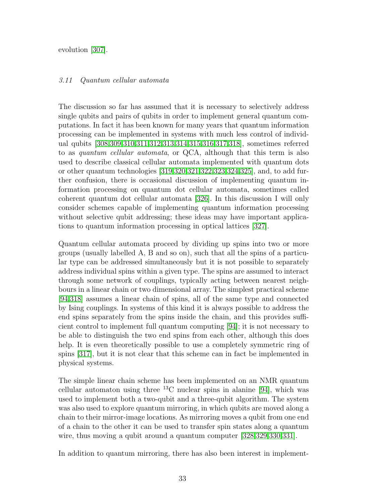evolution [\[307\]](#page-84-17).

# 3.11 Quantum cellular automata

The discussion so far has assumed that it is necessary to selectively address single qubits and pairs of qubits in order to implement general quantum computations. In fact it has been known for many years that quantum information processing can be implemented in systems with much less control of individual qubits [\[308,](#page-84-18)[309,](#page-84-19)[310](#page-84-20)[,311](#page-84-21)[,312](#page-84-22)[,313,](#page-84-23)[314,](#page-84-24)[315](#page-84-25)[,316,](#page-85-0)[317](#page-85-1)[,318\]](#page-85-2), sometimes referred to as quantum cellular automata, or QCA, although that this term is also used to describe classical cellular automata implemented with quantum dots or other quantum technologies [\[319](#page-85-3)[,320,](#page-85-4)[321,](#page-85-5)[322](#page-85-6)[,323](#page-85-7)[,324](#page-85-8)[,325\]](#page-85-9), and, to add further confusion, there is occasional discussion of implementing quantum information processing on quantum dot cellular automata, sometimes called coherent quantum dot cellular automata [\[326\]](#page-85-10). In this discussion I will only consider schemes capable of implementing quantum information processing without selective qubit addressing; these ideas may have important applications to quantum information processing in optical lattices [\[327\]](#page-85-11).

Quantum cellular automata proceed by dividing up spins into two or more groups (usually labelled A, B and so on), such that all the spins of a particular type can be addressed simultaneously but it is not possible to separately address individual spins within a given type. The spins are assumed to interact through some network of couplings, typically acting between nearest neighbours in a linear chain or two dimensional array. The simplest practical scheme [\[94](#page-75-12)[,318\]](#page-85-2) assumes a linear chain of spins, all of the same type and connected by Ising couplings. In systems of this kind it is always possible to address the end spins separately from the spins inside the chain, and this provides sufficient control to implement full quantum computing [\[94\]](#page-75-12); it is not necessary to be able to distinguish the two end spins from each other, although this does help. It is even theoretically possible to use a completely symmetric ring of spins [\[317\]](#page-85-1), but it is not clear that this scheme can in fact be implemented in physical systems.

The simple linear chain scheme has been implemented on an NMR quantum cellular automaton using three  $^{13}$ C nuclear spins in alanine [\[94\]](#page-75-12), which was used to implement both a two-qubit and a three-qubit algorithm. The system was also used to explore quantum mirroring, in which qubits are moved along a chain to their mirror-image locations. As mirroring moves a qubit from one end of a chain to the other it can be used to transfer spin states along a quantum wire, thus moving a qubit around a quantum computer [\[328,](#page-85-12)[329,](#page-85-13)[330](#page-85-14)[,331\]](#page-85-15).

In addition to quantum mirroring, there has also been interest in implement-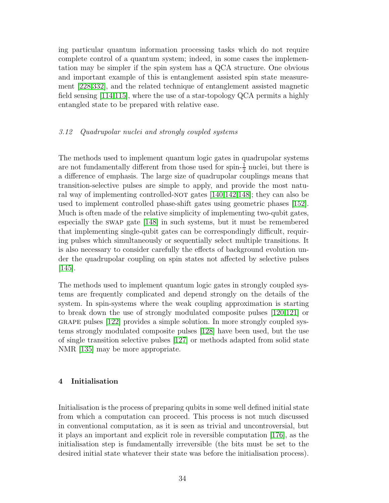ing particular quantum information processing tasks which do not require complete control of a quantum system; indeed, in some cases the implementation may be simpler if the spin system has a QCA structure. One obvious and important example of this is entanglement assisted spin state measurement [\[228,](#page-81-10)[332\]](#page-85-16), and the related technique of entanglement assisted magnetic field sensing [\[114](#page-76-10)[,115\]](#page-76-11), where the use of a star-topology QCA permits a highly entangled state to be prepared with relative ease.

## 3.12 Quadrupolar nuclei and strongly coupled systems

The methods used to implement quantum logic gates in quadrupolar systems are not fundamentally different from those used for spin- $\frac{1}{2}$  nuclei, but there is a difference of emphasis. The large size of quadrupolar couplings means that transition-selective pulses are simple to apply, and provide the most natu-ral way of implementing controlled-nor gates [\[140](#page-77-16)[,142,](#page-77-18)[148\]](#page-78-2); they can also be used to implement controlled phase-shift gates using geometric phases [\[152\]](#page-78-6). Much is often made of the relative simplicity of implementing two-qubit gates, especially the swap gate [\[148\]](#page-78-2) in such systems, but it must be remembered that implementing single-qubit gates can be correspondingly difficult, requiring pulses which simultaneously or sequentially select multiple transitions. It is also necessary to consider carefully the effects of background evolution under the quadrupolar coupling on spin states not affected by selective pulses [\[145\]](#page-77-21).

The methods used to implement quantum logic gates in strongly coupled systems are frequently complicated and depend strongly on the details of the system. In spin-systems where the weak coupling approximation is starting to break down the use of strongly modulated composite pulses [\[120](#page-76-16)[,121\]](#page-76-17) or grape pulses [\[122\]](#page-76-18) provides a simple solution. In more strongly coupled systems strongly modulated composite pulses [\[128\]](#page-77-4) have been used, but the use of single transition selective pulses [\[127\]](#page-77-3) or methods adapted from solid state NMR [\[135\]](#page-77-11) may be more appropriate.

## <span id="page-33-0"></span>4 Initialisation

Initialisation is the process of preparing qubits in some well defined initial state from which a computation can proceed. This process is not much discussed in conventional computation, as it is seen as trivial and uncontroversial, but it plays an important and explicit role in reversible computation [\[176\]](#page-79-8), as the initialisation step is fundamentally irreversible (the bits must be set to the desired initial state whatever their state was before the initialisation process).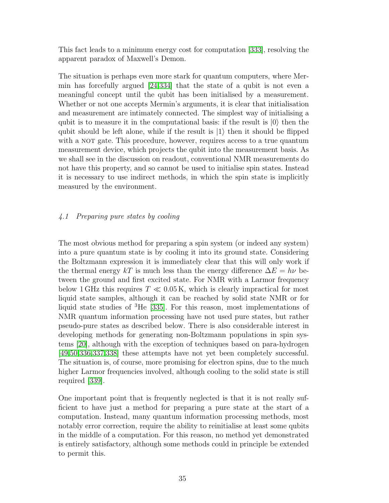This fact leads to a minimum energy cost for computation [\[333\]](#page-85-17), resolving the apparent paradox of Maxwell's Demon.

The situation is perhaps even more stark for quantum computers, where Mermin has forcefully argued [\[24,](#page-72-8)[334\]](#page-85-18) that the state of a qubit is not even a meaningful concept until the qubit has been initialised by a measurement. Whether or not one accepts Mermin's arguments, it is clear that initialisation and measurement are intimately connected. The simplest way of initialising a qubit is to measure it in the computational basis: if the result is  $|0\rangle$  then the qubit should be left alone, while if the result is  $|1\rangle$  then it should be flipped with a NOT gate. This procedure, however, requires access to a true quantum measurement device, which projects the qubit into the measurement basis. As we shall see in the discussion on readout, conventional NMR measurements do not have this property, and so cannot be used to initialise spin states. Instead it is necessary to use indirect methods, in which the spin state is implicitly measured by the environment.

# 4.1 Preparing pure states by cooling

The most obvious method for preparing a spin system (or indeed any system) into a pure quantum state is by cooling it into its ground state. Considering the Boltzmann expression it is immediately clear that this will only work if the thermal energy kT is much less than the energy difference  $\Delta E = h\nu$  between the ground and first excited state. For NMR with a Larmor frequency below 1 GHz this requires  $T \ll 0.05$  K, which is clearly impractical for most liquid state samples, although it can be reached by solid state NMR or for liquid state studies of <sup>3</sup>He [\[335\]](#page-85-19). For this reason, most implementations of NMR quantum information processing have not used pure states, but rather pseudo-pure states as described below. There is also considerable interest in developing methods for generating non-Boltzmann populations in spin systems [\[20\]](#page-72-4), although with the exception of techniques based on para-hydrogen [\[49](#page-73-10)[,50,](#page-73-11)[336,](#page-85-20)[337](#page-85-21)[,338\]](#page-85-22) these attempts have not yet been completely successful. The situation is, of course, more promising for electron spins, due to the much higher Larmor frequencies involved, although cooling to the solid state is still required [\[339\]](#page-85-23).

One important point that is frequently neglected is that it is not really sufficient to have just a method for preparing a pure state at the start of a computation. Instead, many quantum information processing methods, most notably error correction, require the ability to reinitialise at least some qubits in the middle of a computation. For this reason, no method yet demonstrated is entirely satisfactory, although some methods could in principle be extended to permit this.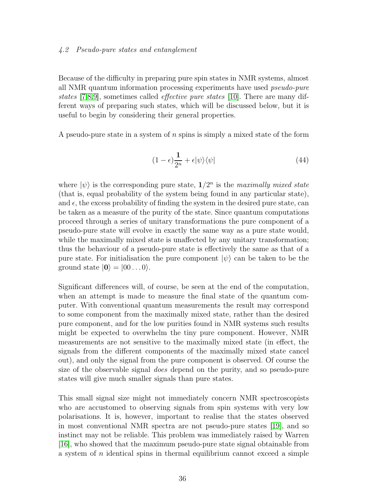#### 4.2 Pseudo-pure states and entanglement

Because of the difficulty in preparing pure spin states in NMR systems, almost all NMR quantum information processing experiments have used pseudo-pure states [\[7,](#page-71-6)[8,](#page-71-7)[9\]](#page-71-8), sometimes called *effective pure states* [\[10\]](#page-71-9). There are many different ways of preparing such states, which will be discussed below, but it is useful to begin by considering their general properties.

A pseudo-pure state in a system of  $n$  spins is simply a mixed state of the form

$$
(1 - \epsilon) \frac{1}{2^n} + \epsilon |\psi\rangle\langle\psi| \tag{44}
$$

where  $|\psi\rangle$  is the corresponding pure state,  $1/2^n$  is the maximally mixed state (that is, equal probability of the system being found in any particular state), and  $\epsilon$ , the excess probability of finding the system in the desired pure state, can be taken as a measure of the purity of the state. Since quantum computations proceed through a series of unitary transformations the pure component of a pseudo-pure state will evolve in exactly the same way as a pure state would, while the maximally mixed state is unaffected by any unitary transformation; thus the behaviour of a pseudo-pure state is effectively the same as that of a pure state. For initialisation the pure component  $|\psi\rangle$  can be taken to be the ground state  $|0\rangle = |00...0\rangle$ .

Significant differences will, of course, be seen at the end of the computation, when an attempt is made to measure the final state of the quantum computer. With conventional quantum measurements the result may correspond to some component from the maximally mixed state, rather than the desired pure component, and for the low purities found in NMR systems such results might be expected to overwhelm the tiny pure component. However, NMR measurements are not sensitive to the maximally mixed state (in effect, the signals from the different components of the maximally mixed state cancel out), and only the signal from the pure component is observed. Of course the size of the observable signal *does* depend on the purity, and so pseudo-pure states will give much smaller signals than pure states.

This small signal size might not immediately concern NMR spectroscopists who are accustomed to observing signals from spin systems with very low polarisations. It is, however, important to realise that the states observed in most conventional NMR spectra are not pseudo-pure states [\[19\]](#page-72-3), and so instinct may not be reliable. This problem was immediately raised by Warren [\[16\]](#page-72-0), who showed that the maximum pseudo-pure state signal obtainable from a system of  $n$  identical spins in thermal equilibrium cannot exceed a simple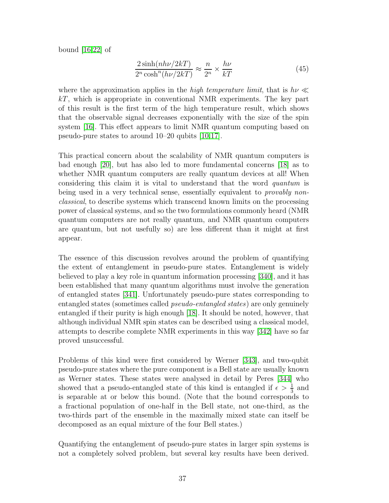bound [\[16](#page-72-0)[,22\]](#page-72-1) of

$$
\frac{2\sinh(nh\nu/2kT)}{2^n\cosh^n(h\nu/2kT)} \approx \frac{n}{2^n} \times \frac{h\nu}{kT}
$$
\n(45)

where the approximation applies in the *high temperature limit*, that is  $h\nu \ll$  $kT$ , which is appropriate in conventional NMR experiments. The key part of this result is the first term of the high temperature result, which shows that the observable signal decreases exponentially with the size of the spin system [\[16\]](#page-72-0). This effect appears to limit NMR quantum computing based on pseudo-pure states to around 10–20 qubits [\[10,](#page-71-0)[17\]](#page-72-2).

This practical concern about the scalability of NMR quantum computers is bad enough [\[20\]](#page-72-3), but has also led to more fundamental concerns [\[18\]](#page-72-4) as to whether NMR quantum computers are really quantum devices at all! When considering this claim it is vital to understand that the word quantum is being used in a very technical sense, essentially equivalent to *provably non*classical, to describe systems which transcend known limits on the processing power of classical systems, and so the two formulations commonly heard (NMR quantum computers are not really quantum, and NMR quantum computers are quantum, but not usefully so) are less different than it might at first appear.

The essence of this discussion revolves around the problem of quantifying the extent of entanglement in pseudo-pure states. Entanglement is widely believed to play a key role in quantum information processing [\[340\]](#page-85-0), and it has been established that many quantum algorithms must involve the generation of entangled states [\[341\]](#page-86-0). Unfortunately pseudo-pure states corresponding to entangled states (sometimes called pseudo-entangled states) are only genuinely entangled if their purity is high enough [\[18\]](#page-72-4). It should be noted, however, that although individual NMR spin states can be described using a classical model, attempts to describe complete NMR experiments in this way [\[342\]](#page-86-1) have so far proved unsuccessful.

Problems of this kind were first considered by Werner [\[343\]](#page-86-2), and two-qubit pseudo-pure states where the pure component is a Bell state are usually known as Werner states. These states were analysed in detail by Peres [\[344\]](#page-86-3) who showed that a pseudo-entangled state of this kind is entangled if  $\epsilon > \frac{1}{3}$  and is separable at or below this bound. (Note that the bound corresponds to a fractional population of one-half in the Bell state, not one-third, as the two-thirds part of the ensemble in the maximally mixed state can itself be decomposed as an equal mixture of the four Bell states.)

Quantifying the entanglement of pseudo-pure states in larger spin systems is not a completely solved problem, but several key results have been derived.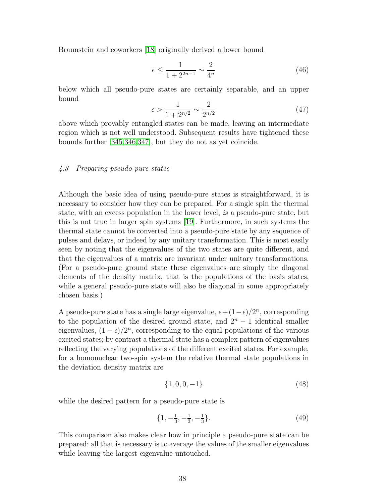Braunstein and coworkers [\[18\]](#page-72-4) originally derived a lower bound

$$
\epsilon \le \frac{1}{1 + 2^{2n - 1}} \sim \frac{2}{4^n} \tag{46}
$$

below which all pseudo-pure states are certainly separable, and an upper bound

$$
\epsilon > \frac{1}{1 + 2^{n/2}} \sim \frac{2}{2^{n/2}} \tag{47}
$$

above which provably entangled states can be made, leaving an intermediate region which is not well understood. Subsequent results have tightened these bounds further [\[345,](#page-86-4)[346,](#page-86-5)[347\]](#page-86-6), but they do not as yet coincide.

### 4.3 Preparing pseudo-pure states

Although the basic idea of using pseudo-pure states is straightforward, it is necessary to consider how they can be prepared. For a single spin the thermal state, with an excess population in the lower level, is a pseudo-pure state, but this is not true in larger spin systems [\[19\]](#page-72-5). Furthermore, in such systems the thermal state cannot be converted into a pseudo-pure state by any sequence of pulses and delays, or indeed by any unitary transformation. This is most easily seen by noting that the eigenvalues of the two states are quite different, and that the eigenvalues of a matrix are invariant under unitary transformations. (For a pseudo-pure ground state these eigenvalues are simply the diagonal elements of the density matrix, that is the populations of the basis states, while a general pseudo-pure state will also be diagonal in some appropriately chosen basis.)

A pseudo-pure state has a single large eigenvalue,  $\epsilon + (1 - \epsilon)/2^n$ , corresponding to the population of the desired ground state, and  $2<sup>n</sup> - 1$  identical smaller eigenvalues,  $(1 - \epsilon)/2^n$ , corresponding to the equal populations of the various excited states; by contrast a thermal state has a complex pattern of eigenvalues reflecting the varying populations of the different excited states. For example, for a homonuclear two-spin system the relative thermal state populations in the deviation density matrix are

$$
\{1,0,0,-1\} \tag{48}
$$

while the desired pattern for a pseudo-pure state is

<span id="page-37-0"></span>
$$
\{1, -\frac{1}{3}, -\frac{1}{3}, -\frac{1}{3}\}.
$$
\n(49)

This comparison also makes clear how in principle a pseudo-pure state can be prepared: all that is necessary is to average the values of the smaller eigenvalues while leaving the largest eigenvalue untouched.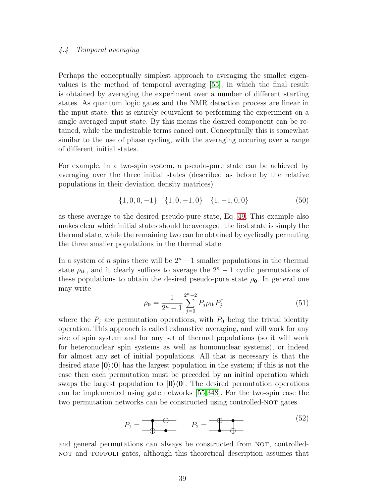### 4.4 Temporal averaging

Perhaps the conceptually simplest approach to averaging the smaller eigenvalues is the method of temporal averaging [\[55\]](#page-73-0), in which the final result is obtained by averaging the experiment over a number of different starting states. As quantum logic gates and the NMR detection process are linear in the input state, this is entirely equivalent to performing the experiment on a single averaged input state. By this means the desired component can be retained, while the undesirable terms cancel out. Conceptually this is somewhat similar to the use of phase cycling, with the averaging occuring over a range of different initial states.

For example, in a two-spin system, a pseudo-pure state can be achieved by averaging over the three initial states (described as before by the relative populations in their deviation density matrices)

$$
\{1,0,0,-1\} \{1,0,-1,0\} \{1,-1,0,0\} \tag{50}
$$

as these average to the desired pseudo-pure state, Eq. [49.](#page-37-0) This example also makes clear which initial states should be averaged: the first state is simply the thermal state, while the remaining two can be obtained by cyclically permuting the three smaller populations in the thermal state.

In a system of n spins there will be  $2<sup>n</sup> - 1$  smaller populations in the thermal state  $\rho_{\text{th}}$ , and it clearly suffices to average the  $2^{n} - 1$  cyclic permutations of these populations to obtain the desired pseudo-pure state  $\rho_0$ . In general one may write

$$
\rho_0 = \frac{1}{2^n - 1} \sum_{j=0}^{2^n - 2} P_j \rho_{\text{th}} P_j^{\dagger} \tag{51}
$$

where the  $P_i$  are permutation operations, with  $P_0$  being the trivial identity operation. This approach is called exhaustive averaging, and will work for any size of spin system and for any set of thermal populations (so it will work for heteronuclear spin systems as well as homonuclear systems), or indeed for almost any set of initial populations. All that is necessary is that the desired state  $|0\rangle\langle 0|$  has the largest population in the system; if this is not the case then each permutation must be preceded by an initial operation which swaps the largest population to  $|0\rangle\langle 0|$ . The desired permutation operations can be implemented using gate networks [\[55,](#page-73-0)[348\]](#page-86-7). For the two-spin case the two permutation networks can be constructed using controlled-NOT gates

$$
P_1 = \begin{array}{c|c|c|c|c} \hline \mathbf{0} & \mathbf{0} & \mathbf{0} \\ \hline \mathbf{0} & \mathbf{0} & \mathbf{0} \end{array} \tag{52}
$$

and general permutations can always be constructed from NOT, controllednot and toffoli gates, although this theoretical description assumes that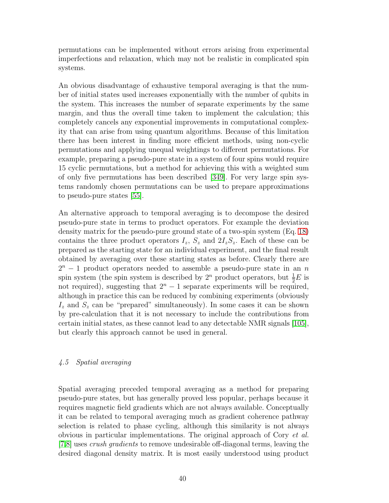permutations can be implemented without errors arising from experimental imperfections and relaxation, which may not be realistic in complicated spin systems.

An obvious disadvantage of exhaustive temporal averaging is that the number of initial states used increases exponentially with the number of qubits in the system. This increases the number of separate experiments by the same margin, and thus the overall time taken to implement the calculation; this completely cancels any exponential improvements in computational complexity that can arise from using quantum algorithms. Because of this limitation there has been interest in finding more efficient methods, using non-cyclic permutations and applying unequal weightings to different permutations. For example, preparing a pseudo-pure state in a system of four spins would require 15 cyclic permutations, but a method for achieving this with a weighted sum of only five permutations has been described [\[349\]](#page-86-8). For very large spin systems randomly chosen permutations can be used to prepare approximations to pseudo-pure states [\[55\]](#page-73-0).

An alternative approach to temporal averaging is to decompose the desired pseudo-pure state in terms to product operators. For example the deviation density matrix for the pseudo-pure ground state of a two-spin system (Eq. [18\)](#page-12-0) contains the three product operators  $I_z$ ,  $S_z$  and  $2I_zS_z$ . Each of these can be prepared as the starting state for an individual experiment, and the final result obtained by averaging over these starting states as before. Clearly there are  $2^n - 1$  product operators needed to assemble a pseudo-pure state in an n spin system (the spin system is described by  $2^n$  product operators, but  $\frac{1}{2}E$  is not required), suggesting that  $2<sup>n</sup> - 1$  separate experiments will be required, although in practice this can be reduced by combining experiments (obviously  $I_z$  and  $S_z$  can be "prepared" simultaneously). In some cases it can be shown by pre-calculation that it is not necessary to include the contributions from certain initial states, as these cannot lead to any detectable NMR signals [\[105\]](#page-76-0), but clearly this approach cannot be used in general.

## 4.5 Spatial averaging

Spatial averaging preceded temporal averaging as a method for preparing pseudo-pure states, but has generally proved less popular, perhaps because it requires magnetic field gradients which are not always available. Conceptually it can be related to temporal averaging much as gradient coherence pathway selection is related to phase cycling, although this similarity is not always obvious in particular implementations. The original approach of Cory et al. [\[7](#page-71-1)[,8\]](#page-71-2) uses crush gradients to remove undesirable off-diagonal terms, leaving the desired diagonal density matrix. It is most easily understood using product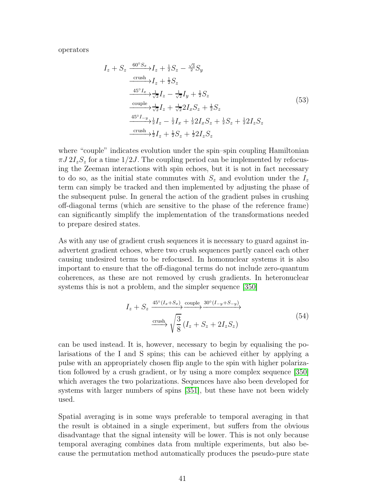operators

$$
I_{z} + S_{z} \xrightarrow{\text{60}^{\circ}S_{x}} I_{z} + \frac{1}{2}S_{z} - \frac{\sqrt{3}}{2}S_{y}
$$
  

$$
\xrightarrow{\text{crush}} I_{z} + \frac{1}{2}S_{z}
$$
  

$$
\xrightarrow{\text{45}^{\circ}I_{x}} \xrightarrow{\frac{1}{\sqrt{2}}} I_{z} - \frac{1}{\sqrt{2}}I_{y} + \frac{1}{2}S_{z}
$$
  

$$
\xrightarrow{\text{couple}} \xrightarrow{\frac{1}{\sqrt{2}}} I_{z} + \frac{1}{\sqrt{2}} 2I_{x}S_{z} + \frac{1}{2}S_{z}
$$
  

$$
\xrightarrow{\text{45}^{\circ}I_{-y}} \xrightarrow{\frac{1}{2}} I_{z} - \frac{1}{2}I_{x} + \frac{1}{2}2I_{x}S_{z} + \frac{1}{2}S_{z} + \frac{1}{2}2I_{z}S_{z}
$$
  

$$
\xrightarrow{\text{crush}} \xrightarrow{\frac{1}{2}} I_{z} + \frac{1}{2}S_{z} + \frac{1}{2}2I_{z}S_{z}
$$
  
(53)

where "couple" indicates evolution under the spin–spin coupling Hamiltonian  $\pi J 2I_zS_z$  for a time  $1/2J$ . The coupling period can be implemented by refocusing the Zeeman interactions with spin echoes, but it is not in fact necessary to do so, as the initial state commutes with  $S_z$  and evolution under the  $I_z$ term can simply be tracked and then implemented by adjusting the phase of the subsequent pulse. In general the action of the gradient pulses in crushing off-diagonal terms (which are sensitive to the phase of the reference frame) can significantly simplify the implementation of the transformations needed to prepare desired states.

As with any use of gradient crush sequences it is necessary to guard against inadvertent gradient echoes, where two crush sequences partly cancel each other causing undesired terms to be refocused. In homonuclear systems it is also important to ensure that the off-diagonal terms do not include zero-quantum coherences, as these are not removed by crush gradients. In heteronuclear systems this is not a problem, and the simpler sequence [\[350\]](#page-86-9)

$$
I_z + S_z \xrightarrow{\text{45}^\circ(I_x + S_x)} \xrightarrow{\text{couple}} \xrightarrow{30^\circ(I_{-y} + S_{-y})}
$$
  

$$
\xrightarrow{\text{crush}} \sqrt{\frac{3}{8} (I_z + S_z + 2I_z S_z)}
$$
 (54)

can be used instead. It is, however, necessary to begin by equalising the polarisations of the I and S spins; this can be achieved either by applying a pulse with an appropriately chosen flip angle to the spin with higher polarization followed by a crush gradient, or by using a more complex sequence [\[350\]](#page-86-9) which averages the two polarizations. Sequences have also been developed for systems with larger numbers of spins [\[351\]](#page-86-10), but these have not been widely used.

Spatial averaging is in some ways preferable to temporal averaging in that the result is obtained in a single experiment, but suffers from the obvious disadvantage that the signal intensity will be lower. This is not only because temporal averaging combines data from multiple experiments, but also because the permutation method automatically produces the pseudo-pure state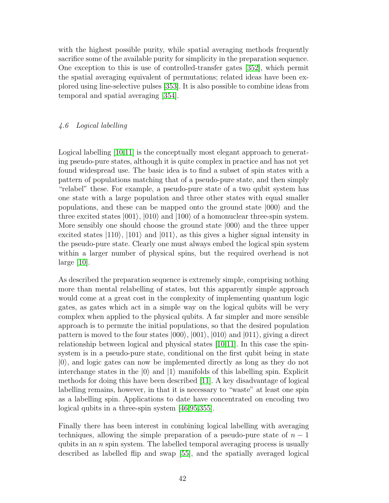with the highest possible purity, while spatial averaging methods frequently sacrifice some of the available purity for simplicity in the preparation sequence. One exception to this is use of controlled-transfer gates [\[352\]](#page-86-11), which permit the spatial averaging equivalent of permutations; related ideas have been explored using line-selective pulses [\[353\]](#page-86-12). It is also possible to combine ideas from temporal and spatial averaging [\[354\]](#page-86-13).

## 4.6 Logical labelling

Logical labelling [\[10](#page-71-0)[,11\]](#page-71-3) is the conceptually most elegant approach to generating pseudo-pure states, although it is quite complex in practice and has not yet found widespread use. The basic idea is to find a subset of spin states with a pattern of populations matching that of a pseudo-pure state, and then simply "relabel" these. For example, a pseudo-pure state of a two qubit system has one state with a large population and three other states with equal smaller populations, and these can be mapped onto the ground state  $|000\rangle$  and the three excited states  $|001\rangle$ ,  $|010\rangle$  and  $|100\rangle$  of a homonuclear three-spin system. More sensibly one should choose the ground state  $|000\rangle$  and the three upper excited states  $|110\rangle$ ,  $|101\rangle$  and  $|011\rangle$ , as this gives a higher signal intensity in the pseudo-pure state. Clearly one must always embed the logical spin system within a larger number of physical spins, but the required overhead is not large [\[10\]](#page-71-0).

As described the preparation sequence is extremely simple, comprising nothing more than mental relabelling of states, but this apparently simple approach would come at a great cost in the complexity of implementing quantum logic gates, as gates which act in a simple way on the logical qubits will be very complex when applied to the physical qubits. A far simpler and more sensible approach is to permute the initial populations, so that the desired population pattern is moved to the four states  $|000\rangle, |001\rangle, |010\rangle$  and  $|011\rangle$ , giving a direct relationship between logical and physical states [\[10,](#page-71-0)[11\]](#page-71-3). In this case the spinsystem is in a pseudo-pure state, conditional on the first qubit being in state  $|0\rangle$ , and logic gates can now be implemented directly as long as they do not interchange states in the  $|0\rangle$  and  $|1\rangle$  manifolds of this labelling spin. Explicit methods for doing this have been described [\[11\]](#page-71-3). A key disadvantage of logical labelling remains, however, in that it is necessary to "waste" at least one spin as a labelling spin. Applications to date have concentrated on encoding two logical qubits in a three-spin system [\[46,](#page-73-1)[95,](#page-75-0)[355\]](#page-86-14).

Finally there has been interest in combining logical labelling with averaging techniques, allowing the simple preparation of a pseudo-pure state of  $n-1$ qubits in an n spin system. The labelled temporal averaging process is usually described as labelled flip and swap [\[55\]](#page-73-0), and the spatially averaged logical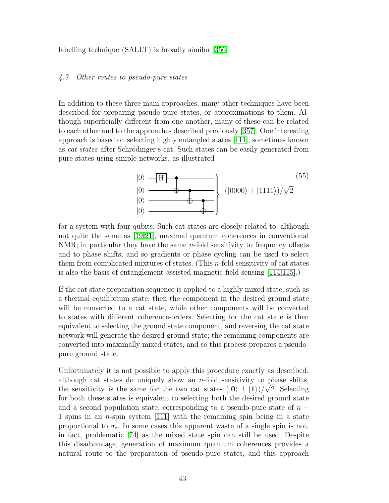labelling technique (SALLT) is broadly similar [\[356\]](#page-86-15).

## 4.7 Other routes to pseudo-pure states

In addition to these three main approaches, many other techniques have been described for preparing pseudo-pure states, or approximations to them. Although superficially different from one another, many of these can be related to each other and to the approaches described previously [\[357\]](#page-86-16). One interesting approach is based on selecting highly entangled states [\[111\]](#page-76-1), sometimes known as *cat states* after Schrödinger's cat. Such states can be easily generated from pure states using simple networks, as illustrated



for a system with four qubits. Such cat states are closely related to, although not quite the same as [\[19,](#page-72-5)[21\]](#page-72-6), maximal quantum coherences in conventional NMR; in particular they have the same n-fold sensitivity to frequency offsets and to phase shifts, and so gradients or phase cycling can be used to select them from complicated mixtures of states. (This n-fold sensitivity of cat states is also the basis of entanglement assisted magnetic field sensing [\[114,](#page-76-2)[115\]](#page-76-3).)

If the cat state preparation sequence is applied to a highly mixed state, such as a thermal equilibrium state, then the component in the desired ground state will be converted to a cat state, while other components will be converted to states with different coherence-orders. Selecting for the cat state is then equivalent to selecting the ground state component, and reversing the cat state network will generate the desired ground state; the remaining components are converted into maximally mixed states, and so this process prepares a pseudopure ground state.

Unfortunately it is not possible to apply this procedure exactly as described: although cat states do uniquely show an  $n$ -fold sensitivity to phase shifts, the sensitivity is the same for the two cat states  $(|0\rangle \pm |1\rangle)/\sqrt{2}$ . Selecting for both these states is equivalent to selecting both the desired ground state and a second population state, corresponding to a pseudo-pure state of  $n -$ 1 spins in an *n*-spin system [\[111\]](#page-76-1) with the remaining spin being in a state proportional to  $\sigma_z$ . In some cases this apparent waste of a single spin is not, in fact, problematic [\[74\]](#page-74-0) as the mixed state spin can still be used. Despite this disadvantage, generation of maximum quantum coherences provides a natural route to the preparation of pseudo-pure states, and this approach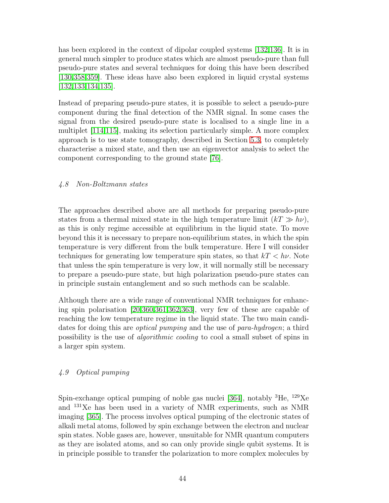has been explored in the context of dipolar coupled systems [\[132,](#page-77-0)[136\]](#page-77-1). It is in general much simpler to produce states which are almost pseudo-pure than full pseudo-pure states and several techniques for doing this have been described [\[130,](#page-77-2)[358,](#page-86-17)[359\]](#page-86-18). These ideas have also been explored in liquid crystal systems [\[132,](#page-77-0)[133,](#page-77-3)[134,](#page-77-4)[135\]](#page-77-5).

Instead of preparing pseudo-pure states, it is possible to select a pseudo-pure component during the final detection of the NMR signal. In some cases the signal from the desired pseudo-pure state is localised to a single line in a multiplet [\[114](#page-76-2)[,115\]](#page-76-3), making its selection particularly simple. A more complex approach is to use state tomography, described in Section [5.3,](#page-48-0) to completely characterise a mixed state, and then use an eigenvector analysis to select the component corresponding to the ground state [\[76\]](#page-74-1).

# 4.8 Non-Boltzmann states

The approaches described above are all methods for preparing pseudo-pure states from a thermal mixed state in the high temperature limit  $(kT \gg h\nu)$ , as this is only regime accessible at equilibrium in the liquid state. To move beyond this it is necessary to prepare non-equilibrium states, in which the spin temperature is very different from the bulk temperature. Here I will consider techniques for generating low temperature spin states, so that  $kT < h\nu$ . Note that unless the spin temperature is very low, it will normally still be necessary to prepare a pseudo-pure state, but high polarization pseudo-pure states can in principle sustain entanglement and so such methods can be scalable.

Although there are a wide range of conventional NMR techniques for enhancing spin polarisation [\[20](#page-72-3)[,360](#page-86-19)[,361,](#page-86-20)[362,](#page-86-21)[363\]](#page-86-22), very few of these are capable of reaching the low temperature regime in the liquid state. The two main candidates for doing this are *optical pumping* and the use of *para-hydrogen*; a third possibility is the use of algorithmic cooling to cool a small subset of spins in a larger spin system.

## 4.9 Optical pumping

Spin-exchange optical pumping of noble gas nuclei [\[364\]](#page-86-23), notably  ${}^{3}$ He,  ${}^{129}$ Xe and <sup>131</sup>Xe has been used in a variety of NMR experiments, such as NMR imaging [\[365\]](#page-86-24). The process involves optical pumping of the electronic states of alkali metal atoms, followed by spin exchange between the electron and nuclear spin states. Noble gases are, however, unsuitable for NMR quantum computers as they are isolated atoms, and so can only provide single qubit systems. It is in principle possible to transfer the polarization to more complex molecules by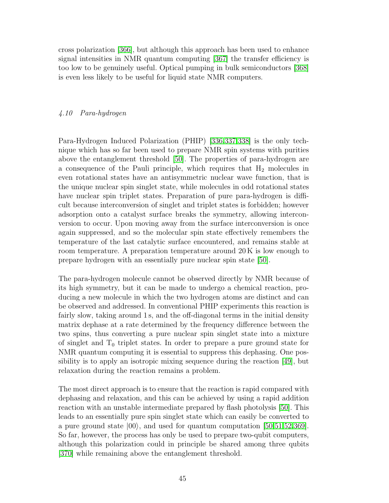cross polarization [\[366\]](#page-87-0), but although this approach has been used to enhance signal intensities in NMR quantum computing [\[367\]](#page-87-1) the transfer efficiency is too low to be genuinely useful. Optical pumping in bulk semiconductors [\[368\]](#page-87-2) is even less likely to be useful for liquid state NMR computers.

## 4.10 Para-hydrogen

Para-Hydrogen Induced Polarization (PHIP) [\[336](#page-85-1)[,337,](#page-85-2)[338\]](#page-85-3) is the only technique which has so far been used to prepare NMR spin systems with purities above the entanglement threshold [\[50\]](#page-73-2). The properties of para-hydrogen are a consequence of the Pauli principle, which requires that  $H_2$  molecules in even rotational states have an antisymmetric nuclear wave function, that is the unique nuclear spin singlet state, while molecules in odd rotational states have nuclear spin triplet states. Preparation of pure para-hydrogen is difficult because interconversion of singlet and triplet states is forbidden; however adsorption onto a catalyst surface breaks the symmetry, allowing interconversion to occur. Upon moving away from the surface interconversion is once again suppressed, and so the molecular spin state effectively remembers the temperature of the last catalytic surface encountered, and remains stable at room temperature. A preparation temperature around 20 K is low enough to prepare hydrogen with an essentially pure nuclear spin state [\[50\]](#page-73-2).

The para-hydrogen molecule cannot be observed directly by NMR because of its high symmetry, but it can be made to undergo a chemical reaction, producing a new molecule in which the two hydrogen atoms are distinct and can be observed and addressed. In conventional PHIP experiments this reaction is fairly slow, taking around 1 s, and the off-diagonal terms in the initial density matrix dephase at a rate determined by the frequency difference between the two spins, thus converting a pure nuclear spin singlet state into a mixture of singlet and  $T_0$  triplet states. In order to prepare a pure ground state for NMR quantum computing it is essential to suppress this dephasing. One possibility is to apply an isotropic mixing sequence during the reaction [\[49\]](#page-73-3), but relaxation during the reaction remains a problem.

The most direct approach is to ensure that the reaction is rapid compared with dephasing and relaxation, and this can be achieved by using a rapid addition reaction with an unstable intermediate prepared by flash photolysis [\[50\]](#page-73-2). This leads to an essentially pure spin singlet state which can easily be converted to a pure ground state  $|00\rangle$ , and used for quantum computation  $[50,51,52,369]$  $[50,51,52,369]$  $[50,51,52,369]$  $[50,51,52,369]$ . So far, however, the process has only be used to prepare two-qubit computers, although this polarization could in principle be shared among three qubits [\[370\]](#page-87-4) while remaining above the entanglement threshold.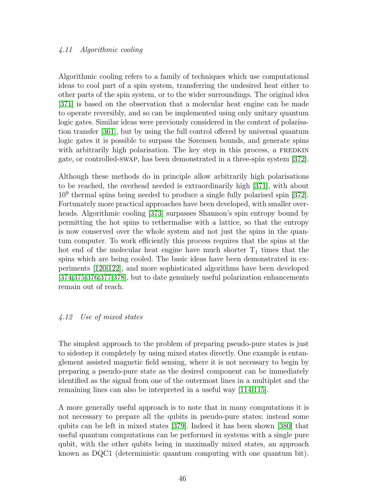## 4.11 Algorithmic cooling

Algorithmic cooling refers to a family of techniques which use computational ideas to cool part of a spin system, transferring the undesired heat either to other parts of the spin system, or to the wider surroundings. The original idea [\[371\]](#page-87-5) is based on the observation that a molecular heat engine can be made to operate reversibly, and so can be implemented using only unitary quantum logic gates. Similar ideas were previously considered in the context of polarisation transfer [\[361\]](#page-86-20), but by using the full control offered by universal quantum logic gates it is possible to surpass the Sørensen bounds, and generate spins with arbitrarily high polarisation. The key step in this process, a FREDKIN gate, or controlled-swap, has been demonstrated in a three-spin system [\[372\]](#page-87-6).

Although these methods do in principle allow arbitrarily high polarisations to be reached, the overhead needed is extraordinarily high [\[371\]](#page-87-5), with about 10<sup>9</sup> thermal spins being needed to produce a single fully polarised spin [\[372\]](#page-87-6). Fortunately more practical approaches have been developed, with smaller overheads. Algorithmic cooling [\[373\]](#page-87-7) surpasses Shannon's spin entropy bound by permitting the hot spins to rethermalise with a lattice, so that the entropy is now conserved over the whole system and not just the spins in the quantum computer. To work efficiently this process requires that the spins at the hot end of the molecular heat engine have much shorter  $T_1$  times that the spins which are being cooled. The basic ideas have been demonstrated in experiments [\[120](#page-76-4)[,122\]](#page-76-5), and more sophisticated algorithms have been developed [\[374,](#page-87-8)[375,](#page-87-9)[376,](#page-87-10)[377](#page-87-11)[,378\]](#page-87-12), but to date genuinely useful polarization enhancements remain out of reach.

## 4.12 Use of mixed states

The simplest approach to the problem of preparing pseudo-pure states is just to sidestep it completely by using mixed states directly. One example is entanglement assisted magnetic field sensing, where it is not necessary to begin by preparing a pseudo-pure state as the desired component can be immediately identified as the signal from one of the outermost lines in a multiplet and the remaining lines can also be interpreted in a useful way [\[114,](#page-76-2)[115\]](#page-76-3).

A more generally useful approach is to note that in many computations it is not necessary to prepare all the qubits in pseudo-pure states; instead some qubits can be left in mixed states [\[379\]](#page-87-13). Indeed it has been shown [\[380\]](#page-87-14) that useful quantum computations can be performed in systems with a single pure qubit, with the other qubits being in maximally mixed states, an approach known as DQC1 (deterministic quantum computing with one quantum bit).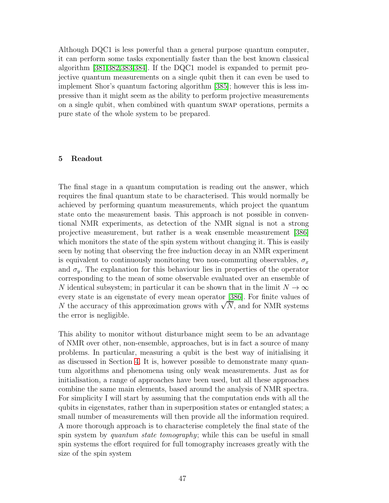Although DQC1 is less powerful than a general purpose quantum computer, it can perform some tasks exponentially faster than the best known classical algorithm [\[381,](#page-87-15)[382,](#page-87-16)[383](#page-87-17)[,384\]](#page-87-18). If the DQC1 model is expanded to permit projective quantum measurements on a single qubit then it can even be used to implement Shor's quantum factoring algorithm [\[385\]](#page-87-19); however this is less impressive than it might seem as the ability to perform projective measurements on a single qubit, when combined with quantum swap operations, permits a pure state of the whole system to be prepared.

### 5 Readout

The final stage in a quantum computation is reading out the answer, which requires the final quantum state to be characterised. This would normally be achieved by performing quantum measurements, which project the quantum state onto the measurement basis. This approach is not possible in conventional NMR experiments, as detection of the NMR signal is not a strong projective measurement, but rather is a weak ensemble measurement [\[386\]](#page-87-20) which monitors the state of the spin system without changing it. This is easily seen by noting that observing the free induction decay in an NMR experiment is equivalent to continuously monitoring two non-commuting observables,  $\sigma_x$ and  $\sigma_{\nu}$ . The explanation for this behaviour lies in properties of the operator corresponding to the mean of some observable evaluated over an ensemble of N identical subsystem; in particular it can be shown that in the limit  $N \to \infty$ every state is an eigenstate of every mean operator [\[386\]](#page-87-20). For finite values of N the accuracy of this approximation grows with  $\sqrt{N}$ , and for NMR systems the error is negligible.

This ability to monitor without disturbance might seem to be an advantage of NMR over other, non-ensemble, approaches, but is in fact a source of many problems. In particular, measuring a qubit is the best way of initialising it as discussed in Section [4.](#page-33-0) It is, however possible to demonstrate many quantum algorithms and phenomena using only weak measurements. Just as for initialisation, a range of approaches have been used, but all these approaches combine the same main elements, based around the analysis of NMR spectra. For simplicity I will start by assuming that the computation ends with all the qubits in eigenstates, rather than in superposition states or entangled states; a small number of measurements will then provide all the information required. A more thorough approach is to characterise completely the final state of the spin system by *quantum state tomography*; while this can be useful in small spin systems the effort required for full tomography increases greatly with the size of the spin system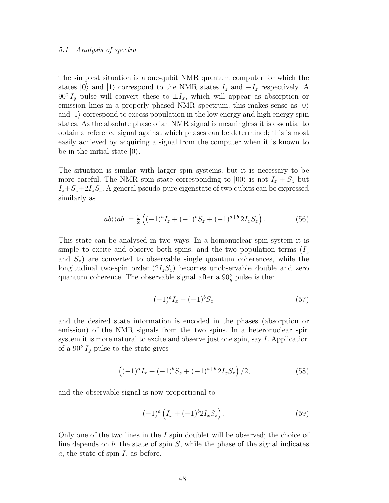#### 5.1 Analysis of spectra

The simplest situation is a one-qubit NMR quantum computer for which the states  $|0\rangle$  and  $|1\rangle$  correspond to the NMR states  $I_z$  and  $-I_z$  respectively. A  $90° I_y$  pulse will convert these to  $\pm I_x$ , which will appear as absorption or emission lines in a properly phased NMR spectrum; this makes sense as  $|0\rangle$ and  $|1\rangle$  correspond to excess population in the low energy and high energy spin states. As the absolute phase of an NMR signal is meaningless it is essential to obtain a reference signal against which phases can be determined; this is most easily achieved by acquiring a signal from the computer when it is known to be in the initial state  $|0\rangle$ .

The situation is similar with larger spin systems, but it is necessary to be more careful. The NMR spin state corresponding to  $|00\rangle$  is not  $I_z + S_z$  but  $I_z+S_z+2I_zS_z$ . A general pseudo-pure eigenstate of two qubits can be expressed similarly as

$$
|ab\rangle\langle ab| = \frac{1}{2}\left((-1)^{a}I_{z} + (-1)^{b}S_{z} + (-1)^{a+b}2I_{z}S_{z}\right).
$$
 (56)

This state can be analysed in two ways. In a homonuclear spin system it is simple to excite and observe both spins, and the two population terms  $(I_z)$ and  $S_z$ ) are converted to observable single quantum coherences, while the longitudinal two-spin order  $(2I_zS_z)$  becomes unobservable double and zero quantum coherence. The observable signal after a  $90<sup>°</sup><sub>y</sub>$  pulse is then

$$
(-1)^{a}I_{x} + (-1)^{b}S_{x}
$$
\n(57)

and the desired state information is encoded in the phases (absorption or emission) of the NMR signals from the two spins. In a heteronuclear spin system it is more natural to excite and observe just one spin, say  $I$ . Application of a  $90^{\circ} I_y$  pulse to the state gives

$$
\left((-1)^{a}I_{x}+(-1)^{b}S_{z}+(-1)^{a+b}2I_{x}S_{z}\right)/2, \tag{58}
$$

and the observable signal is now proportional to

$$
(-1)^{a} \left( I_{x} + (-1)^{b} 2I_{x} S_{z} \right). \tag{59}
$$

Only one of the two lines in the  $I$  spin doublet will be observed; the choice of line depends on  $b$ , the state of spin  $S$ , while the phase of the signal indicates a, the state of spin  $I$ , as before.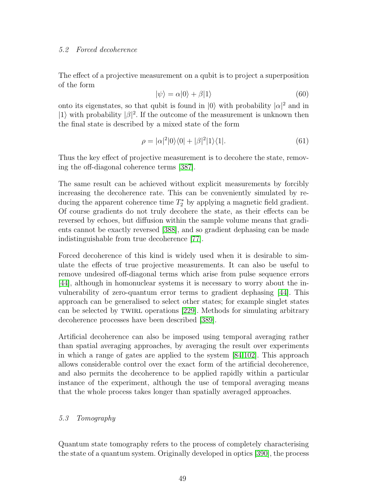### <span id="page-48-1"></span>5.2 Forced decoherence

The effect of a projective measurement on a qubit is to project a superposition of the form

$$
|\psi\rangle = \alpha|0\rangle + \beta|1\rangle \tag{60}
$$

onto its eigenstates, so that qubit is found in  $|0\rangle$  with probability  $|\alpha|^2$  and in  $|1\rangle$  with probability  $|\beta|^2$ . If the outcome of the measurement is unknown then the final state is described by a mixed state of the form

$$
\rho = |\alpha|^2 |0\rangle\langle 0| + |\beta|^2 |1\rangle\langle 1|.\tag{61}
$$

Thus the key effect of projective measurement is to decohere the state, removing the off-diagonal coherence terms [\[387\]](#page-87-21).

The same result can be achieved without explicit measurements by forcibly increasing the decoherence rate. This can be conveniently simulated by reducing the apparent coherence time  $T_2^*$  by applying a magnetic field gradient. Of course gradients do not truly decohere the state, as their effects can be reversed by echoes, but diffusion within the sample volume means that gradients cannot be exactly reversed [\[388\]](#page-88-0), and so gradient dephasing can be made indistinguishable from true decoherence [\[77\]](#page-74-2).

Forced decoherence of this kind is widely used when it is desirable to simulate the effects of true projective measurements. It can also be useful to remove undesired off-diagonal terms which arise from pulse sequence errors [\[44\]](#page-73-6), although in homonuclear systems it is necessary to worry about the invulnerability of zero-quantum error terms to gradient dephasing [\[44\]](#page-73-6). This approach can be generalised to select other states; for example singlet states can be selected by TWIRL operations [\[229\]](#page-81-0). Methods for simulating arbitrary decoherence processes have been described [\[389\]](#page-88-1).

Artificial decoherence can also be imposed using temporal averaging rather than spatial averaging approaches, by averaging the result over experiments in which a range of gates are applied to the system [\[84,](#page-75-1)[102\]](#page-75-2). This approach allows considerable control over the exact form of the artificial decoherence, and also permits the decoherence to be applied rapidly within a particular instance of the experiment, although the use of temporal averaging means that the whole process takes longer than spatially averaged approaches.

## <span id="page-48-0"></span>5.3 Tomography

Quantum state tomography refers to the process of completely characterising the state of a quantum system. Originally developed in optics [\[390\]](#page-88-2), the process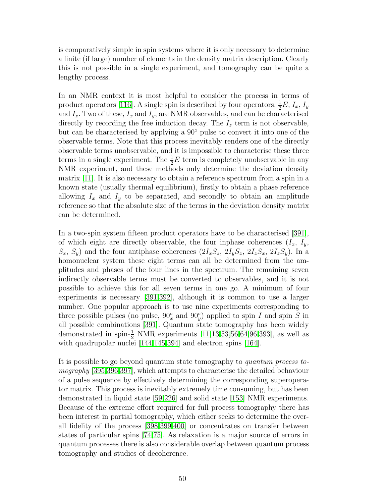is comparatively simple in spin systems where it is only necessary to determine a finite (if large) number of elements in the density matrix description. Clearly this is not possible in a single experiment, and tomography can be quite a lengthy process.

In an NMR context it is most helpful to consider the process in terms of product operators [\[116\]](#page-76-6). A single spin is described by four operators,  $\frac{1}{2}E$ ,  $I_x$ ,  $I_y$ and  $I_z$ . Two of these,  $I_x$  and  $I_y$ , are NMR observables, and can be characterised directly by recording the free induction decay. The  $I_z$  term is not observable, but can be characterised by applying a 90◦ pulse to convert it into one of the observable terms. Note that this process inevitably renders one of the directly observable terms unobservable, and it is impossible to characterise these three terms in a single experiment. The  $\frac{1}{2}E$  term is completely unobservable in any NMR experiment, and these methods only determine the deviation density matrix [\[11\]](#page-71-3). It is also necessary to obtain a reference spectrum from a spin in a known state (usually thermal equilibrium), firstly to obtain a phase reference allowing  $I_x$  and  $I_y$  to be separated, and secondly to obtain an amplitude reference so that the absolute size of the terms in the deviation density matrix can be determined.

In a two-spin system fifteen product operators have to be characterised [\[391\]](#page-88-3), of which eight are directly observable, the four inphase coherences  $(I_x, I_y,$  $S_x, S_y$  and the four antiphase coherences  $(2I_xS_z, 2I_yS_z, 2I_zS_x, 2I_zS_y)$ . In a homonuclear system these eight terms can all be determined from the amplitudes and phases of the four lines in the spectrum. The remaining seven indirectly observable terms must be converted to observables, and it is not possible to achieve this for all seven terms in one go. A minimum of four experiments is necessary [\[391](#page-88-3)[,392\]](#page-88-4), although it is common to use a larger number. One popular approach is to use nine experiments corresponding to three possible pulses (no pulse,  $90^\circ_x$  and  $90^\circ_y$ ) applied to spin I and spin S in all possible combinations [\[391\]](#page-88-3). Quantum state tomography has been widely demonstrated in spin- $\frac{1}{2}$  NMR experiments [\[11](#page-71-3)[,13](#page-71-4)[,53,](#page-73-7)[56,](#page-73-8)[64,](#page-74-3)[96,](#page-75-3)[393\]](#page-88-5), as well as with quadrupolar nuclei [\[144,](#page-77-6)[145](#page-77-7)[,394\]](#page-88-6) and electron spins [\[164\]](#page-78-0).

It is possible to go beyond quantum state tomography to quantum process tomography [\[395](#page-88-7)[,396,](#page-88-8)[397\]](#page-88-9), which attempts to characterise the detailed behaviour of a pulse sequence by effectively determining the corresponding superoperator matrix. This process is inevitably extremely time consuming, but has been demonstrated in liquid state [\[59,](#page-73-9)[226\]](#page-81-1) and solid state [\[153\]](#page-78-1) NMR experiments. Because of the extreme effort required for full process tomography there has been interest in partial tomography, which either seeks to determine the overall fidelity of the process [\[398,](#page-88-10)[399,](#page-88-11)[400\]](#page-88-12) or concentrates on transfer between states of particular spins [\[74](#page-74-0)[,75\]](#page-74-4). As relaxation is a major source of errors in quantum processes there is also considerable overlap between quantum process tomography and studies of decoherence.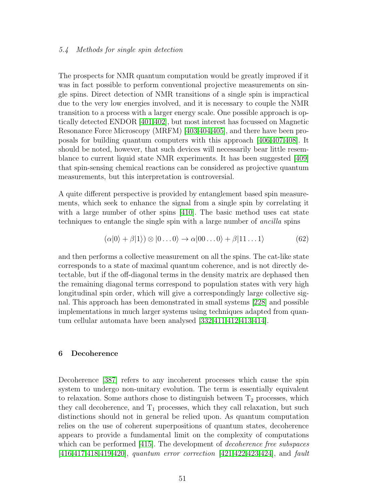### 5.4 Methods for single spin detection

The prospects for NMR quantum computation would be greatly improved if it was in fact possible to perform conventional projective measurements on single spins. Direct detection of NMR transitions of a single spin is impractical due to the very low energies involved, and it is necessary to couple the NMR transition to a process with a larger energy scale. One possible approach is optically detected ENDOR [\[401](#page-88-13)[,402\]](#page-88-14), but most interest has focussed on Magnetic Resonance Force Microscopy (MRFM) [\[403](#page-88-15)[,404,](#page-88-16)[405\]](#page-88-17), and there have been proposals for building quantum computers with this approach [\[406,](#page-88-18)[407](#page-88-19)[,408\]](#page-88-20). It should be noted, however, that such devices will necessarily bear little resemblance to current liquid state NMR experiments. It has been suggested [\[409\]](#page-88-21) that spin-sensing chemical reactions can be considered as projective quantum measurements, but this interpretation is controversial.

A quite different perspective is provided by entanglement based spin measurements, which seek to enhance the signal from a single spin by correlating it with a large number of other spins [\[410\]](#page-88-22). The basic method uses cat state techniques to entangle the single spin with a large number of ancilla spins

$$
(\alpha|0\rangle + \beta|1\rangle) \otimes |0...0\rangle \rightarrow \alpha|00...0\rangle + \beta|11...1\rangle \tag{62}
$$

and then performs a collective measurement on all the spins. The cat-like state corresponds to a state of maximal quantum coherence, and is not directly detectable, but if the off-diagonal terms in the density matrix are dephased then the remaining diagonal terms correspond to population states with very high longitudinal spin order, which will give a correspondingly large collective signal. This approach has been demonstrated in small systems [\[228\]](#page-81-2) and possible implementations in much larger systems using techniques adapted from quantum cellular automata have been analysed [\[332,](#page-85-4)[411,](#page-88-23)[412](#page-89-0)[,413](#page-89-1)[,414\]](#page-89-2).

#### 6 Decoherence

Decoherence [\[387\]](#page-87-21) refers to any incoherent processes which cause the spin system to undergo non-unitary evolution. The term is essentially equivalent to relaxation. Some authors chose to distinguish between  $T_2$  processes, which they call decoherence, and  $T_1$  processes, which they call relaxation, but such distinctions should not in general be relied upon. As quantum computation relies on the use of coherent superpositions of quantum states, decoherence appears to provide a fundamental limit on the complexity of computations which can be performed [\[415\]](#page-89-3). The development of *decoherence free subspaces* [\[416,](#page-89-4)[417,](#page-89-5)[418,](#page-89-6)[419](#page-89-7)[,420\]](#page-89-8), quantum error correction [\[421](#page-89-9)[,422](#page-89-10)[,423](#page-89-11)[,424\]](#page-89-12), and fault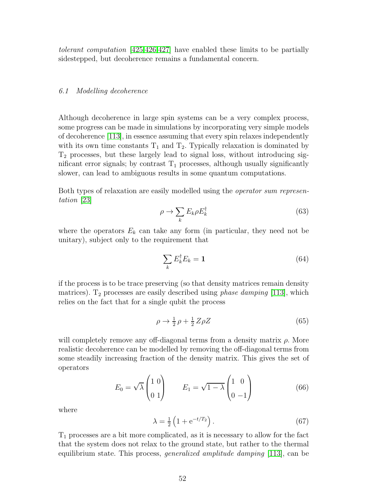tolerant computation [\[425](#page-89-13)[,426,](#page-89-14)[427\]](#page-89-15) have enabled these limits to be partially sidestepped, but decoherence remains a fundamental concern.

#### 6.1 Modelling decoherence

Although decoherence in large spin systems can be a very complex process, some progress can be made in simulations by incorporating very simple models of decoherence [\[113\]](#page-76-7), in essence assuming that every spin relaxes independently with its own time constants  $T_1$  and  $T_2$ . Typically relaxation is dominated by T<sup>2</sup> processes, but these largely lead to signal loss, without introducing significant error signals; by contrast  $T_1$  processes, although usually significantly slower, can lead to ambiguous results in some quantum computations.

Both types of relaxation are easily modelled using the *operator sum represen*tation [\[23\]](#page-72-7)

$$
\rho \to \sum_{k} E_k \rho E_k^{\dagger} \tag{63}
$$

where the operators  $E_k$  can take any form (in particular, they need not be unitary), subject only to the requirement that

$$
\sum_{k} E_{k}^{\dagger} E_{k} = \mathbf{1}
$$
\n(64)

if the process is to be trace preserving (so that density matrices remain density matrices). T<sub>2</sub> processes are easily described using *phase damping* [\[113\]](#page-76-7), which relies on the fact that for a single qubit the process

$$
\rho \to \frac{1}{2}\rho + \frac{1}{2}Z\rho Z \tag{65}
$$

will completely remove any off-diagonal terms from a density matrix  $\rho$ . More realistic decoherence can be modelled by removing the off-diagonal terms from some steadily increasing fraction of the density matrix. This gives the set of operators

$$
E_0 = \sqrt{\lambda} \begin{pmatrix} 1 & 0 \\ 0 & 1 \end{pmatrix} \qquad E_1 = \sqrt{1 - \lambda} \begin{pmatrix} 1 & 0 \\ 0 & -1 \end{pmatrix} \tag{66}
$$

where

$$
\lambda = \frac{1}{2} \left( 1 + e^{-t/T_2} \right). \tag{67}
$$

 $T_1$  processes are a bit more complicated, as it is necessary to allow for the fact that the system does not relax to the ground state, but rather to the thermal equilibrium state. This process, *generalized amplitude damping* [\[113\]](#page-76-7), can be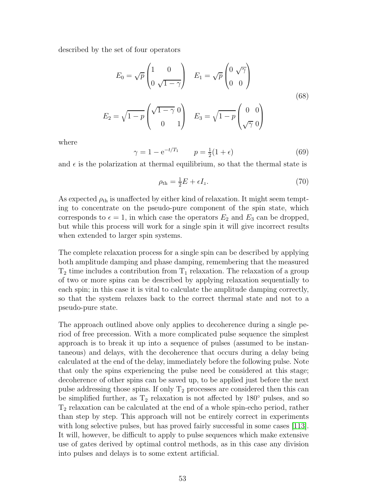described by the set of four operators

$$
E_0 = \sqrt{p} \begin{pmatrix} 1 & 0 \\ 0 & \sqrt{1 - \gamma} \end{pmatrix} \quad E_1 = \sqrt{p} \begin{pmatrix} 0 & \sqrt{\gamma} \\ 0 & 0 \end{pmatrix}
$$
  
\n
$$
E_2 = \sqrt{1 - p} \begin{pmatrix} \sqrt{1 - \gamma} & 0 \\ 0 & 1 \end{pmatrix} \quad E_3 = \sqrt{1 - p} \begin{pmatrix} 0 & 0 \\ \sqrt{\gamma} & 0 \end{pmatrix}
$$
 (68)

where

$$
\gamma = 1 - e^{-t/T_1} \qquad p = \frac{1}{2}(1 + \epsilon) \tag{69}
$$

and  $\epsilon$  is the polarization at thermal equilibrium, so that the thermal state is

$$
\rho_{\rm th} = \frac{1}{2}E + \epsilon I_z. \tag{70}
$$

As expected  $\rho_{th}$  is unaffected by either kind of relaxation. It might seem tempting to concentrate on the pseudo-pure component of the spin state, which corresponds to  $\epsilon = 1$ , in which case the operators  $E_2$  and  $E_3$  can be dropped, but while this process will work for a single spin it will give incorrect results when extended to larger spin systems.

The complete relaxation process for a single spin can be described by applying both amplitude damping and phase damping, remembering that the measured  $T_2$  time includes a contribution from  $T_1$  relaxation. The relaxation of a group of two or more spins can be described by applying relaxation sequentially to each spin; in this case it is vital to calculate the amplitude damping correctly, so that the system relaxes back to the correct thermal state and not to a pseudo-pure state.

The approach outlined above only applies to decoherence during a single period of free precession. With a more complicated pulse sequence the simplest approach is to break it up into a sequence of pulses (assumed to be instantaneous) and delays, with the decoherence that occurs during a delay being calculated at the end of the delay, immediately before the following pulse. Note that only the spins experiencing the pulse need be considered at this stage; decoherence of other spins can be saved up, to be applied just before the next pulse addressing those spins. If only  $T_2$  processes are considered then this can be simplified further, as  $T_2$  relaxation is not affected by  $180°$  pulses, and so T<sup>2</sup> relaxation can be calculated at the end of a whole spin-echo period, rather than step by step. This approach will not be entirely correct in experiments with long selective pulses, but has proved fairly successful in some cases [\[113\]](#page-76-7). It will, however, be difficult to apply to pulse sequences which make extensive use of gates derived by optimal control methods, as in this case any division into pulses and delays is to some extent artificial.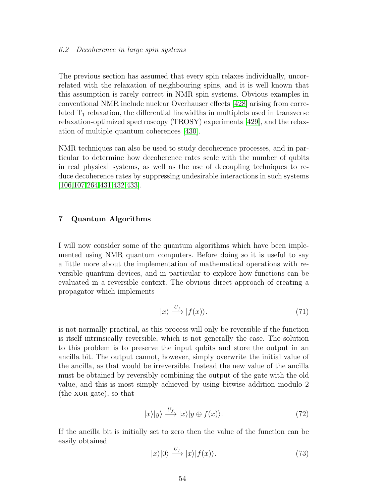#### <span id="page-53-0"></span>6.2 Decoherence in large spin systems

The previous section has assumed that every spin relaxes individually, uncorrelated with the relaxation of neighbouring spins, and it is well known that this assumption is rarely correct in NMR spin systems. Obvious examples in conventional NMR include nuclear Overhauser effects [\[428\]](#page-89-16) arising from correlated  $T_1$  relaxation, the differential linewidths in multiplets used in transverse relaxation-optimized spectroscopy (TROSY) experiments [\[429\]](#page-89-17), and the relaxation of multiple quantum coherences [\[430\]](#page-89-18).

NMR techniques can also be used to study decoherence processes, and in particular to determine how decoherence rates scale with the number of qubits in real physical systems, as well as the use of decoupling techniques to reduce decoherence rates by suppressing undesirable interactions in such systems [\[106,](#page-76-8)[107,](#page-76-9)[264,](#page-83-0)[431](#page-89-19)[,432](#page-89-20)[,433\]](#page-89-21).

### 7 Quantum Algorithms

I will now consider some of the quantum algorithms which have been implemented using NMR quantum computers. Before doing so it is useful to say a little more about the implementation of mathematical operations with reversible quantum devices, and in particular to explore how functions can be evaluated in a reversible context. The obvious direct approach of creating a propagator which implements

$$
|x\rangle \xrightarrow{U_f} |f(x)\rangle. \tag{71}
$$

is not normally practical, as this process will only be reversible if the function is itself intrinsically reversible, which is not generally the case. The solution to this problem is to preserve the input qubits and store the output in an ancilla bit. The output cannot, however, simply overwrite the initial value of the ancilla, as that would be irreversible. Instead the new value of the ancilla must be obtained by reversibly combining the output of the gate with the old value, and this is most simply achieved by using bitwise addition modulo 2 (the xor gate), so that

$$
|x\rangle|y\rangle \xrightarrow{U_f} |x\rangle|y \oplus f(x)\rangle. \tag{72}
$$

If the ancilla bit is initially set to zero then the value of the function can be easily obtained

$$
|x\rangle|0\rangle \xrightarrow{U_f} |x\rangle|f(x)\rangle. \tag{73}
$$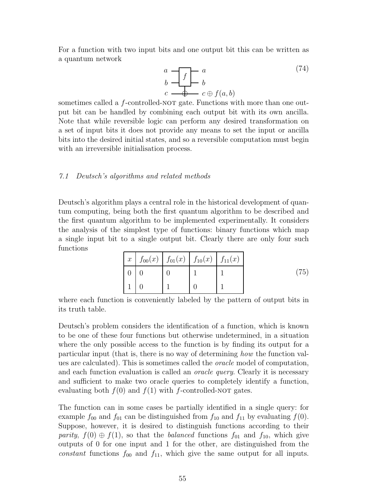For a function with two input bits and one output bit this can be written as a quantum network

$$
\begin{array}{c}\n a \\
b \\
c\n \end{array}\n \begin{array}{c}\n \begin{array}{c}\n \stackrel{a}{f} \\
b \\
c \end{array}\n \end{array}\n \begin{array}{c}\n \stackrel{a}{f} \\
\stackrel{b}{f} \\
c \end{array}\n \end{array}\n \tag{74}
$$

sometimes called a f-controlled-nor gate. Functions with more than one output bit can be handled by combining each output bit with its own ancilla. Note that while reversible logic can perform any desired transformation on a set of input bits it does not provide any means to set the input or ancilla bits into the desired initial states, and so a reversible computation must begin with an irreversible initialisation process.

#### 7.1 Deutsch's algorithms and related methods

Deutsch's algorithm plays a central role in the historical development of quantum computing, being both the first quantum algorithm to be described and the first quantum algorithm to be implemented experimentally. It considers the analysis of the simplest type of functions: binary functions which map a single input bit to a single output bit. Clearly there are only four such functions

|  | $\mid x \mid f_{00}(x) \mid f_{01}(x) \mid f_{10}(x) \mid f_{11}(x)$ |  |  |
|--|----------------------------------------------------------------------|--|--|
|  |                                                                      |  |  |
|  |                                                                      |  |  |

where each function is conveniently labeled by the pattern of output bits in its truth table.

Deutsch's problem considers the identification of a function, which is known to be one of these four functions but otherwise undetermined, in a situation where the only possible access to the function is by finding its output for a particular input (that is, there is no way of determining how the function values are calculated). This is sometimes called the oracle model of computation, and each function evaluation is called an *oracle query*. Clearly it is necessary and sufficient to make two oracle queries to completely identify a function, evaluating both  $f(0)$  and  $f(1)$  with f-controlled-NOT gates.

The function can in some cases be partially identified in a single query: for example  $f_{00}$  and  $f_{01}$  can be distinguished from  $f_{10}$  and  $f_{11}$  by evaluating  $f(0)$ . Suppose, however, it is desired to distinguish functions according to their parity,  $f(0) \oplus f(1)$ , so that the *balanced* functions  $f_{01}$  and  $f_{10}$ , which give outputs of 0 for one input and 1 for the other, are distinguished from the constant functions  $f_{00}$  and  $f_{11}$ , which give the same output for all inputs.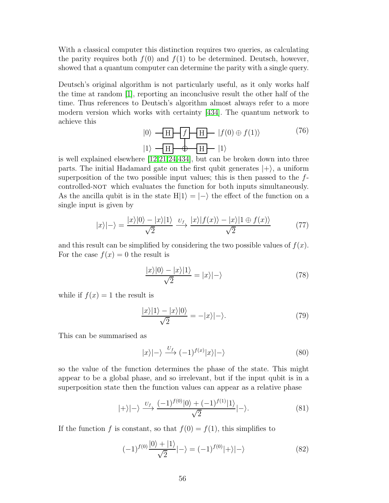With a classical computer this distinction requires two queries, as calculating the parity requires both  $f(0)$  and  $f(1)$  to be determined. Deutsch, however, showed that a quantum computer can determine the parity with a single query.

Deutsch's original algorithm is not particularly useful, as it only works half the time at random [\[1\]](#page-71-5), reporting an inconclusive result the other half of the time. Thus references to Deutsch's algorithm almost always refer to a more modern version which works with certainty [\[434\]](#page-89-22). The quantum network to achieve this

$$
|0\rangle \longrightarrow H \longrightarrow f \longrightarrow H \longrightarrow |f(0) \oplus f(1)\rangle
$$
  

$$
|1\rangle \longrightarrow H \longrightarrow H \longrightarrow |1\rangle
$$
 (76)

is well explained elsewhere [\[12](#page-71-6)[,21](#page-72-6)[,24](#page-72-8)[,434\]](#page-89-22), but can be broken down into three parts. The initial Hadamard gate on the first qubit generates  $|+\rangle$ , a uniform superposition of the two possible input values; this is then passed to the  $f$ controlled-not which evaluates the function for both inputs simultaneously. As the ancilla qubit is in the state H|1 $\rangle = |-\rangle$  the effect of the function on a single input is given by

$$
|x\rangle|-\rangle = \frac{|x\rangle|0\rangle - |x\rangle|1\rangle}{\sqrt{2}} \xrightarrow{U_f} \frac{|x\rangle|f(x)\rangle - |x\rangle|1 \oplus f(x)\rangle}{\sqrt{2}}\tag{77}
$$

and this result can be simplified by considering the two possible values of  $f(x)$ . For the case  $f(x) = 0$  the result is

$$
\frac{|x\rangle|0\rangle - |x\rangle|1\rangle}{\sqrt{2}} = |x\rangle|-\rangle\tag{78}
$$

while if  $f(x) = 1$  the result is

$$
\frac{|x\rangle|1\rangle - |x\rangle|0\rangle}{\sqrt{2}} = -|x\rangle|-\rangle. \tag{79}
$$

This can be summarised as

$$
|x\rangle|-\rangle \xrightarrow{U_f} (-1)^{f(x)}|x\rangle|-\rangle \tag{80}
$$

so the value of the function determines the phase of the state. This might appear to be a global phase, and so irrelevant, but if the input qubit is in a superposition state then the function values can appear as a relative phase

$$
|+\rangle|-\rangle \xrightarrow{U_f} \frac{(-1)^{f(0)}|0\rangle + (-1)^{f(1)}|1\rangle}{\sqrt{2}}|-\rangle.
$$
 (81)

If the function f is constant, so that  $f(0) = f(1)$ , this simplifies to

$$
(-1)^{f(0)}\frac{|0\rangle+|1\rangle}{\sqrt{2}}|-\rangle=(-1)^{f(0)}|+\rangle|-\rangle
$$
\n(82)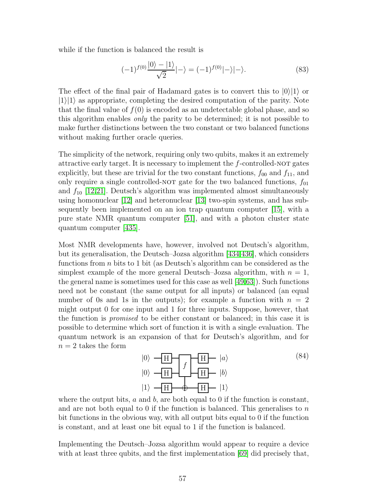while if the function is balanced the result is

$$
(-1)^{f(0)}\frac{|0\rangle - |1\rangle}{\sqrt{2}} |-\rangle = (-1)^{f(0)} |-\rangle |-\rangle. \tag{83}
$$

The effect of the final pair of Hadamard gates is to convert this to  $|0\rangle|1\rangle$  or  $|1\rangle|1\rangle$  as appropriate, completing the desired computation of the parity. Note that the final value of  $f(0)$  is encoded as an undetectable global phase, and so this algorithm enables only the parity to be determined; it is not possible to make further distinctions between the two constant or two balanced functions without making further oracle queries.

The simplicity of the network, requiring only two qubits, makes it an extremely attractive early target. It is necessary to implement the f-controlled-NOT gates explicitly, but these are trivial for the two constant functions,  $f_{00}$  and  $f_{11}$ , and only require a single controlled-nor gate for the two balanced functions,  $f_{01}$ and  $f_{10}$  [\[12,](#page-71-6)[21\]](#page-72-6). Deutsch's algorithm was implemented almost simultaneously using homonuclear [\[12\]](#page-71-6) and heteronuclear [\[13\]](#page-71-4) two-spin systems, and has subsequently been implemented on an ion trap quantum computer [\[15\]](#page-71-7), with a pure state NMR quantum computer [\[51\]](#page-73-4), and with a photon cluster state quantum computer [\[435\]](#page-89-23).

Most NMR developments have, however, involved not Deutsch's algorithm, but its generalisation, the Deutsch–Jozsa algorithm [\[434,](#page-89-22)[436\]](#page-90-0), which considers functions from  $n$  bits to 1 bit (as Deutsch's algorithm can be considered as the simplest example of the more general Deutsch–Jozsa algorithm, with  $n = 1$ , the general name is sometimes used for this case as well [\[49](#page-73-3)[,63\]](#page-74-5)). Such functions need not be constant (the same output for all inputs) or balanced (an equal number of 0s and 1s in the outputs); for example a function with  $n = 2$ might output 0 for one input and 1 for three inputs. Suppose, however, that the function is promised to be either constant or balanced; in this case it is possible to determine which sort of function it is with a single evaluation. The quantum network is an expansion of that for Deutsch's algorithm, and for  $n = 2$  takes the form

$$
|0\rangle \longrightarrow H
$$
  
\n
$$
|0\rangle \longrightarrow H
$$
  
\n
$$
|1\rangle \longrightarrow H
$$
  
\n
$$
|1\rangle \longrightarrow H
$$
  
\n
$$
|1\rangle \longrightarrow H
$$
  
\n
$$
|1\rangle |1\rangle
$$
  
\n(84)

where the output bits,  $a$  and  $b$ , are both equal to 0 if the function is constant, and are not both equal to 0 if the function is balanced. This generalises to  $n$ bit functions in the obvious way, with all output bits equal to 0 if the function is constant, and at least one bit equal to 1 if the function is balanced.

Implementing the Deutsch–Jozsa algorithm would appear to require a device with at least three qubits, and the first implementation [\[69\]](#page-74-6) did precisely that,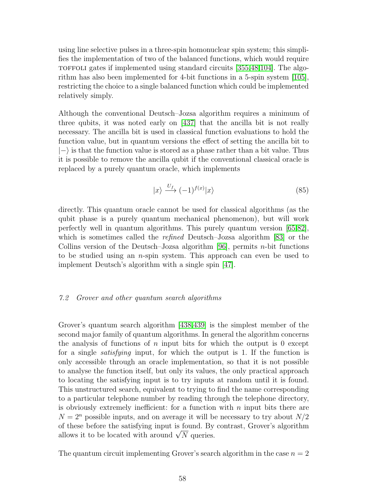using line selective pulses in a three-spin homonuclear spin system; this simplifies the implementation of two of the balanced functions, which would require toffoli gates if implemented using standard circuits [\[355,](#page-86-14)[48](#page-73-10)[,104\]](#page-76-10). The algorithm has also been implemented for 4-bit functions in a 5-spin system [\[105\]](#page-76-0), restricting the choice to a single balanced function which could be implemented relatively simply.

Although the conventional Deutsch–Jozsa algorithm requires a minimum of three qubits, it was noted early on [\[437\]](#page-90-1) that the ancilla bit is not really necessary. The ancilla bit is used in classical function evaluations to hold the function value, but in quantum versions the effect of setting the ancilla bit to  $|-\rangle$  is that the function value is stored as a phase rather than a bit value. Thus it is possible to remove the ancilla qubit if the conventional classical oracle is replaced by a purely quantum oracle, which implements

$$
|x\rangle \xrightarrow{U_f} (-1)^{f(x)} |x\rangle \tag{85}
$$

directly. This quantum oracle cannot be used for classical algorithms (as the qubit phase is a purely quantum mechanical phenomenon), but will work perfectly well in quantum algorithms. This purely quantum version [\[65](#page-74-7)[,82\]](#page-75-4), which is sometimes called the *refined* Deutsch–Jozsa algorithm [\[83\]](#page-75-5) or the Collins version of the Deutsch–Jozsa algorithm [\[96\]](#page-75-3), permits n-bit functions to be studied using an *n*-spin system. This approach can even be used to implement Deutsch's algorithm with a single spin [\[47\]](#page-73-11).

### 7.2 Grover and other quantum search algorithms

Grover's quantum search algorithm [\[438](#page-90-2)[,439\]](#page-90-3) is the simplest member of the second major family of quantum algorithms. In general the algorithm concerns the analysis of functions of n input bits for which the output is 0 except for a single satisfying input, for which the output is 1. If the function is only accessible through an oracle implementation, so that it is not possible to analyse the function itself, but only its values, the only practical approach to locating the satisfying input is to try inputs at random until it is found. This unstructured search, equivalent to trying to find the name corresponding to a particular telephone number by reading through the telephone directory, is obviously extremely inefficient: for a function with  $n$  input bits there are  $N = 2<sup>n</sup>$  possible inputs, and on average it will be necessary to try about  $N/2$ of these before the satisfying input is found. By contrast, Grover's algorithm allows it to be located with around  $\sqrt{N}$  queries.

The quantum circuit implementing Grover's search algorithm in the case  $n = 2$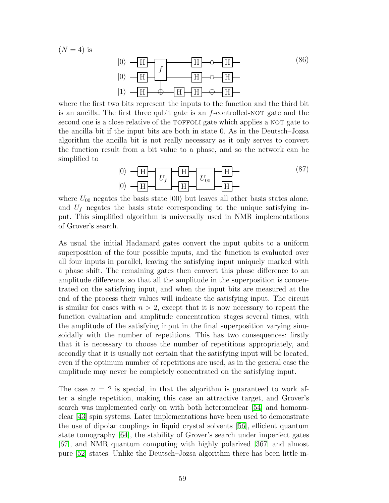$(N = 4)$  is



where the first two bits represent the inputs to the function and the third bit is an ancilla. The first three qubit gate is an  $f$ -controlled-NOT gate and the second one is a close relative of the TOFFOLI gate which applies a NOT gate to the ancilla bit if the input bits are both in state 0. As in the Deutsch–Jozsa algorithm the ancilla bit is not really necessary as it only serves to convert the function result from a bit value to a phase, and so the network can be simplified to

$$
|0\rangle \longrightarrow H
$$
\n
$$
U_f
$$
\n
$$
U_{10}
$$
\n
$$
U_f
$$
\n
$$
U_{00}
$$
\n
$$
H
$$
\n(87)

where  $U_{00}$  negates the basis state  $|00\rangle$  but leaves all other basis states alone, and  $U_f$  negates the basis state corresponding to the unique satisfying input. This simplified algorithm is universally used in NMR implementations of Grover's search.

As usual the initial Hadamard gates convert the input qubits to a uniform superposition of the four possible inputs, and the function is evaluated over all four inputs in parallel, leaving the satisfying input uniquely marked with a phase shift. The remaining gates then convert this phase difference to an amplitude difference, so that all the amplitude in the superposition is concentrated on the satisfying input, and when the input bits are measured at the end of the process their values will indicate the satisfying input. The circuit is similar for cases with  $n > 2$ , except that it is now necessary to repeat the function evaluation and amplitude concentration stages several times, with the amplitude of the satisfying input in the final superposition varying sinusoidally with the number of repetitions. This has two consequences: firstly that it is necessary to choose the number of repetitions appropriately, and secondly that it is usually not certain that the satisfying input will be located, even if the optimum number of repetitions are used, as in the general case the amplitude may never be completely concentrated on the satisfying input.

The case  $n = 2$  is special, in that the algorithm is guaranteed to work after a single repetition, making this case an attractive target, and Grover's search was implemented early on with both heteronuclear [\[54\]](#page-73-12) and homonuclear [\[43\]](#page-73-13) spin systems. Later implementations have been used to demonstrate the use of dipolar couplings in liquid crystal solvents [\[56\]](#page-73-8), efficient quantum state tomography [\[64\]](#page-74-3), the stability of Grover's search under imperfect gates [\[67\]](#page-74-8), and NMR quantum computing with highly polarized [\[367\]](#page-87-1) and almost pure [\[52\]](#page-73-5) states. Unlike the Deutsch–Jozsa algorithm there has been little in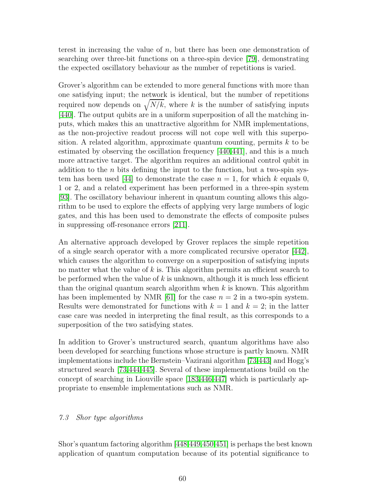terest in increasing the value of  $n$ , but there has been one demonstration of searching over three-bit functions on a three-spin device [\[79\]](#page-74-9), demonstrating the expected oscillatory behaviour as the number of repetitions is varied.

Grover's algorithm can be extended to more general functions with more than one satisfying input; the network is identical, but the number of repetitions required now depends on  $\sqrt{N/k}$ , where k is the number of satisfying inputs [\[440\]](#page-90-4). The output qubits are in a uniform superposition of all the matching inputs, which makes this an unattractive algorithm for NMR implementations, as the non-projective readout process will not cope well with this superposition. A related algorithm, approximate quantum counting, permits  $k$  to be estimated by observing the oscillation frequency [\[440](#page-90-4)[,441\]](#page-90-5), and this is a much more attractive target. The algorithm requires an additional control qubit in addition to the n bits defining the input to the function, but a two-spin sys-tem has been used [\[44\]](#page-73-6) to demonstrate the case  $n = 1$ , for which k equals 0, 1 or 2, and a related experiment has been performed in a three-spin system [\[93\]](#page-75-6). The oscillatory behaviour inherent in quantum counting allows this algorithm to be used to explore the effects of applying very large numbers of logic gates, and this has been used to demonstrate the effects of composite pulses in suppressing off-resonance errors [\[211\]](#page-80-0).

An alternative approach developed by Grover replaces the simple repetition of a single search operator with a more complicated recursive operator [\[442\]](#page-90-6), which causes the algorithm to converge on a superposition of satisfying inputs no matter what the value of k is. This algorithm permits an efficient search to be performed when the value of  $k$  is unknown, although it is much less efficient than the original quantum search algorithm when  $k$  is known. This algorithm has been implemented by NMR [\[61\]](#page-74-10) for the case  $n = 2$  in a two-spin system. Results were demonstrated for functions with  $k = 1$  and  $k = 2$ ; in the latter case care was needed in interpreting the final result, as this corresponds to a superposition of the two satisfying states.

In addition to Grover's unstructured search, quantum algorithms have also been developed for searching functions whose structure is partly known. NMR implementations include the Bernstein–Vazirani algorithm [\[73,](#page-74-11)[443\]](#page-90-7) and Hogg's structured search [\[73,](#page-74-11)[444](#page-90-8)[,445\]](#page-90-9). Several of these implementations build on the concept of searching in Liouville space [\[183,](#page-79-0)[446,](#page-90-10)[447\]](#page-90-11) which is particularly appropriate to ensemble implementations such as NMR.

## 7.3 Shor type algorithms

Shor's quantum factoring algorithm [\[448,](#page-90-12)[449,](#page-90-13)[450](#page-90-14)[,451\]](#page-90-15) is perhaps the best known application of quantum computation because of its potential significance to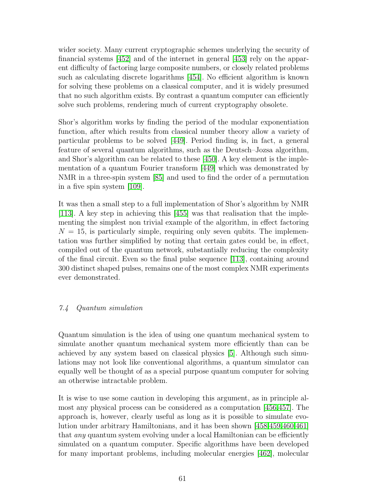wider society. Many current cryptographic schemes underlying the security of financial systems [\[452\]](#page-90-16) and of the internet in general [\[453\]](#page-90-17) rely on the apparent difficulty of factoring large composite numbers, or closely related problems such as calculating discrete logarithms [\[454\]](#page-90-18). No efficient algorithm is known for solving these problems on a classical computer, and it is widely presumed that no such algorithm exists. By contrast a quantum computer can efficiently solve such problems, rendering much of current cryptography obsolete.

Shor's algorithm works by finding the period of the modular exponentiation function, after which results from classical number theory allow a variety of particular problems to be solved [\[449\]](#page-90-13). Period finding is, in fact, a general feature of several quantum algorithms, such as the Deutsch–Jozsa algorithm, and Shor's algorithm can be related to these [\[450\]](#page-90-14). A key element is the implementation of a quantum Fourier transform [\[449\]](#page-90-13) which was demonstrated by NMR in a three-spin system [\[85\]](#page-75-7) and used to find the order of a permutation in a five spin system [\[109\]](#page-76-11).

It was then a small step to a full implementation of Shor's algorithm by NMR [\[113\]](#page-76-7). A key step in achieving this [\[455\]](#page-90-19) was that realisation that the implementing the simplest non trivial example of the algorithm, in effect factoring  $N = 15$ , is particularly simple, requiring only seven qubits. The implementation was further simplified by noting that certain gates could be, in effect, compiled out of the quantum network, substantially reducing the complexity of the final circuit. Even so the final pulse sequence [\[113\]](#page-76-7), containing around 300 distinct shaped pulses, remains one of the most complex NMR experiments ever demonstrated.

## 7.4 Quantum simulation

Quantum simulation is the idea of using one quantum mechanical system to simulate another quantum mechanical system more efficiently than can be achieved by any system based on classical physics [\[5\]](#page-71-8). Although such simulations may not look like conventional algorithms, a quantum simulator can equally well be thought of as a special purpose quantum computer for solving an otherwise intractable problem.

It is wise to use some caution in developing this argument, as in principle almost any physical process can be considered as a computation [\[456](#page-90-20)[,457\]](#page-90-21). The approach is, however, clearly useful as long as it is possible to simulate evolution under arbitrary Hamiltonians, and it has been shown [\[458,](#page-90-22)[459,](#page-90-23)[460,](#page-90-24)[461\]](#page-91-0) that any quantum system evolving under a local Hamiltonian can be efficiently simulated on a quantum computer. Specific algorithms have been developed for many important problems, including molecular energies [\[462\]](#page-91-1), molecular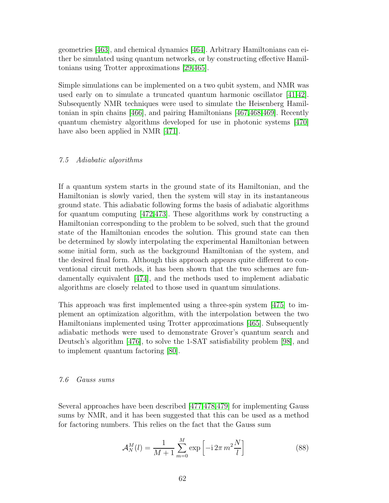geometries [\[463\]](#page-91-2), and chemical dynamics [\[464\]](#page-91-3). Arbitrary Hamiltonians can either be simulated using quantum networks, or by constructing effective Hamiltonians using Trotter approximations [\[29,](#page-72-9)[465\]](#page-91-4).

Simple simulations can be implemented on a two qubit system, and NMR was used early on to simulate a truncated quantum harmonic oscillator [\[41](#page-73-14)[,42\]](#page-73-15). Subsequently NMR techniques were used to simulate the Heisenberg Hamiltonian in spin chains [\[466\]](#page-91-5), and pairing Hamiltonians [\[467,](#page-91-6)[468,](#page-91-7)[469\]](#page-91-8). Recently quantum chemistry algorithms developed for use in photonic systems [\[470\]](#page-91-9) have also been applied in NMR [\[471\]](#page-91-10).

### 7.5 Adiabatic algorithms

If a quantum system starts in the ground state of its Hamiltonian, and the Hamiltonian is slowly varied, then the system will stay in its instantaneous ground state. This adiabatic following forms the basis of adiabatic algorithms for quantum computing [\[472](#page-91-11)[,473\]](#page-91-12). These algorithms work by constructing a Hamiltonian corresponding to the problem to be solved, such that the ground state of the Hamiltonian encodes the solution. This ground state can then be determined by slowly interpolating the experimental Hamiltonian between some initial form, such as the background Hamiltonian of the system, and the desired final form. Although this approach appears quite different to conventional circuit methods, it has been shown that the two schemes are fundamentally equivalent [\[474\]](#page-91-13), and the methods used to implement adiabatic algorithms are closely related to those used in quantum simulations.

This approach was first implemented using a three-spin system [\[475\]](#page-91-14) to implement an optimization algorithm, with the interpolation between the two Hamiltonians implemented using Trotter approximations [\[465\]](#page-91-4). Subsequently adiabatic methods were used to demonstrate Grover's quantum search and Deutsch's algorithm [\[476\]](#page-91-15), to solve the 1-SAT satisfiability problem [\[98\]](#page-75-8), and to implement quantum factoring [\[80\]](#page-74-12).

#### 7.6 Gauss sums

Several approaches have been described [\[477,](#page-91-16)[478](#page-91-17)[,479\]](#page-91-18) for implementing Gauss sums by NMR, and it has been suggested that this can be used as a method for factoring numbers. This relies on the fact that the Gauss sum

$$
\mathcal{A}_N^M(l) = \frac{1}{M+1} \sum_{m=0}^M \exp\left[-i 2\pi m^2 \frac{N}{l}\right]
$$
 (88)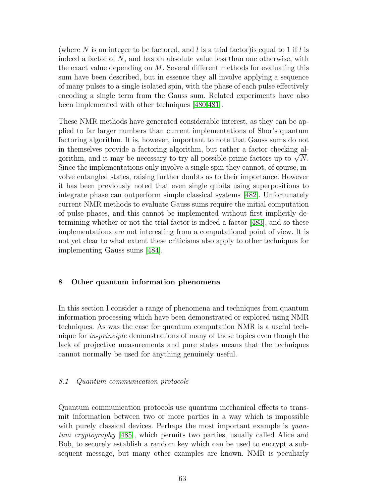(where N is an integer to be factored, and l is a trial factor) is equal to 1 if l is indeed a factor of  $N$ , and has an absolute value less than one otherwise, with the exact value depending on  $M$ . Several different methods for evaluating this sum have been described, but in essence they all involve applying a sequence of many pulses to a single isolated spin, with the phase of each pulse effectively encoding a single term from the Gauss sum. Related experiments have also been implemented with other techniques [\[480](#page-91-19)[,481\]](#page-91-20).

These NMR methods have generated considerable interest, as they can be applied to far larger numbers than current implementations of Shor's quantum factoring algorithm. It is, however, important to note that Gauss sums do not in themselves provide a factoring algorithm, but rather a factor checking algorithm, and it may be necessary to try all possible prime factors up to  $\sqrt{N}$ . Since the implementations only involve a single spin they cannot, of course, involve entangled states, raising further doubts as to their importance. However it has been previously noted that even single qubits using superpositions to integrate phase can outperform simple classical systems [\[482\]](#page-91-21). Unfortunately current NMR methods to evaluate Gauss sums require the initial computation of pulse phases, and this cannot be implemented without first implicitly determining whether or not the trial factor is indeed a factor [\[483\]](#page-92-0), and so these implementations are not interesting from a computational point of view. It is not yet clear to what extent these criticisms also apply to other techniques for implementing Gauss sums [\[484\]](#page-92-1).

### 8 Other quantum information phenomena

In this section I consider a range of phenomena and techniques from quantum information processing which have been demonstrated or explored using NMR techniques. As was the case for quantum computation NMR is a useful technique for *in-principle* demonstrations of many of these topics even though the lack of projective measurements and pure states means that the techniques cannot normally be used for anything genuinely useful.

### 8.1 Quantum communication protocols

Quantum communication protocols use quantum mechanical effects to transmit information between two or more parties in a way which is impossible with purely classical devices. Perhaps the most important example is *quan*tum cryptography [\[485\]](#page-92-2), which permits two parties, usually called Alice and Bob, to securely establish a random key which can be used to encrypt a subsequent message, but many other examples are known. NMR is peculiarly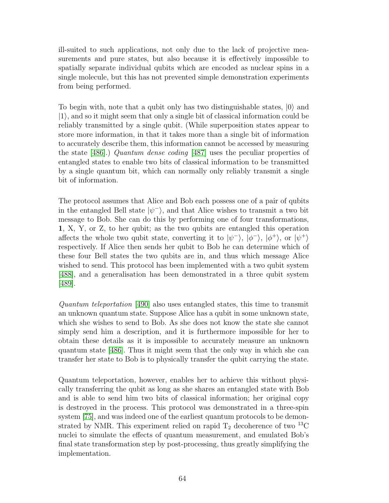ill-suited to such applications, not only due to the lack of projective measurements and pure states, but also because it is effectively impossible to spatially separate individual qubits which are encoded as nuclear spins in a single molecule, but this has not prevented simple demonstration experiments from being performed.

To begin with, note that a qubit only has two distinguishable states,  $|0\rangle$  and  $|1\rangle$ , and so it might seem that only a single bit of classical information could be reliably transmitted by a single qubit. (While superposition states appear to store more information, in that it takes more than a single bit of information to accurately describe them, this information cannot be accessed by measuring the state  $[486]$ .) Quantum dense coding  $[487]$  uses the peculiar properties of entangled states to enable two bits of classical information to be transmitted by a single quantum bit, which can normally only reliably transmit a single bit of information.

The protocol assumes that Alice and Bob each possess one of a pair of qubits in the entangled Bell state  $|\psi^{-}\rangle$ , and that Alice wishes to transmit a two bit message to Bob. She can do this by performing one of four transformations, 1, X, Y, or Z, to her qubit; as the two qubits are entangled this operation affects the whole two qubit state, converting it to  $|\psi^{-}\rangle$ ,  $|\phi^{-}\rangle$ ,  $|\phi^{+}\rangle$ , or  $|\psi^{+}\rangle$ respectively. If Alice then sends her qubit to Bob he can determine which of these four Bell states the two qubits are in, and thus which message Alice wished to send. This protocol has been implemented with a two qubit system [\[488\]](#page-92-5), and a generalisation has been demonstrated in a three qubit system [\[489\]](#page-92-6).

Quantum teleportation [\[490\]](#page-92-7) also uses entangled states, this time to transmit an unknown quantum state. Suppose Alice has a qubit in some unknown state, which she wishes to send to Bob. As she does not know the state she cannot simply send him a description, and it is furthermore impossible for her to obtain these details as it is impossible to accurately measure an unknown quantum state [\[486\]](#page-92-3). Thus it might seem that the only way in which she can transfer her state to Bob is to physically transfer the qubit carrying the state.

Quantum teleportation, however, enables her to achieve this without physically transferring the qubit as long as she shares an entangled state with Bob and is able to send him two bits of classical information; her original copy is destroyed in the process. This protocol was demonstrated in a three-spin system [\[75\]](#page-74-4), and was indeed one of the earliest quantum protocols to be demonstrated by NMR. This experiment relied on rapid  $T_2$  decoherence of two <sup>13</sup>C nuclei to simulate the effects of quantum measurement, and emulated Bob's final state transformation step by post-processing, thus greatly simplifying the implementation.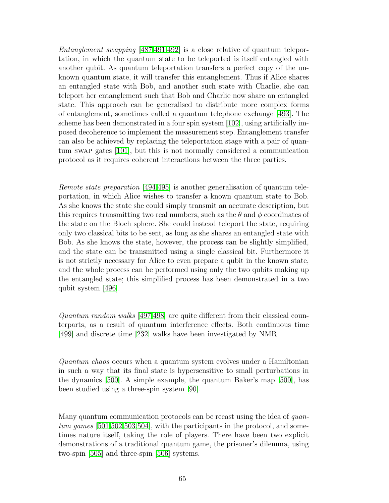Entanglement swapping [\[487](#page-92-4)[,491](#page-92-8)[,492\]](#page-92-9) is a close relative of quantum teleportation, in which the quantum state to be teleported is itself entangled with another qubit. As quantum teleportation transfers a perfect copy of the unknown quantum state, it will transfer this entanglement. Thus if Alice shares an entangled state with Bob, and another such state with Charlie, she can teleport her entanglement such that Bob and Charlie now share an entangled state. This approach can be generalised to distribute more complex forms of entanglement, sometimes called a quantum telephone exchange [\[493\]](#page-92-10). The scheme has been demonstrated in a four spin system [\[102\]](#page-75-2), using artificially imposed decoherence to implement the measurement step. Entanglement transfer can also be achieved by replacing the teleportation stage with a pair of quantum swap gates [\[101\]](#page-75-9), but this is not normally considered a communication protocol as it requires coherent interactions between the three parties.

Remote state preparation [\[494](#page-92-11)[,495\]](#page-92-12) is another generalisation of quantum teleportation, in which Alice wishes to transfer a known quantum state to Bob. As she knows the state she could simply transmit an accurate description, but this requires transmitting two real numbers, such as the  $\theta$  and  $\phi$  coordinates of the state on the Bloch sphere. She could instead teleport the state, requiring only two classical bits to be sent, as long as she shares an entangled state with Bob. As she knows the state, however, the process can be slightly simplified, and the state can be transmitted using a single classical bit. Furthermore it is not strictly necessary for Alice to even prepare a qubit in the known state, and the whole process can be performed using only the two qubits making up the entangled state; this simplified process has been demonstrated in a two qubit system [\[496\]](#page-92-13).

Quantum random walks [\[497,](#page-92-14)[498\]](#page-92-15) are quite different from their classical counterparts, as a result of quantum interference effects. Both continuous time [\[499\]](#page-92-16) and discrete time [\[232\]](#page-81-3) walks have been investigated by NMR.

Quantum chaos occurs when a quantum system evolves under a Hamiltonian in such a way that its final state is hypersensitive to small perturbations in the dynamics [\[500\]](#page-92-17). A simple example, the quantum Baker's map [\[500\]](#page-92-17), has been studied using a three-spin system [\[90\]](#page-75-10).

Many quantum communication protocols can be recast using the idea of quantum games [\[501](#page-92-18)[,502,](#page-92-19)[503](#page-92-20)[,504\]](#page-92-21), with the participants in the protocol, and sometimes nature itself, taking the role of players. There have been two explicit demonstrations of a traditional quantum game, the prisoner's dilemma, using two-spin [\[505\]](#page-92-22) and three-spin [\[506\]](#page-92-23) systems.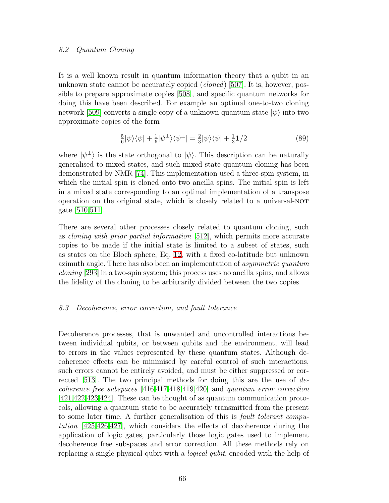#### 8.2 Quantum Cloning

It is a well known result in quantum information theory that a qubit in an unknown state cannot be accurately copied *(cloned)* [\[507\]](#page-93-0). It is, however, possible to prepare approximate copies [\[508\]](#page-93-1), and specific quantum networks for doing this have been described. For example an optimal one-to-two cloning network [\[509\]](#page-93-2) converts a single copy of a unknown quantum state  $|\psi\rangle$  into two approximate copies of the form

$$
\frac{5}{6}|\psi\rangle\langle\psi| + \frac{1}{6}|\psi^{\perp}\rangle\langle\psi^{\perp}| = \frac{2}{3}|\psi\rangle\langle\psi| + \frac{1}{3}\mathbf{1}/2\tag{89}
$$

where  $|\psi^{\perp}\rangle$  is the state orthogonal to  $|\psi\rangle$ . This description can be naturally generalised to mixed states, and such mixed state quantum cloning has been demonstrated by NMR [\[74\]](#page-74-0). This implementation used a three-spin system, in which the initial spin is cloned onto two ancilla spins. The initial spin is left in a mixed state corresponding to an optimal implementation of a transpose operation on the original state, which is closely related to a universal-not gate [\[510](#page-93-3)[,511\]](#page-93-4).

There are several other processes closely related to quantum cloning, such as cloning with prior partial information [\[512\]](#page-93-5), which permits more accurate copies to be made if the initial state is limited to a subset of states, such as states on the Bloch sphere, Eq. [12,](#page-6-0) with a fixed co-latitude but unknown azimuth angle. There has also been an implementation of asymmetric quantum cloning [\[293\]](#page-84-0) in a two-spin system; this process uses no ancilla spins, and allows the fidelity of the cloning to be arbitrarily divided between the two copies.

### 8.3 Decoherence, error correction, and fault tolerance

Decoherence processes, that is unwanted and uncontrolled interactions between individual qubits, or between qubits and the environment, will lead to errors in the values represented by these quantum states. Although decoherence effects can be minimised by careful control of such interactions, such errors cannot be entirely avoided, and must be either suppressed or cor-rected [\[513\]](#page-93-6). The two principal methods for doing this are the use of decoherence free subspaces [\[416,](#page-89-4)[417](#page-89-5)[,418](#page-89-6)[,419,](#page-89-7)[420\]](#page-89-8) and quantum error correction [\[421,](#page-89-9)[422,](#page-89-10)[423,](#page-89-11)[424\]](#page-89-12). These can be thought of as quantum communication protocols, allowing a quantum state to be accurately transmitted from the present to some later time. A further generalisation of this is fault tolerant computation [\[425](#page-89-13)[,426](#page-89-14)[,427\]](#page-89-15), which considers the effects of decoherence during the application of logic gates, particularly those logic gates used to implement decoherence free subspaces and error correction. All these methods rely on replacing a single physical qubit with a *logical qubit*, encoded with the help of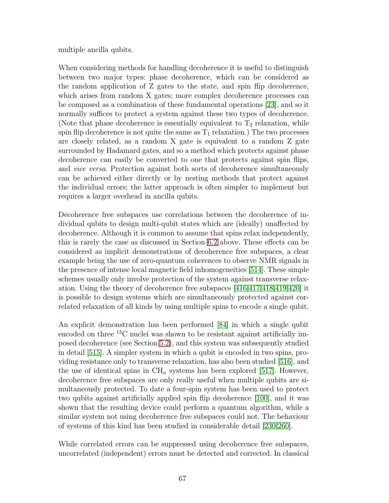multiple ancilla qubits.

When considering methods for handling decoherence it is useful to distinguish between two major types: phase decoherence, which can be considered as the random application of Z gates to the state, and spin flip decoherence, which arises from random X gates; more complex decoherence processes can be composed as a combination of these fundamental operations [\[23\]](#page-72-7), and so it normally suffices to protect a system against these two types of decoherence. (Note that phase decoherence is essentially equivalent to  $T_2$  relaxation, while spin flip decoherence is not quite the same as  $T_1$  relaxation.) The two processes are closely related, as a random X gate is equivalent to a random Z gate surrounded by Hadamard gates, and so a method which protects against phase decoherence can easily be converted to one that protects against spin flips, and vice versa. Protection against both sorts of decoherence simultaneously can be achieved either directly or by nesting methods that protect against the individual errors; the latter approach is often simpler to implement but requires a larger overhead in ancilla qubits.

Decoherence free subspaces use correlations between the decoherence of individual qubits to design multi-qubit states which are (ideally) unaffected by decoherence. Although it is common to assume that spins relax independently, this is rarely the case as discussed in Section [6.2](#page-53-0) above. These effects can be considered as implicit demonstrations of decoherence free subspaces, a clear example being the use of zero-quantum coherences to observe NMR signals in the presence of intense local magnetic field inhomogeneities [\[514\]](#page-93-7). These simple schemes usually only involve protection of the system against transverse relaxation. Using the theory of decoherence free subspaces [\[416](#page-89-4)[,417](#page-89-5)[,418](#page-89-6)[,419,](#page-89-7)[420\]](#page-89-8) it is possible to design systems which are simultaneously protected against correlated relaxation of all kinds by using multiple spins to encode a single qubit.

An explicit demonstration has been performed [\[84\]](#page-75-1) in which a single qubit encoded on three  $^{13}$ C nuclei was shown to be resistant against artificially imposed decoherence (see Section [5.2\)](#page-48-1), and this system was subsequently studied in detail [\[515\]](#page-93-8). A simpler system in which a qubit is encoded in two spins, providing resistance only to transverse relaxation, has also been studied [\[516\]](#page-93-9), and the use of identical spins in  $\mathrm{CH}_n$  systems has been explored [\[517\]](#page-93-10). However, decoherence free subspaces are only really useful when multiple qubits are simultaneously protected. To date a four-spin system has been used to protect two qubits against artificially applied spin flip decoherence [\[100\]](#page-75-11), and it was shown that the resulting device could perform a quantum algorithm, while a similar system not using decoherence free subspaces could not. The behaviour of systems of this kind has been studied in considerable detail [\[230](#page-81-4)[,260\]](#page-82-0).

While correlated errors can be suppressed using decoherence free subspaces, uncorrelated (independent) errors must be detected and corrected. In classical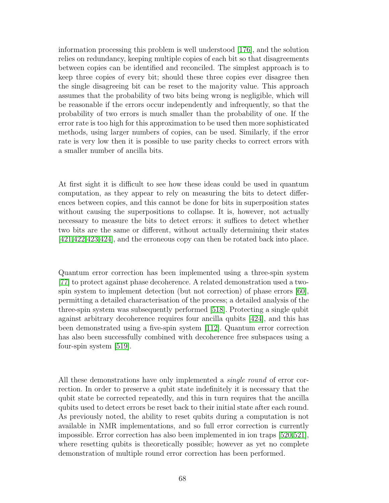information processing this problem is well understood [\[176\]](#page-79-1), and the solution relies on redundancy, keeping multiple copies of each bit so that disagreements between copies can be identified and reconciled. The simplest approach is to keep three copies of every bit; should these three copies ever disagree then the single disagreeing bit can be reset to the majority value. This approach assumes that the probability of two bits being wrong is negligible, which will be reasonable if the errors occur independently and infrequently, so that the probability of two errors is much smaller than the probability of one. If the error rate is too high for this approximation to be used then more sophisticated methods, using larger numbers of copies, can be used. Similarly, if the error rate is very low then it is possible to use parity checks to correct errors with a smaller number of ancilla bits.

At first sight it is difficult to see how these ideas could be used in quantum computation, as they appear to rely on measuring the bits to detect differences between copies, and this cannot be done for bits in superposition states without causing the superpositions to collapse. It is, however, not actually necessary to measure the bits to detect errors: it suffices to detect whether two bits are the same or different, without actually determining their states [\[421,](#page-89-9)[422,](#page-89-10)[423,](#page-89-11)[424\]](#page-89-12), and the erroneous copy can then be rotated back into place.

Quantum error correction has been implemented using a three-spin system [\[77\]](#page-74-2) to protect against phase decoherence. A related demonstration used a twospin system to implement detection (but not correction) of phase errors [\[60\]](#page-74-13), permitting a detailed characterisation of the process; a detailed analysis of the three-spin system was subsequently performed [\[518\]](#page-93-11). Protecting a single qubit against arbitrary decoherence requires four ancilla qubits [\[424\]](#page-89-12), and this has been demonstrated using a five-spin system [\[112\]](#page-76-12). Quantum error correction has also been successfully combined with decoherence free subspaces using a four-spin system [\[519\]](#page-93-12).

All these demonstrations have only implemented a *single round* of error correction. In order to preserve a qubit state indefinitely it is necessary that the qubit state be corrected repeatedly, and this in turn requires that the ancilla qubits used to detect errors be reset back to their initial state after each round. As previously noted, the ability to reset qubits during a computation is not available in NMR implementations, and so full error correction is currently impossible. Error correction has also been implemented in ion traps [\[520](#page-93-13)[,521\]](#page-93-14), where resetting qubits is theoretically possible; however as yet no complete demonstration of multiple round error correction has been performed.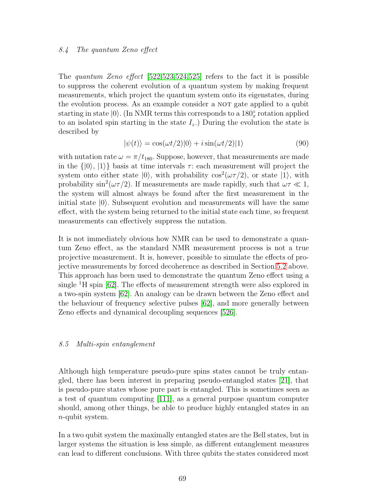### 8.4 The quantum Zeno effect

The quantum Zeno effect  $[522,523,524,525]$  $[522,523,524,525]$  $[522,523,524,525]$  $[522,523,524,525]$  refers to the fact it is possible to suppress the coherent evolution of a quantum system by making frequent measurements, which project the quantum system onto its eigenstates, during the evolution process. As an example consider a NOT gate applied to a qubit starting in state  $|0\rangle$ . (In NMR terms this corresponds to a 180<sup>°</sup><sub>c</sub> rotation applied to an isolated spin starting in the state  $I_z$ .) During the evolution the state is described by

$$
|\psi(t)\rangle = \cos(\omega t/2)|0\rangle + i\sin(\omega t/2)|1\rangle \tag{90}
$$

with nutation rate  $\omega = \pi/t_{180}$ . Suppose, however, that measurements are made in the  $\{|0\rangle, |1\rangle\}$  basis at time intervals  $\tau$ : each measurement will project the system onto either state  $|0\rangle$ , with probability  $\cos^2(\omega \tau/2)$ , or state  $|1\rangle$ , with probability  $\sin^2(\omega \tau/2)$ . If measurements are made rapidly, such that  $\omega \tau \ll 1$ , the system will almost always be found after the first measurement in the initial state  $|0\rangle$ . Subsequent evolution and measurements will have the same effect, with the system being returned to the initial state each time, so frequent measurements can effectively suppress the nutation.

It is not immediately obvious how NMR can be used to demonstrate a quantum Zeno effect, as the standard NMR measurement process is not a true projective measurement. It is, however, possible to simulate the effects of projective measurements by forced decoherence as described in Section [5.2](#page-48-1) above. This approach has been used to demonstrate the quantum Zeno effect using a single  $\rm{^1H}$  spin [\[62\]](#page-74-14). The effects of measurement strength were also explored in a two-spin system [\[62\]](#page-74-14). An analogy can be drawn between the Zeno effect and the behaviour of frequency selective pulses [\[62\]](#page-74-14), and more generally between Zeno effects and dynamical decoupling sequences [\[526\]](#page-93-19).

#### 8.5 Multi-spin entanglement

Although high temperature pseudo-pure spins states cannot be truly entangled, there has been interest in preparing pseudo-entangled states [\[21\]](#page-72-6), that is pseudo-pure states whose pure part is entangled. This is sometimes seen as a test of quantum computing [\[111\]](#page-76-1), as a general purpose quantum computer should, among other things, be able to produce highly entangled states in an n-qubit system.

In a two qubit system the maximally entangled states are the Bell states, but in larger systems the situation is less simple, as different entanglement measures can lead to different conclusions. With three qubits the states considered most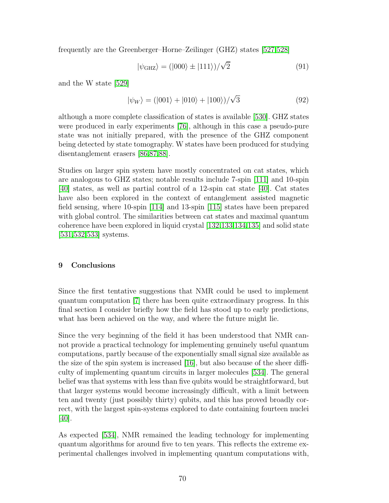frequently are the Greenberger–Horne–Zeilinger (GHZ) states [\[527,](#page-93-20)[528\]](#page-94-0)

$$
|\psi_{\text{GHZ}}\rangle = (|000\rangle \pm |111\rangle)/\sqrt{2}
$$
\n(91)

and the W state [\[529\]](#page-94-1)

$$
|\psi_W\rangle = (|001\rangle + |010\rangle + |100\rangle)/\sqrt{3}
$$
\n(92)

although a more complete classification of states is available [\[530\]](#page-94-2). GHZ states were produced in early experiments [\[76\]](#page-74-1), although in this case a pseudo-pure state was not initially prepared, with the presence of the GHZ component being detected by state tomography. W states have been produced for studying disentanglement erasers [\[86](#page-75-12)[,87,](#page-75-13)[88\]](#page-75-14).

Studies on larger spin system have mostly concentrated on cat states, which are analogous to GHZ states; notable results include 7-spin [\[111\]](#page-76-1) and 10-spin [\[40\]](#page-73-16) states, as well as partial control of a 12-spin cat state [\[40\]](#page-73-16). Cat states have also been explored in the context of entanglement assisted magnetic field sensing, where 10-spin [\[114\]](#page-76-2) and 13-spin [\[115\]](#page-76-3) states have been prepared with global control. The similarities between cat states and maximal quantum coherence have been explored in liquid crystal [\[132](#page-77-0)[,133,](#page-77-3)[134,](#page-77-4)[135\]](#page-77-5) and solid state [\[531,](#page-94-3)[532,](#page-94-4)[533\]](#page-94-5) systems.

## 9 Conclusions

Since the first tentative suggestions that NMR could be used to implement quantum computation [\[7\]](#page-71-1) there has been quite extraordinary progress. In this final section I consider briefly how the field has stood up to early predictions, what has been achieved on the way, and where the future might lie.

Since the very beginning of the field it has been understood that NMR cannot provide a practical technology for implementing genuinely useful quantum computations, partly because of the exponentially small signal size available as the size of the spin system is increased [\[16\]](#page-72-0), but also because of the sheer difficulty of implementing quantum circuits in larger molecules [\[534\]](#page-94-6). The general belief was that systems with less than five qubits would be straightforward, but that larger systems would become increasingly difficult, with a limit between ten and twenty (just possibly thirty) qubits, and this has proved broadly correct, with the largest spin-systems explored to date containing fourteen nuclei [\[40\]](#page-73-16).

As expected [\[534\]](#page-94-6), NMR remained the leading technology for implementing quantum algorithms for around five to ten years. This reflects the extreme experimental challenges involved in implementing quantum computations with,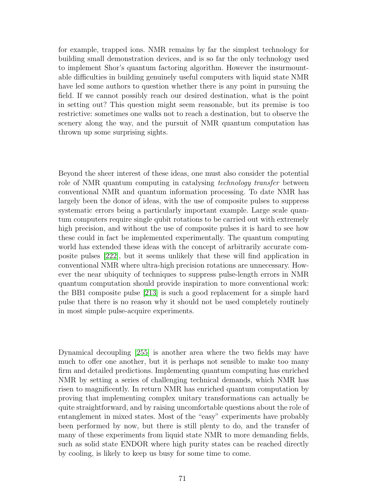for example, trapped ions. NMR remains by far the simplest technology for building small demonstration devices, and is so far the only technology used to implement Shor's quantum factoring algorithm. However the insurmountable difficulties in building genuinely useful computers with liquid state NMR have led some authors to question whether there is any point in pursuing the field. If we cannot possibly reach our desired destination, what is the point in setting out? This question might seem reasonable, but its premise is too restrictive: sometimes one walks not to reach a destination, but to observe the scenery along the way, and the pursuit of NMR quantum computation has thrown up some surprising sights.

Beyond the sheer interest of these ideas, one must also consider the potential role of NMR quantum computing in catalysing *technology transfer* between conventional NMR and quantum information processing. To date NMR has largely been the donor of ideas, with the use of composite pulses to suppress systematic errors being a particularly important example. Large scale quantum computers require single qubit rotations to be carried out with extremely high precision, and without the use of composite pulses it is hard to see how these could in fact be implemented experimentally. The quantum computing world has extended these ideas with the concept of arbitrarily accurate composite pulses [\[222\]](#page-81-5), but it seems unlikely that these will find application in conventional NMR where ultra-high precision rotations are unnecessary. However the near ubiquity of techniques to suppress pulse-length errors in NMR quantum computation should provide inspiration to more conventional work: the BB1 composite pulse [\[213\]](#page-80-1) is such a good replacement for a simple hard pulse that there is no reason why it should not be used completely routinely in most simple pulse-acquire experiments.

Dynamical decoupling [\[255\]](#page-82-1) is another area where the two fields may have much to offer one another, but it is perhaps not sensible to make too many firm and detailed predictions. Implementing quantum computing has enriched NMR by setting a series of challenging technical demands, which NMR has risen to magnificently. In return NMR has enriched quantum computation by proving that implementing complex unitary transformations can actually be quite straightforward, and by raising uncomfortable questions about the role of entanglement in mixed states. Most of the "easy" experiments have probably been performed by now, but there is still plenty to do, and the transfer of many of these experiments from liquid state NMR to more demanding fields, such as solid state ENDOR where high purity states can be reached directly by cooling, is likely to keep us busy for some time to come.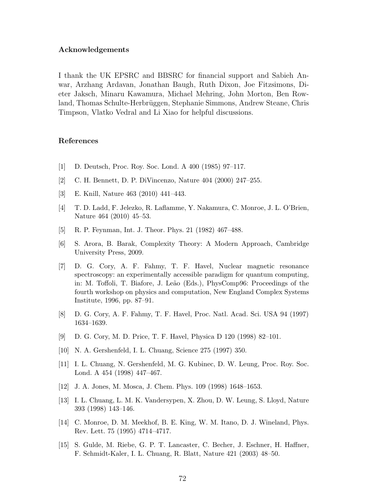#### Acknowledgements

I thank the UK EPSRC and BBSRC for financial support and Sabieh Anwar, Arzhang Ardavan, Jonathan Baugh, Ruth Dixon, Joe Fitzsimons, Dieter Jaksch, Minaru Kawamura, Michael Mehring, John Morton, Ben Rowland, Thomas Schulte-Herbrüggen, Stephanie Simmons, Andrew Steane, Chris Timpson, Vlatko Vedral and Li Xiao for helpful discussions.

### <span id="page-71-5"></span>References

- [1] D. Deutsch, Proc. Roy. Soc. Lond. A 400 (1985) 97–117.
- [2] C. H. Bennett, D. P. DiVincenzo, Nature 404 (2000) 247–255.
- [3] E. Knill, Nature 463 (2010) 441–443.
- <span id="page-71-8"></span>[4] T. D. Ladd, F. Jelezko, R. Laflamme, Y. Nakamura, C. Monroe, J. L. O'Brien, Nature 464 (2010) 45–53.
- [5] R. P. Feynman, Int. J. Theor. Phys. 21 (1982) 467–488.
- [6] S. Arora, B. Barak, Complexity Theory: A Modern Approach, Cambridge University Press, 2009.
- <span id="page-71-1"></span>[7] D. G. Cory, A. F. Fahmy, T. F. Havel, Nuclear magnetic resonance spectroscopy: an experimentally accessible paradigm for quantum computing, in: M. Toffoli, T. Biafore, J. Leão (Eds.), PhysComp96: Proceedings of the fourth workshop on physics and computation, New England Complex Systems Institute, 1996, pp. 87–91.
- <span id="page-71-2"></span>[8] D. G. Cory, A. F. Fahmy, T. F. Havel, Proc. Natl. Acad. Sci. USA 94 (1997) 1634–1639.
- <span id="page-71-0"></span>[9] D. G. Cory, M. D. Price, T. F. Havel, Physica D 120 (1998) 82–101.
- <span id="page-71-3"></span>[10] N. A. Gershenfeld, I. L. Chuang, Science 275 (1997) 350.
- [11] I. L. Chuang, N. Gershenfeld, M. G. Kubinec, D. W. Leung, Proc. Roy. Soc. Lond. A 454 (1998) 447–467.
- <span id="page-71-6"></span><span id="page-71-4"></span>[12] J. A. Jones, M. Mosca, J. Chem. Phys. 109 (1998) 1648–1653.
- [13] I. L. Chuang, L. M. K. Vandersypen, X. Zhou, D. W. Leung, S. Lloyd, Nature 393 (1998) 143–146.
- [14] C. Monroe, D. M. Meekhof, B. E. King, W. M. Itano, D. J. Wineland, Phys. Rev. Lett. 75 (1995) 4714–4717.
- <span id="page-71-7"></span>[15] S. Gulde, M. Riebe, G. P. T. Lancaster, C. Becher, J. Eschner, H. Haffner, F. Schmidt-Kaler, I. L. Chuang, R. Blatt, Nature 421 (2003) 48–50.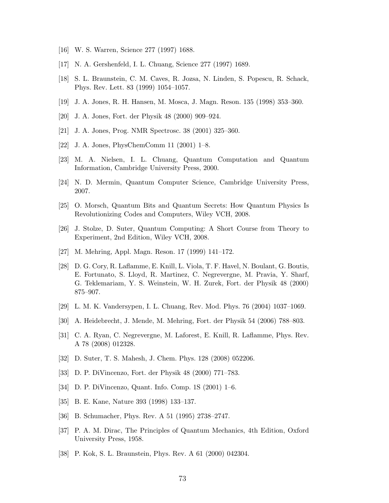- [16] W. S. Warren, Science 277 (1997) 1688.
- [17] N. A. Gershenfeld, I. L. Chuang, Science 277 (1997) 1689.
- [18] S. L. Braunstein, C. M. Caves, R. Jozsa, N. Linden, S. Popescu, R. Schack, Phys. Rev. Lett. 83 (1999) 1054–1057.
- [19] J. A. Jones, R. H. Hansen, M. Mosca, J. Magn. Reson. 135 (1998) 353–360.
- [20] J. A. Jones, Fort. der Physik 48 (2000) 909–924.
- [21] J. A. Jones, Prog. NMR Spectrosc. 38 (2001) 325–360.
- [22] J. A. Jones, PhysChemComm 11 (2001) 1–8.
- [23] M. A. Nielsen, I. L. Chuang, Quantum Computation and Quantum Information, Cambridge University Press, 2000.
- [24] N. D. Mermin, Quantum Computer Science, Cambridge University Press, 2007.
- [25] O. Morsch, Quantum Bits and Quantum Secrets: How Quantum Physics Is Revolutionizing Codes and Computers, Wiley VCH, 2008.
- [26] J. Stolze, D. Suter, Quantum Computing: A Short Course from Theory to Experiment, 2nd Edition, Wiley VCH, 2008.
- [27] M. Mehring, Appl. Magn. Reson. 17 (1999) 141–172.
- [28] D. G. Cory, R. Laflamme, E. Knill, L. Viola, T. F. Havel, N. Boulant, G. Boutis, E. Fortunato, S. Lloyd, R. Martinez, C. Negrevergne, M. Pravia, Y. Sharf, G. Teklemariam, Y. S. Weinstein, W. H. Zurek, Fort. der Physik 48 (2000) 875–907.
- [29] L. M. K. Vandersypen, I. L. Chuang, Rev. Mod. Phys. 76 (2004) 1037–1069.
- [30] A. Heidebrecht, J. Mende, M. Mehring, Fort. der Physik 54 (2006) 788–803.
- [31] C. A. Ryan, C. Negrevergne, M. Laforest, E. Knill, R. Laflamme, Phys. Rev. A 78 (2008) 012328.
- [32] D. Suter, T. S. Mahesh, J. Chem. Phys. 128 (2008) 052206.
- [33] D. P. DiVincenzo, Fort. der Physik 48 (2000) 771–783.
- [34] D. P. DiVincenzo, Quant. Info. Comp. 1S (2001) 1–6.
- [35] B. E. Kane, Nature 393 (1998) 133–137.
- [36] B. Schumacher, Phys. Rev. A 51 (1995) 2738–2747.
- [37] P. A. M. Dirac, The Principles of Quantum Mechanics, 4th Edition, Oxford University Press, 1958.
- [38] P. Kok, S. L. Braunstein, Phys. Rev. A 61 (2000) 042304.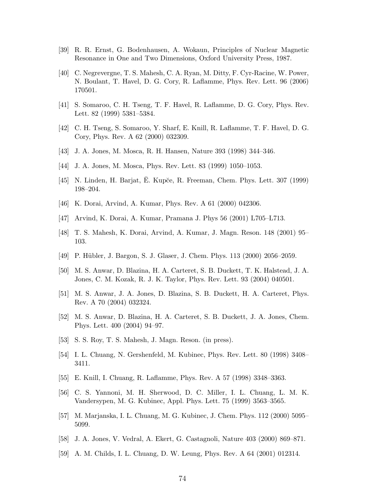- [39] R. R. Ernst, G. Bodenhausen, A. Wokaun, Principles of Nuclear Magnetic Resonance in One and Two Dimensions, Oxford University Press, 1987.
- [40] C. Negrevergne, T. S. Mahesh, C. A. Ryan, M. Ditty, F. Cyr-Racine, W. Power, N. Boulant, T. Havel, D. G. Cory, R. Laflamme, Phys. Rev. Lett. 96 (2006) 170501.
- [41] S. Somaroo, C. H. Tseng, T. F. Havel, R. Laflamme, D. G. Cory, Phys. Rev. Lett. 82 (1999) 5381–5384.
- [42] C. H. Tseng, S. Somaroo, Y. Sharf, E. Knill, R. Laflamme, T. F. Havel, D. G. Cory, Phys. Rev. A 62 (2000) 032309.
- [43] J. A. Jones, M. Mosca, R. H. Hansen, Nature 393 (1998) 344–346.
- [44] J. A. Jones, M. Mosca, Phys. Rev. Lett. 83 (1999) 1050–1053.
- [45] N. Linden, H. Barjat, E. Kupče, R. Freeman, Chem. Phys. Lett.  $307$  (1999) 198–204.
- [46] K. Dorai, Arvind, A. Kumar, Phys. Rev. A 61 (2000) 042306.
- [47] Arvind, K. Dorai, A. Kumar, Pramana J. Phys 56 (2001) L705–L713.
- [48] T. S. Mahesh, K. Dorai, Arvind, A. Kumar, J. Magn. Reson. 148 (2001) 95– 103.
- [49] P. Hübler, J. Bargon, S. J. Glaser, J. Chem. Phys. 113 (2000) 2056–2059.
- [50] M. S. Anwar, D. Blazina, H. A. Carteret, S. B. Duckett, T. K. Halstead, J. A. Jones, C. M. Kozak, R. J. K. Taylor, Phys. Rev. Lett. 93 (2004) 040501.
- [51] M. S. Anwar, J. A. Jones, D. Blazina, S. B. Duckett, H. A. Carteret, Phys. Rev. A 70 (2004) 032324.
- [52] M. S. Anwar, D. Blazina, H. A. Carteret, S. B. Duckett, J. A. Jones, Chem. Phys. Lett. 400 (2004) 94–97.
- [53] S. S. Roy, T. S. Mahesh, J. Magn. Reson. (in press).
- [54] I. L. Chuang, N. Gershenfeld, M. Kubinec, Phys. Rev. Lett. 80 (1998) 3408– 3411.
- [55] E. Knill, I. Chuang, R. Laflamme, Phys. Rev. A 57 (1998) 3348–3363.
- [56] C. S. Yannoni, M. H. Sherwood, D. C. Miller, I. L. Chuang, L. M. K. Vandersypen, M. G. Kubinec, Appl. Phys. Lett. 75 (1999) 3563–3565.
- [57] M. Marjanska, I. L. Chuang, M. G. Kubinec, J. Chem. Phys. 112 (2000) 5095– 5099.
- [58] J. A. Jones, V. Vedral, A. Ekert, G. Castagnoli, Nature 403 (2000) 869–871.
- [59] A. M. Childs, I. L. Chuang, D. W. Leung, Phys. Rev. A 64 (2001) 012314.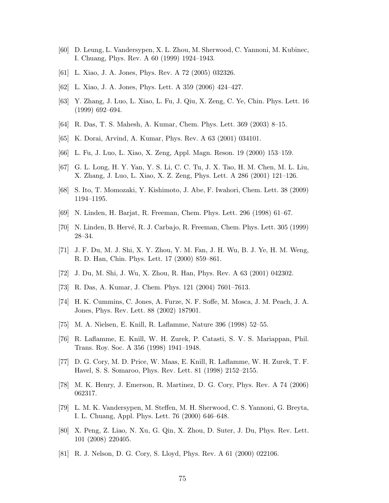- [60] D. Leung, L. Vandersypen, X. L. Zhou, M. Sherwood, C. Yannoni, M. Kubinec, I. Chuang, Phys. Rev. A 60 (1999) 1924–1943.
- [61] L. Xiao, J. A. Jones, Phys. Rev. A 72 (2005) 032326.
- [62] L. Xiao, J. A. Jones, Phys. Lett. A 359 (2006) 424–427.
- [63] Y. Zhang, J. Luo, L. Xiao, L. Fu, J. Qiu, X. Zeng, C. Ye, Chin. Phys. Lett. 16 (1999) 692–694.
- [64] R. Das, T. S. Mahesh, A. Kumar, Chem. Phys. Lett. 369 (2003) 8–15.
- [65] K. Dorai, Arvind, A. Kumar, Phys. Rev. A 63 (2001) 034101.
- [66] L. Fu, J. Luo, L. Xiao, X. Zeng, Appl. Magn. Reson. 19 (2000) 153–159.
- [67] G. L. Long, H. Y. Yan, Y. S. Li, C. C. Tu, J. X. Tao, H. M. Chen, M. L. Liu, X. Zhang, J. Luo, L. Xiao, X. Z. Zeng, Phys. Lett. A 286 (2001) 121–126.
- [68] S. Ito, T. Momozaki, Y. Kishimoto, J. Abe, F. Iwahori, Chem. Lett. 38 (2009) 1194–1195.
- [69] N. Linden, H. Barjat, R. Freeman, Chem. Phys. Lett. 296 (1998) 61–67.
- [70] N. Linden, B. Hervé, R. J. Carbajo, R. Freeman, Chem. Phys. Lett. 305 (1999) 28–34.
- [71] J. F. Du, M. J. Shi, X. Y. Zhou, Y. M. Fan, J. H. Wu, B. J. Ye, H. M. Weng, R. D. Han, Chin. Phys. Lett. 17 (2000) 859–861.
- [72] J. Du, M. Shi, J. Wu, X. Zhou, R. Han, Phys. Rev. A 63 (2001) 042302.
- [73] R. Das, A. Kumar, J. Chem. Phys. 121 (2004) 7601–7613.
- [74] H. K. Cummins, C. Jones, A. Furze, N. F. Soffe, M. Mosca, J. M. Peach, J. A. Jones, Phys. Rev. Lett. 88 (2002) 187901.
- [75] M. A. Nielsen, E. Knill, R. Laflamme, Nature 396 (1998) 52–55.
- [76] R. Laflamme, E. Knill, W. H. Zurek, P. Catasti, S. V. S. Mariappan, Phil. Trans. Roy. Soc. A 356 (1998) 1941–1948.
- [77] D. G. Cory, M. D. Price, W. Maas, E. Knill, R. Laflamme, W. H. Zurek, T. F. Havel, S. S. Somaroo, Phys. Rev. Lett. 81 (1998) 2152–2155.
- [78] M. K. Henry, J. Emerson, R. Martinez, D. G. Cory, Phys. Rev. A 74 (2006) 062317.
- [79] L. M. K. Vandersypen, M. Steffen, M. H. Sherwood, C. S. Yannoni, G. Breyta, I. L. Chuang, Appl. Phys. Lett. 76 (2000) 646–648.
- [80] X. Peng, Z. Liao, N. Xu, G. Qin, X. Zhou, D. Suter, J. Du, Phys. Rev. Lett. 101 (2008) 220405.
- [81] R. J. Nelson, D. G. Cory, S. Lloyd, Phys. Rev. A 61 (2000) 022106.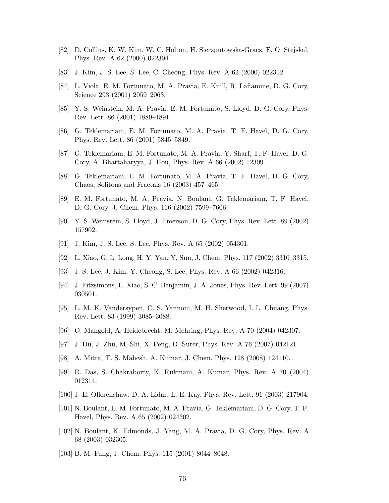- [82] D. Collins, K. W. Kim, W. C. Holton, H. Sierzputowska-Gracz, E. O. Stejskal, Phys. Rev. A 62 (2000) 022304.
- [83] J. Kim, J. S. Lee, S. Lee, C. Cheong, Phys. Rev. A 62 (2000) 022312.
- [84] L. Viola, E. M. Fortunato, M. A. Pravia, E. Knill, R. Laflamme, D. G. Cory, Science 293 (2001) 2059–2063.
- [85] Y. S. Weinstein, M. A. Pravia, E. M. Fortunato, S. Lloyd, D. G. Cory, Phys. Rev. Lett. 86 (2001) 1889–1891.
- [86] G. Teklemariam, E. M. Fortunato, M. A. Pravia, T. F. Havel, D. G. Cory, Phys. Rev. Lett. 86 (2001) 5845–5849.
- [87] G. Teklemariam, E. M. Fortunato, M. A. Pravia, Y. Sharf, T. F. Havel, D. G. Cory, A. Bhattaharyya, J. Hou, Phys. Rev. A 66 (2002) 12309.
- [88] G. Teklemariam, E. M. Fortunato, M. A. Pravia, T. F. Havel, D. G. Cory, Chaos, Solitons and Fractals 16 (2003) 457–465.
- [89] E. M. Fortunato, M. A. Pravia, N. Boulant, G. Teklemariam, T. F. Havel, D. G. Cory, J. Chem. Phys. 116 (2002) 7599–7606.
- [90] Y. S. Weinstein, S. Lloyd, J. Emerson, D. G. Cory, Phys. Rev. Lett. 89 (2002) 157902.
- [91] J. Kim, J. S. Lee, S. Lee, Phys. Rev. A 65 (2002) 054301.
- [92] L. Xiao, G. L. Long, H. Y. Yan, Y. Sun, J. Chem. Phys. 117 (2002) 3310–3315.
- [93] J. S. Lee, J. Kim, Y. Cheong, S. Lee, Phys. Rev. A 66 (2002) 042316.
- [94] J. Fitzsimons, L. Xiao, S. C. Benjamin, J. A. Jones, Phys. Rev. Lett. 99 (2007) 030501.
- [95] L. M. K. Vandersypen, C. S. Yannoni, M. H. Sherwood, I. L. Chuang, Phys. Rev. Lett. 83 (1999) 3085–3088.
- [96] O. Mangold, A. Heidebrecht, M. Mehring, Phys. Rev. A 70 (2004) 042307.
- [97] J. Du, J. Zhu, M. Shi, X. Peng, D. Suter, Phys. Rev. A 76 (2007) 042121.
- [98] A. Mitra, T. S. Mahesh, A. Kumar, J. Chem. Phys. 128 (2008) 124110.
- [99] R. Das, S. Chakraborty, K. Rukmani, A. Kumar, Phys. Rev. A 70 (2004) 012314.
- [100] J. E. Ollerenshaw, D. A. Lidar, L. E. Kay, Phys. Rev. Lett. 91 (2003) 217904.
- [101] N. Boulant, E. M. Fortunato, M. A. Pravia, G. Teklemariam, D. G. Cory, T. F. Havel, Phys. Rev. A 65 (2002) 024302.
- [102] N. Boulant, K. Edmonds, J. Yang, M. A. Pravia, D. G. Cory, Phys. Rev. A 68 (2003) 032305.
- [103] B. M. Fung, J. Chem. Phys. 115 (2001) 8044–8048.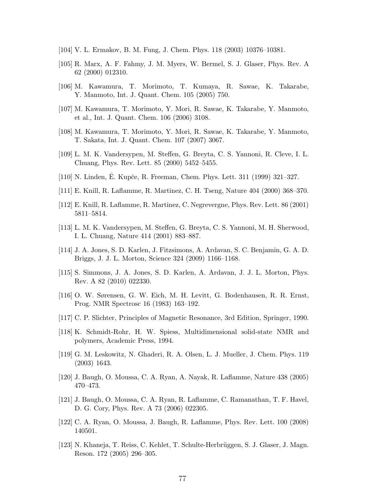- [104] V. L. Ermakov, B. M. Fung, J. Chem. Phys. 118 (2003) 10376–10381.
- [105] R. Marx, A. F. Fahmy, J. M. Myers, W. Bermel, S. J. Glaser, Phys. Rev. A 62 (2000) 012310.
- [106] M. Kawamura, T. Morimoto, T. Kumaya, R. Sawae, K. Takarabe, Y. Manmoto, Int. J. Quant. Chem. 105 (2005) 750.
- [107] M. Kawamura, T. Morimoto, Y. Mori, R. Sawae, K. Takarabe, Y. Manmoto, et al., Int. J. Quant. Chem. 106 (2006) 3108.
- [108] M. Kawamura, T. Morimoto, Y. Mori, R. Sawae, K. Takarabe, Y. Manmoto, T. Sakata, Int. J. Quant. Chem. 107 (2007) 3067.
- [109] L. M. K. Vandersypen, M. Steffen, G. Breyta, C. S. Yannoni, R. Cleve, I. L. Chuang, Phys. Rev. Lett. 85 (2000) 5452–5455.
- [110] N. Linden, E. Kupče, R. Freeman, Chem. Phys. Lett. 311 (1999) 321–327.
- [111] E. Knill, R. Laflamme, R. Martinez, C. H. Tseng, Nature 404 (2000) 368–370.
- [112] E. Knill, R. Laflamme, R. Martinez, C. Negrevergne, Phys. Rev. Lett. 86 (2001) 5811–5814.
- [113] L. M. K. Vandersypen, M. Steffen, G. Breyta, C. S. Yannoni, M. H. Sherwood, I. L. Chuang, Nature 414 (2001) 883–887.
- [114] J. A. Jones, S. D. Karlen, J. Fitzsimons, A. Ardavan, S. C. Benjamin, G. A. D. Briggs, J. J. L. Morton, Science 324 (2009) 1166–1168.
- [115] S. Simmons, J. A. Jones, S. D. Karlen, A. Ardavan, J. J. L. Morton, Phys. Rev. A 82 (2010) 022330.
- [116] O. W. Sørensen, G. W. Eich, M. H. Levitt, G. Bodenhausen, R. R. Ernst, Prog. NMR Spectrosc 16 (1983) 163–192.
- [117] C. P. Slichter, Principles of Magnetic Resonance, 3rd Edition, Springer, 1990.
- [118] K. Schmidt-Rohr, H. W. Spiess, Multidimensional solid-state NMR and polymers, Academic Press, 1994.
- [119] G. M. Leskowitz, N. Ghaderi, R. A. Olsen, L. J. Mueller, J. Chem. Phys. 119 (2003) 1643.
- [120] J. Baugh, O. Moussa, C. A. Ryan, A. Nayak, R. Laflamme, Nature 438 (2005) 470–473.
- [121] J. Baugh, O. Moussa, C. A. Ryan, R. Laflamme, C. Ramanathan, T. F. Havel, D. G. Cory, Phys. Rev. A 73 (2006) 022305.
- [122] C. A. Ryan, O. Moussa, J. Baugh, R. Laflamme, Phys. Rev. Lett. 100 (2008) 140501.
- [123] N. Khaneja, T. Reiss, C. Kehlet, T. Schulte-Herbrüggen, S. J. Glaser, J. Magn. Reson. 172 (2005) 296–305.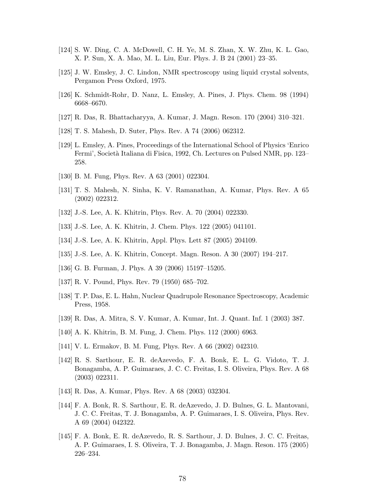- [124] S. W. Ding, C. A. McDowell, C. H. Ye, M. S. Zhan, X. W. Zhu, K. L. Gao, X. P. Sun, X. A. Mao, M. L. Liu, Eur. Phys. J. B 24 (2001) 23–35.
- [125] J. W. Emsley, J. C. Lindon, NMR spectroscopy using liquid crystal solvents, Pergamon Press Oxford, 1975.
- [126] K. Schmidt-Rohr, D. Nanz, L. Emsley, A. Pines, J. Phys. Chem. 98 (1994) 6668–6670.
- [127] R. Das, R. Bhattacharyya, A. Kumar, J. Magn. Reson. 170 (2004) 310–321.
- [128] T. S. Mahesh, D. Suter, Phys. Rev. A 74 (2006) 062312.
- [129] L. Emsley, A. Pines, Proceedings of the International School of Physics 'Enrico Fermi', Società Italiana di Fisica, 1992, Ch. Lectures on Pulsed NMR, pp. 123– 258.
- [130] B. M. Fung, Phys. Rev. A 63 (2001) 022304.
- [131] T. S. Mahesh, N. Sinha, K. V. Ramanathan, A. Kumar, Phys. Rev. A 65 (2002) 022312.
- [132] J.-S. Lee, A. K. Khitrin, Phys. Rev. A. 70 (2004) 022330.
- [133] J.-S. Lee, A. K. Khitrin, J. Chem. Phys. 122 (2005) 041101.
- [134] J.-S. Lee, A. K. Khitrin, Appl. Phys. Lett 87 (2005) 204109.
- [135] J.-S. Lee, A. K. Khitrin, Concept. Magn. Reson. A 30 (2007) 194–217.
- [136] G. B. Furman, J. Phys. A 39 (2006) 15197–15205.
- [137] R. V. Pound, Phys. Rev. 79 (1950) 685–702.
- [138] T. P. Das, E. L. Hahn, Nuclear Quadrupole Resonance Spectroscopy, Academic Press, 1958.
- [139] R. Das, A. Mitra, S. V. Kumar, A. Kumar, Int. J. Quant. Inf. 1 (2003) 387.
- [140] A. K. Khitrin, B. M. Fung, J. Chem. Phys. 112 (2000) 6963.
- [141] V. L. Ermakov, B. M. Fung, Phys. Rev. A 66 (2002) 042310.
- [142] R. S. Sarthour, E. R. deAzevedo, F. A. Bonk, E. L. G. Vidoto, T. J. Bonagamba, A. P. Guimaraes, J. C. C. Freitas, I. S. Oliveira, Phys. Rev. A 68 (2003) 022311.
- [143] R. Das, A. Kumar, Phys. Rev. A 68 (2003) 032304.
- [144] F. A. Bonk, R. S. Sarthour, E. R. deAzevedo, J. D. Bulnes, G. L. Mantovani, J. C. C. Freitas, T. J. Bonagamba, A. P. Guimaraes, I. S. Oliveira, Phys. Rev. A 69 (2004) 042322.
- [145] F. A. Bonk, E. R. deAzevedo, R. S. Sarthour, J. D. Bulnes, J. C. C. Freitas, A. P. Guimaraes, I. S. Oliveira, T. J. Bonagamba, J. Magn. Reson. 175 (2005) 226–234.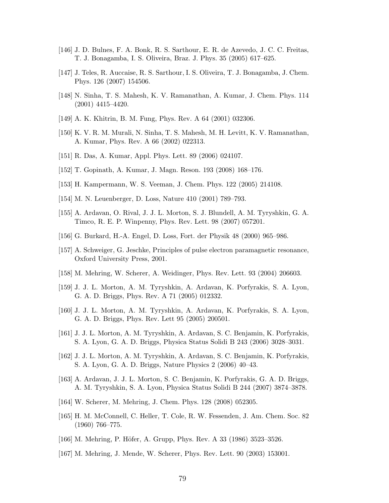- [146] J. D. Bulnes, F. A. Bonk, R. S. Sarthour, E. R. de Azevedo, J. C. C. Freitas, T. J. Bonagamba, I. S. Oliveira, Braz. J. Phys. 35 (2005) 617–625.
- [147] J. Teles, R. Auccaise, R. S. Sarthour, I. S. Oliveira, T. J. Bonagamba, J. Chem. Phys. 126 (2007) 154506.
- [148] N. Sinha, T. S. Mahesh, K. V. Ramanathan, A. Kumar, J. Chem. Phys. 114 (2001) 4415–4420.
- [149] A. K. Khitrin, B. M. Fung, Phys. Rev. A 64 (2001) 032306.
- [150] K. V. R. M. Murali, N. Sinha, T. S. Mahesh, M. H. Levitt, K. V. Ramanathan, A. Kumar, Phys. Rev. A 66 (2002) 022313.
- [151] R. Das, A. Kumar, Appl. Phys. Lett. 89 (2006) 024107.
- [152] T. Gopinath, A. Kumar, J. Magn. Reson. 193 (2008) 168–176.
- [153] H. Kampermann, W. S. Veeman, J. Chem. Phys. 122 (2005) 214108.
- [154] M. N. Leuenberger, D. Loss, Nature 410 (2001) 789–793.
- [155] A. Ardavan, O. Rival, J. J. L. Morton, S. J. Blundell, A. M. Tyryshkin, G. A. Timco, R. E. P. Winpenny, Phys. Rev. Lett. 98 (2007) 057201.
- [156] G. Burkard, H.-A. Engel, D. Loss, Fort. der Physik 48 (2000) 965–986.
- [157] A. Schweiger, G. Jeschke, Principles of pulse electron paramagnetic resonance, Oxford University Press, 2001.
- [158] M. Mehring, W. Scherer, A. Weidinger, Phys. Rev. Lett. 93 (2004) 206603.
- [159] J. J. L. Morton, A. M. Tyryshkin, A. Ardavan, K. Porfyrakis, S. A. Lyon, G. A. D. Briggs, Phys. Rev. A 71 (2005) 012332.
- [160] J. J. L. Morton, A. M. Tyryshkin, A. Ardavan, K. Porfyrakis, S. A. Lyon, G. A. D. Briggs, Phys. Rev. Lett 95 (2005) 200501.
- [161] J. J. L. Morton, A. M. Tyryshkin, A. Ardavan, S. C. Benjamin, K. Porfyrakis, S. A. Lyon, G. A. D. Briggs, Physica Status Solidi B 243 (2006) 3028–3031.
- [162] J. J. L. Morton, A. M. Tyryshkin, A. Ardavan, S. C. Benjamin, K. Porfyrakis, S. A. Lyon, G. A. D. Briggs, Nature Physics 2 (2006) 40–43.
- [163] A. Ardavan, J. J. L. Morton, S. C. Benjamin, K. Porfyrakis, G. A. D. Briggs, A. M. Tyryshkin, S. A. Lyon, Physica Status Solidi B 244 (2007) 3874–3878.
- [164] W. Scherer, M. Mehring, J. Chem. Phys. 128 (2008) 052305.
- [165] H. M. McConnell, C. Heller, T. Cole, R. W. Fessenden, J. Am. Chem. Soc. 82 (1960) 766–775.
- [166] M. Mehring, P. Höfer, A. Grupp, Phys. Rev. A 33 (1986) 3523–3526.
- [167] M. Mehring, J. Mende, W. Scherer, Phys. Rev. Lett. 90 (2003) 153001.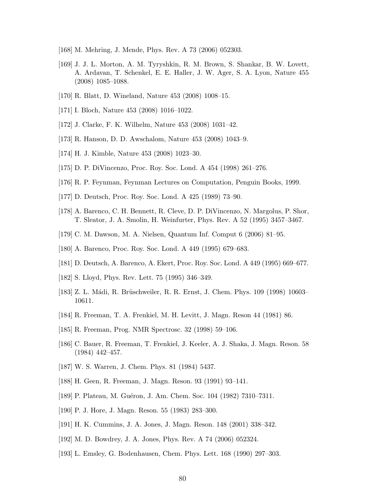- [168] M. Mehring, J. Mende, Phys. Rev. A 73 (2006) 052303.
- [169] J. J. L. Morton, A. M. Tyryshkin, R. M. Brown, S. Shankar, B. W. Lovett, A. Ardavan, T. Schenkel, E. E. Haller, J. W. Ager, S. A. Lyon, Nature 455 (2008) 1085–1088.
- [170] R. Blatt, D. Wineland, Nature 453 (2008) 1008–15.
- [171] I. Bloch, Nature 453 (2008) 1016–1022.
- [172] J. Clarke, F. K. Wilhelm, Nature 453 (2008) 1031–42.
- [173] R. Hanson, D. D. Awschalom, Nature 453 (2008) 1043–9.
- [174] H. J. Kimble, Nature 453 (2008) 1023–30.
- [175] D. P. DiVincenzo, Proc. Roy. Soc. Lond. A 454 (1998) 261–276.
- [176] R. P. Feynman, Feynman Lectures on Computation, Penguin Books, 1999.
- [177] D. Deutsch, Proc. Roy. Soc. Lond. A 425 (1989) 73–90.
- [178] A. Barenco, C. H. Bennett, R. Cleve, D. P. DiVincenzo, N. Margolus, P. Shor, T. Sleator, J. A. Smolin, H. Weinfurter, Phys. Rev. A 52 (1995) 3457–3467.
- [179] C. M. Dawson, M. A. Nielsen, Quantum Inf. Comput 6 (2006) 81–95.
- [180] A. Barenco, Proc. Roy. Soc. Lond. A 449 (1995) 679–683.
- [181] D. Deutsch, A. Barenco, A. Ekert, Proc. Roy. Soc. Lond. A 449 (1995) 669–677.
- [182] S. Lloyd, Phys. Rev. Lett. 75 (1995) 346–349.
- [183] Z. L. Mádi, R. Brüschweiler, R. R. Ernst, J. Chem. Phys. 109 (1998) 10603– 10611.
- [184] R. Freeman, T. A. Frenkiel, M. H. Levitt, J. Magn. Reson 44 (1981) 86.
- [185] R. Freeman, Prog. NMR Spectrosc. 32 (1998) 59–106.
- [186] C. Bauer, R. Freeman, T. Frenkiel, J. Keeler, A. J. Shaka, J. Magn. Reson. 58 (1984) 442–457.
- [187] W. S. Warren, J. Chem. Phys. 81 (1984) 5437.
- [188] H. Geen, R. Freeman, J. Magn. Reson. 93 (1991) 93–141.
- [189] P. Plateau, M. Guéron, J. Am. Chem. Soc. 104 (1982) 7310–7311.
- [190] P. J. Hore, J. Magn. Reson. 55 (1983) 283–300.
- [191] H. K. Cummins, J. A. Jones, J. Magn. Reson. 148 (2001) 338–342.
- [192] M. D. Bowdrey, J. A. Jones, Phys. Rev. A 74 (2006) 052324.
- [193] L. Emsley, G. Bodenhausen, Chem. Phys. Lett. 168 (1990) 297–303.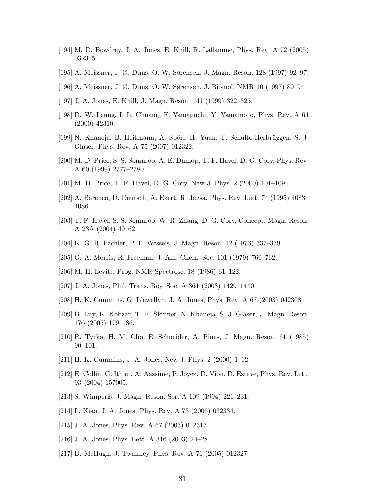- [194] M. D. Bowdrey, J. A. Jones, E. Knill, R. Laflamme, Phys. Rev. A 72 (2005) 032315.
- [195] A. Meissner, J. Ø. Duus, O. W. Sørensen, J. Magn. Reson. 128 (1997) 92–97.
- [196] A. Meissner, J. Ø. Duus, O. W. Sørensen, J. Biomol. NMR 10 (1997) 89–94.
- [197] J. A. Jones, E. Knill, J. Magn. Reson. 141 (1999) 322–325.
- [198] D. W. Leung, I. L. Chuang, F. Yamaguchi, Y. Yamamoto, Phys. Rev. A 61 (2000) 42310.
- [199] N. Khaneja, B. Heitmann, A. Spörl, H. Yuan, T. Schulte-Herbrüggen, S. J. Glaser, Phys. Rev. A 75 (2007) 012322.
- [200] M. D. Price, S. S. Somaroo, A. E. Dunlop, T. F. Havel, D. G. Cory, Phys. Rev. A 60 (1999) 2777–2780.
- [201] M. D. Price, T. F. Havel, D. G. Cory, New J. Phys. 2 (2000) 101–109.
- [202] A. Barenco, D. Deutsch, A. Ekert, R. Jozsa, Phys. Rev. Lett. 74 (1995) 4083– 4086.
- [203] T. F. Havel, S. S. Somaroo, W. R. Zhang, D. G. Cory, Concept. Magn. Reson. A 23A (2004) 49–62.
- [204] K. G. R. Pachler, P. L. Wessels, J. Magn. Reson. 12 (1973) 337–339.
- [205] G. A. Morris, R. Freeman, J. Am. Chem. Soc. 101 (1979) 760–762.
- [206] M. H. Levitt, Prog. NMR Spectrosc. 18 (1986) 61–122.
- [207] J. A. Jones, Phil. Trans. Roy. Soc. A 361 (2003) 1429–1440.
- [208] H. K. Cummins, G. Llewellyn, J. A. Jones, Phys. Rev. A 67 (2003) 042308.
- [209] B. Luy, K. Kobzar, T. E. Skinner, N. Khaneja, S. J. Glaser, J. Magn. Reson. 176 (2005) 179–186.
- [210] R. Tycko, H. M. Cho, E. Schneider, A. Pines, J. Magn. Reson. 61 (1985) 90–101.
- [211] H. K. Cummins, J. A. Jones, New J. Phys. 2 (2000) 1–12.
- [212] E. Collin, G. Ithier, A. Aassime, P. Joyez, D. Vion, D. Esteve, Phys. Rev. Lett. 93 (2004) 157005.
- [213] S. Wimperis, J. Magn. Reson. Ser. A 109 (1994) 221–231.
- [214] L. Xiao, J. A. Jones, Phys. Rev. A 73 (2006) 032334.
- [215] J. A. Jones, Phys. Rev. A 67 (2003) 012317.
- [216] J. A. Jones, Phys. Lett. A 316 (2003) 24–28.
- [217] D. McHugh, J. Twamley, Phys. Rev. A 71 (2005) 012327.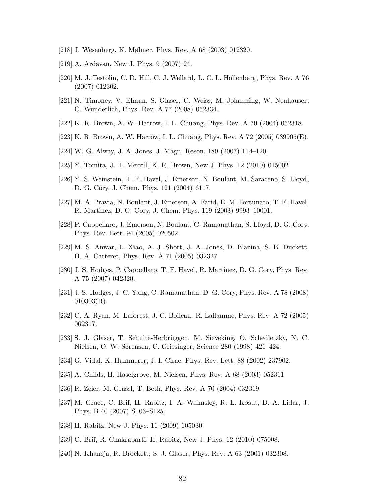- [218] J. Wesenberg, K. Mølmer, Phys. Rev. A 68 (2003) 012320.
- [219] A. Ardavan, New J. Phys. 9 (2007) 24.
- [220] M. J. Testolin, C. D. Hill, C. J. Wellard, L. C. L. Hollenberg, Phys. Rev. A 76 (2007) 012302.
- [221] N. Timoney, V. Elman, S. Glaser, C. Weiss, M. Johanning, W. Neuhauser, C. Wunderlich, Phys. Rev. A 77 (2008) 052334.
- [222] K. R. Brown, A. W. Harrow, I. L. Chuang, Phys. Rev. A 70 (2004) 052318.
- [223] K. R. Brown, A. W. Harrow, I. L. Chuang, Phys. Rev. A 72 (2005) 039905(E).
- [224] W. G. Alway, J. A. Jones, J. Magn. Reson. 189 (2007) 114–120.
- [225] Y. Tomita, J. T. Merrill, K. R. Brown, New J. Phys. 12 (2010) 015002.
- [226] Y. S. Weinstein, T. F. Havel, J. Emerson, N. Boulant, M. Saraceno, S. Lloyd, D. G. Cory, J. Chem. Phys. 121 (2004) 6117.
- [227] M. A. Pravia, N. Boulant, J. Emerson, A. Farid, E. M. Fortunato, T. F. Havel, R. Martinez, D. G. Cory, J. Chem. Phys. 119 (2003) 9993–10001.
- [228] P. Cappellaro, J. Emerson, N. Boulant, C. Ramanathan, S. Lloyd, D. G. Cory, Phys. Rev. Lett. 94 (2005) 020502.
- [229] M. S. Anwar, L. Xiao, A. J. Short, J. A. Jones, D. Blazina, S. B. Duckett, H. A. Carteret, Phys. Rev. A 71 (2005) 032327.
- [230] J. S. Hodges, P. Cappellaro, T. F. Havel, R. Martinez, D. G. Cory, Phys. Rev. A 75 (2007) 042320.
- [231] J. S. Hodges, J. C. Yang, C. Ramanathan, D. G. Cory, Phys. Rev. A 78 (2008)  $010303(R)$ .
- [232] C. A. Ryan, M. Laforest, J. C. Boileau, R. Laflamme, Phys. Rev. A 72 (2005) 062317.
- [233] S. J. Glaser, T. Schulte-Herbrüggen, M. Sieveking, O. Schedletzky, N. C. Nielsen, O. W. Sørensen, C. Griesinger, Science 280 (1998) 421–424.
- [234] G. Vidal, K. Hammerer, J. I. Cirac, Phys. Rev. Lett. 88 (2002) 237902.
- [235] A. Childs, H. Haselgrove, M. Nielsen, Phys. Rev. A 68 (2003) 052311.
- [236] R. Zeier, M. Grassl, T. Beth, Phys. Rev. A 70 (2004) 032319.
- [237] M. Grace, C. Brif, H. Rabitz, I. A. Walmsley, R. L. Kosut, D. A. Lidar, J. Phys. B 40 (2007) S103–S125.
- [238] H. Rabitz, New J. Phys. 11 (2009) 105030.
- [239] C. Brif, R. Chakrabarti, H. Rabitz, New J. Phys. 12 (2010) 075008.
- [240] N. Khaneja, R. Brockett, S. J. Glaser, Phys. Rev. A 63 (2001) 032308.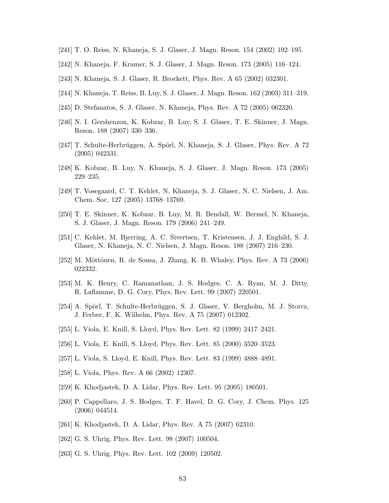- [241] T. O. Reiss, N. Khaneja, S. J. Glaser, J. Magn. Reson. 154 (2002) 192–195.
- [242] N. Khaneja, F. Kramer, S. J. Glaser, J. Magn. Reson. 173 (2005) 116–124.
- [243] N. Khaneja, S. J. Glaser, R. Brockett, Phys. Rev. A 65 (2002) 032301.
- [244] N. Khaneja, T. Reiss, B. Luy, S. J. Glaser, J. Magn. Reson. 162 (2003) 311–319.
- [245] D. Stefanatos, S. J. Glaser, N. Khaneja, Phys. Rev. A 72 (2005) 062320.
- [246] N. I. Gershenzon, K. Kobzar, B. Luy, S. J. Glaser, T. E. Skinner, J. Magn. Reson. 188 (2007) 330–336.
- $[247]$  T. Schulte-Herbrüggen, A. Spörl, N. Khaneja, S. J. Glaser, Phys. Rev. A 72 (2005) 042331.
- [248] K. Kobzar, B. Luy, N. Khaneja, S. J. Glaser, J. Magn. Reson. 173 (2005) 229–235.
- [249] T. Vosegaard, C. T. Kehlet, N. Khaneja, S. J. Glaser, N. C. Nielsen, J. Am. Chem. Soc. 127 (2005) 13768–13769.
- [250] T. E. Skinner, K. Kobzar, B. Luy, M. R. Bendall, W. Bermel, N. Khaneja, S. J. Glaser, J. Magn. Reson. 179 (2006) 241–249.
- [251] C. Kehlet, M. Bjerring, A. C. Sivertsen, T. Kristensen, J. J. Enghild, S. J. Glaser, N. Khaneja, N. C. Nielsen, J. Magn. Reson. 188 (2007) 216–230.
- $[252]$  M. Möttönen, R. de Sousa, J. Zhang, K. B. Whaley, Phys. Rev. A 73 (2006) 022332.
- [253] M. K. Henry, C. Ramanathan, J. S. Hodges, C. A. Ryan, M. J. Ditty, R. Laflamme, D. G. Cory, Phys. Rev. Lett. 99 (2007) 220501.
- [254] A. Spörl, T. Schulte-Herbrüggen, S. J. Glaser, V. Bergholm, M. J. Storcz, J. Ferber, F. K. Wilhelm, Phys. Rev. A 75 (2007) 012302.
- [255] L. Viola, E. Knill, S. Lloyd, Phys. Rev. Lett. 82 (1999) 2417–2421.
- [256] L. Viola, E. Knill, S. Lloyd, Phys. Rev. Lett. 85 (2000) 3520–3523.
- [257] L. Viola, S. Lloyd, E. Knill, Phys. Rev. Lett. 83 (1999) 4888–4891.
- [258] L. Viola, Phys. Rev. A 66 (2002) 12307.
- [259] K. Khodjasteh, D. A. Lidar, Phys. Rev. Lett. 95 (2005) 180501.
- [260] P. Cappellaro, J. S. Hodges, T. F. Havel, D. G. Cory, J. Chem. Phys. 125 (2006) 044514.
- [261] K. Khodjasteh, D. A. Lidar, Phys. Rev. A 75 (2007) 62310.
- [262] G. S. Uhrig, Phys. Rev. Lett. 98 (2007) 100504.
- [263] G. S. Uhrig, Phys. Rev. Lett. 102 (2009) 120502.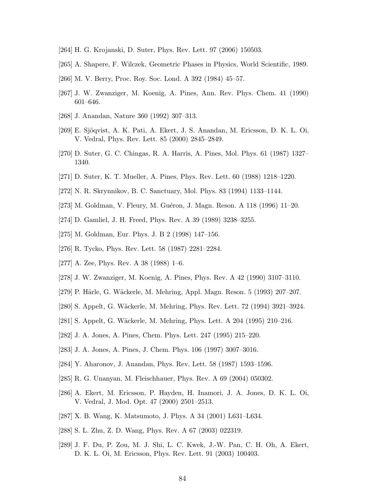- [264] H. G. Krojanski, D. Suter, Phys. Rev. Lett. 97 (2006) 150503.
- [265] A. Shapere, F. Wilczek, Geometric Phases in Physics, World Scientific, 1989.
- [266] M. V. Berry, Proc. Roy. Soc. Lond. A 392 (1984) 45–57.
- [267] J. W. Zwanziger, M. Koenig, A. Pines, Ann. Rev. Phys. Chem. 41 (1990) 601–646.
- [268] J. Anandan, Nature 360 (1992) 307–313.
- [269] E. Sjöqvist, A. K. Pati, A. Ekert, J. S. Anandan, M. Ericsson, D. K. L. Oi, V. Vedral, Phys. Rev. Lett. 85 (2000) 2845–2849.
- [270] D. Suter, G. C. Chingas, R. A. Harris, A. Pines, Mol. Phys. 61 (1987) 1327– 1340.
- [271] D. Suter, K. T. Mueller, A. Pines, Phys. Rev. Lett. 60 (1988) 1218–1220.
- [272] N. R. Skrynnikov, B. C. Sanctuary, Mol. Phys. 83 (1994) 1133–1144.
- [273] M. Goldman, V. Fleury, M. Guéron, J. Magn. Reson. A 118 (1996) 11–20.
- [274] D. Gamliel, J. H. Freed, Phys. Rev. A 39 (1989) 3238–3255.
- [275] M. Goldman, Eur. Phys. J. B 2 (1998) 147–156.
- [276] R. Tycko, Phys. Rev. Lett. 58 (1987) 2281–2284.
- [277] A. Zee, Phys. Rev. A 38 (1988) 1–6.
- [278] J. W. Zwanziger, M. Koenig, A. Pines, Phys. Rev. A 42 (1990) 3107–3110.
- [279] P. Härle, G. Wäckerle, M. Mehring, Appl. Magn. Reson. 5 (1993) 207–207.
- [280] S. Appelt, G. Wäckerle, M. Mehring, Phys. Rev. Lett. 72 (1994) 3921–3924.
- [281] S. Appelt, G. Wäckerle, M. Mehring, Phys. Lett. A 204 (1995) 210-216.
- [282] J. A. Jones, A. Pines, Chem. Phys. Lett. 247 (1995) 215–220.
- [283] J. A. Jones, A. Pines, J. Chem. Phys. 106 (1997) 3007–3016.
- [284] Y. Aharonov, J. Anandan, Phys. Rev. Lett. 58 (1987) 1593–1596.
- [285] R. G. Unanyan, M. Fleischhauer, Phys. Rev. A 69 (2004) 050302.
- [286] A. Ekert, M. Ericsson, P. Hayden, H. Inamori, J. A. Jones, D. K. L. Oi, V. Vedral, J. Mod. Opt. 47 (2000) 2501–2513.
- [287] X. B. Wang, K. Matsumoto, J. Phys. A 34 (2001) L631–L634.
- [288] S. L. Zhu, Z. D. Wang, Phys. Rev. A 67 (2003) 022319.
- [289] J. F. Du, P. Zou, M. J. Shi, L. C. Kwek, J.-W. Pan, C. H. Oh, A. Ekert, D. K. L. Oi, M. Ericsson, Phys. Rev. Lett. 91 (2003) 100403.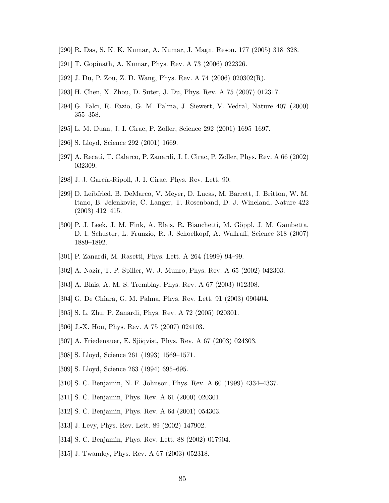- [290] R. Das, S. K. K. Kumar, A. Kumar, J. Magn. Reson. 177 (2005) 318–328.
- [291] T. Gopinath, A. Kumar, Phys. Rev. A 73 (2006) 022326.
- [292] J. Du, P. Zou, Z. D. Wang, Phys. Rev. A 74 (2006) 020302(R).
- [293] H. Chen, X. Zhou, D. Suter, J. Du, Phys. Rev. A 75 (2007) 012317.
- [294] G. Falci, R. Fazio, G. M. Palma, J. Siewert, V. Vedral, Nature 407 (2000) 355–358.
- [295] L. M. Duan, J. I. Cirac, P. Zoller, Science 292 (2001) 1695–1697.
- [296] S. Lloyd, Science 292 (2001) 1669.
- [297] A. Recati, T. Calarco, P. Zanardi, J. I. Cirac, P. Zoller, Phys. Rev. A 66 (2002) 032309.
- [298] J. J. García-Ripoll, J. I. Cirac, Phys. Rev. Lett. 90.
- [299] D. Leibfried, B. DeMarco, V. Meyer, D. Lucas, M. Barrett, J. Britton, W. M. Itano, B. Jelenkovic, C. Langer, T. Rosenband, D. J. Wineland, Nature 422 (2003) 412–415.
- [300] P. J. Leek, J. M. Fink, A. Blais, R. Bianchetti, M. Göppl, J. M. Gambetta, D. I. Schuster, L. Frunzio, R. J. Schoelkopf, A. Wallraff, Science 318 (2007) 1889–1892.
- [301] P. Zanardi, M. Rasetti, Phys. Lett. A 264 (1999) 94–99.
- [302] A. Nazir, T. P. Spiller, W. J. Munro, Phys. Rev. A 65 (2002) 042303.
- [303] A. Blais, A. M. S. Tremblay, Phys. Rev. A 67 (2003) 012308.
- [304] G. De Chiara, G. M. Palma, Phys. Rev. Lett. 91 (2003) 090404.
- [305] S. L. Zhu, P. Zanardi, Phys. Rev. A 72 (2005) 020301.
- [306] J.-X. Hou, Phys. Rev. A 75 (2007) 024103.
- [307] A. Friedenauer, E. Sjöqvist, Phys. Rev. A 67 (2003) 024303.
- [308] S. Lloyd, Science 261 (1993) 1569–1571.
- [309] S. Lloyd, Science 263 (1994) 695–695.
- [310] S. C. Benjamin, N. F. Johnson, Phys. Rev. A 60 (1999) 4334–4337.
- [311] S. C. Benjamin, Phys. Rev. A 61 (2000) 020301.
- [312] S. C. Benjamin, Phys. Rev. A 64 (2001) 054303.
- [313] J. Levy, Phys. Rev. Lett. 89 (2002) 147902.
- [314] S. C. Benjamin, Phys. Rev. Lett. 88 (2002) 017904.
- [315] J. Twamley, Phys. Rev. A 67 (2003) 052318.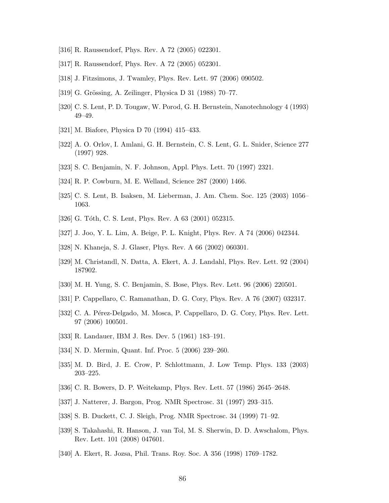- [316] R. Raussendorf, Phys. Rev. A 72 (2005) 022301.
- [317] R. Raussendorf, Phys. Rev. A 72 (2005) 052301.
- [318] J. Fitzsimons, J. Twamley, Phys. Rev. Lett. 97 (2006) 090502.
- [319] G. Grössing, A. Zeilinger, Physica D 31 (1988) 70–77.
- [320] C. S. Lent, P. D. Tougaw, W. Porod, G. H. Bernstein, Nanotechnology 4 (1993) 49–49.
- [321] M. Biafore, Physica D 70 (1994) 415–433.
- [322] A. O. Orlov, I. Amlani, G. H. Bernstein, C. S. Lent, G. L. Snider, Science 277 (1997) 928.
- [323] S. C. Benjamin, N. F. Johnson, Appl. Phys. Lett. 70 (1997) 2321.
- [324] R. P. Cowburn, M. E. Welland, Science 287 (2000) 1466.
- [325] C. S. Lent, B. Isaksen, M. Lieberman, J. Am. Chem. Soc. 125 (2003) 1056– 1063.
- [326] G. Tóth, C. S. Lent, Phys. Rev. A 63 (2001) 052315.
- [327] J. Joo, Y. L. Lim, A. Beige, P. L. Knight, Phys. Rev. A 74 (2006) 042344.
- [328] N. Khaneja, S. J. Glaser, Phys. Rev. A 66 (2002) 060301.
- [329] M. Christandl, N. Datta, A. Ekert, A. J. Landahl, Phys. Rev. Lett. 92 (2004) 187902.
- [330] M. H. Yung, S. C. Benjamin, S. Bose, Phys. Rev. Lett. 96 (2006) 220501.
- [331] P. Cappellaro, C. Ramanathan, D. G. Cory, Phys. Rev. A 76 (2007) 032317.
- [332] C. A. Pérez-Delgado, M. Mosca, P. Cappellaro, D. G. Cory, Phys. Rev. Lett. 97 (2006) 100501.
- [333] R. Landauer, IBM J. Res. Dev. 5 (1961) 183–191.
- [334] N. D. Mermin, Quant. Inf. Proc. 5 (2006) 239–260.
- [335] M. D. Bird, J. E. Crow, P. Schlottmann, J. Low Temp. Phys. 133 (2003) 203–225.
- [336] C. R. Bowers, D. P. Weitekamp, Phys. Rev. Lett. 57 (1986) 2645–2648.
- [337] J. Natterer, J. Bargon, Prog. NMR Spectrosc. 31 (1997) 293–315.
- [338] S. B. Duckett, C. J. Sleigh, Prog. NMR Spectrosc. 34 (1999) 71–92.
- [339] S. Takahashi, R. Hanson, J. van Tol, M. S. Sherwin, D. D. Awschalom, Phys. Rev. Lett. 101 (2008) 047601.
- [340] A. Ekert, R. Jozsa, Phil. Trans. Roy. Soc. A 356 (1998) 1769–1782.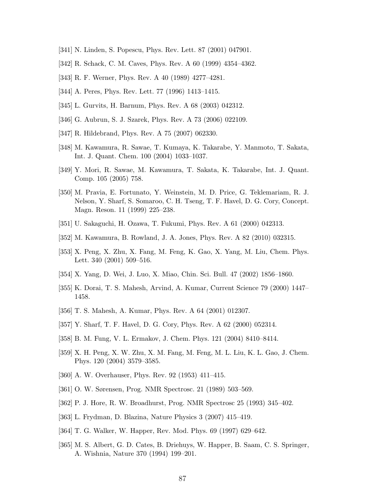- [341] N. Linden, S. Popescu, Phys. Rev. Lett. 87 (2001) 047901.
- [342] R. Schack, C. M. Caves, Phys. Rev. A 60 (1999) 4354–4362.
- [343] R. F. Werner, Phys. Rev. A 40 (1989) 4277–4281.
- [344] A. Peres, Phys. Rev. Lett. 77 (1996) 1413–1415.
- [345] L. Gurvits, H. Barnum, Phys. Rev. A 68 (2003) 042312.
- [346] G. Aubrun, S. J. Szarek, Phys. Rev. A 73 (2006) 022109.
- [347] R. Hildebrand, Phys. Rev. A 75 (2007) 062330.
- [348] M. Kawamura, R. Sawae, T. Kumaya, K. Takarabe, Y. Manmoto, T. Sakata, Int. J. Quant. Chem. 100 (2004) 1033–1037.
- [349] Y. Mori, R. Sawae, M. Kawamura, T. Sakata, K. Takarabe, Int. J. Quant. Comp. 105 (2005) 758.
- [350] M. Pravia, E. Fortunato, Y. Weinstein, M. D. Price, G. Teklemariam, R. J. Nelson, Y. Sharf, S. Somaroo, C. H. Tseng, T. F. Havel, D. G. Cory, Concept. Magn. Reson. 11 (1999) 225–238.
- [351] U. Sakaguchi, H. Ozawa, T. Fukumi, Phys. Rev. A 61 (2000) 042313.
- [352] M. Kawamura, B. Rowland, J. A. Jones, Phys. Rev. A 82 (2010) 032315.
- [353] X. Peng, X. Zhu, X. Fang, M. Feng, K. Gao, X. Yang, M. Liu, Chem. Phys. Lett. 340 (2001) 509–516.
- [354] X. Yang, D. Wei, J. Luo, X. Miao, Chin. Sci. Bull. 47 (2002) 1856–1860.
- [355] K. Dorai, T. S. Mahesh, Arvind, A. Kumar, Current Science 79 (2000) 1447– 1458.
- [356] T. S. Mahesh, A. Kumar, Phys. Rev. A 64 (2001) 012307.
- [357] Y. Sharf, T. F. Havel, D. G. Cory, Phys. Rev. A 62 (2000) 052314.
- [358] B. M. Fung, V. L. Ermakov, J. Chem. Phys. 121 (2004) 8410–8414.
- [359] X. H. Peng, X. W. Zhu, X. M. Fang, M. Feng, M. L. Liu, K. L. Gao, J. Chem. Phys. 120 (2004) 3579–3585.
- [360] A. W. Overhauser, Phys. Rev. 92 (1953) 411–415.
- [361] O. W. Sørensen, Prog. NMR Spectrosc. 21 (1989) 503–569.
- [362] P. J. Hore, R. W. Broadhurst, Prog. NMR Spectrosc 25 (1993) 345–402.
- [363] L. Frydman, D. Blazina, Nature Physics 3 (2007) 415–419.
- [364] T. G. Walker, W. Happer, Rev. Mod. Phys. 69 (1997) 629–642.
- [365] M. S. Albert, G. D. Cates, B. Driehuys, W. Happer, B. Saam, C. S. Springer, A. Wishnia, Nature 370 (1994) 199–201.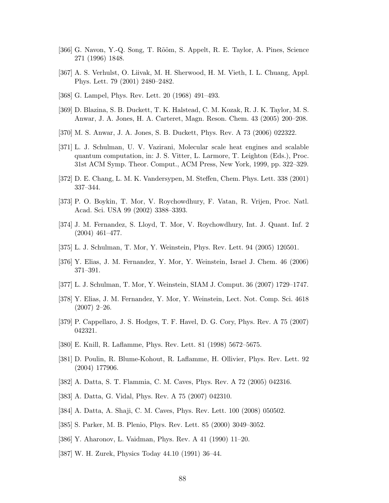- [366] G. Navon, Y.-Q. Song, T. Rõõm, S. Appelt, R. E. Taylor, A. Pines, Science 271 (1996) 1848.
- [367] A. S. Verhulst, O. Liivak, M. H. Sherwood, H. M. Vieth, I. L. Chuang, Appl. Phys. Lett. 79 (2001) 2480–2482.
- [368] G. Lampel, Phys. Rev. Lett. 20 (1968) 491–493.
- [369] D. Blazina, S. B. Duckett, T. K. Halstead, C. M. Kozak, R. J. K. Taylor, M. S. Anwar, J. A. Jones, H. A. Carteret, Magn. Reson. Chem. 43 (2005) 200–208.
- [370] M. S. Anwar, J. A. Jones, S. B. Duckett, Phys. Rev. A 73 (2006) 022322.
- [371] L. J. Schulman, U. V. Vazirani, Molecular scale heat engines and scalable quantum computation, in: J. S. Vitter, L. Larmore, T. Leighton (Eds.), Proc. 31st ACM Symp. Theor. Comput., ACM Press, New York, 1999, pp. 322–329.
- [372] D. E. Chang, L. M. K. Vandersypen, M. Steffen, Chem. Phys. Lett. 338 (2001) 337–344.
- [373] P. O. Boykin, T. Mor, V. Roychowdhury, F. Vatan, R. Vrijen, Proc. Natl. Acad. Sci. USA 99 (2002) 3388–3393.
- [374] J. M. Fernandez, S. Lloyd, T. Mor, V. Roychowdhury, Int. J. Quant. Inf. 2 (2004) 461–477.
- [375] L. J. Schulman, T. Mor, Y. Weinstein, Phys. Rev. Lett. 94 (2005) 120501.
- [376] Y. Elias, J. M. Fernandez, Y. Mor, Y. Weinstein, Israel J. Chem. 46 (2006) 371–391.
- [377] L. J. Schulman, T. Mor, Y. Weinstein, SIAM J. Comput. 36 (2007) 1729–1747.
- [378] Y. Elias, J. M. Fernandez, Y. Mor, Y. Weinstein, Lect. Not. Comp. Sci. 4618 (2007) 2–26.
- [379] P. Cappellaro, J. S. Hodges, T. F. Havel, D. G. Cory, Phys. Rev. A 75 (2007) 042321.
- [380] E. Knill, R. Laflamme, Phys. Rev. Lett. 81 (1998) 5672–5675.
- [381] D. Poulin, R. Blume-Kohout, R. Laflamme, H. Ollivier, Phys. Rev. Lett. 92 (2004) 177906.
- [382] A. Datta, S. T. Flammia, C. M. Caves, Phys. Rev. A 72 (2005) 042316.
- [383] A. Datta, G. Vidal, Phys. Rev. A 75 (2007) 042310.
- [384] A. Datta, A. Shaji, C. M. Caves, Phys. Rev. Lett. 100 (2008) 050502.
- [385] S. Parker, M. B. Plenio, Phys. Rev. Lett. 85 (2000) 3049–3052.
- [386] Y. Aharonov, L. Vaidman, Phys. Rev. A 41 (1990) 11–20.
- [387] W. H. Zurek, Physics Today 44.10 (1991) 36–44.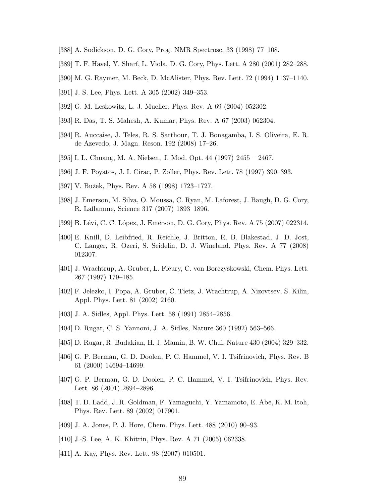- [388] A. Sodickson, D. G. Cory, Prog. NMR Spectrosc. 33 (1998) 77–108.
- [389] T. F. Havel, Y. Sharf, L. Viola, D. G. Cory, Phys. Lett. A 280 (2001) 282–288.
- [390] M. G. Raymer, M. Beck, D. McAlister, Phys. Rev. Lett. 72 (1994) 1137–1140.
- [391] J. S. Lee, Phys. Lett. A 305 (2002) 349–353.
- [392] G. M. Leskowitz, L. J. Mueller, Phys. Rev. A 69 (2004) 052302.
- [393] R. Das, T. S. Mahesh, A. Kumar, Phys. Rev. A 67 (2003) 062304.
- [394] R. Auccaise, J. Teles, R. S. Sarthour, T. J. Bonagamba, I. S. Oliveira, E. R. de Azevedo, J. Magn. Reson. 192 (2008) 17–26.
- [395] I. L. Chuang, M. A. Nielsen, J. Mod. Opt. 44 (1997) 2455 2467.
- [396] J. F. Poyatos, J. I. Cirac, P. Zoller, Phys. Rev. Lett. 78 (1997) 390–393.
- [397] V. Bužek, Phys. Rev. A 58 (1998) 1723–1727.
- [398] J. Emerson, M. Silva, O. Moussa, C. Ryan, M. Laforest, J. Baugh, D. G. Cory, R. Laflamme, Science 317 (2007) 1893–1896.
- [399] B. Lévi, C. C. López, J. Emerson, D. G. Cory, Phys. Rev. A 75 (2007) 022314.
- [400] E. Knill, D. Leibfried, R. Reichle, J. Britton, R. B. Blakestad, J. D. Jost, C. Langer, R. Ozeri, S. Seidelin, D. J. Wineland, Phys. Rev. A 77 (2008) 012307.
- [401] J. Wrachtrup, A. Gruber, L. Fleury, C. von Borczyskowski, Chem. Phys. Lett. 267 (1997) 179–185.
- [402] F. Jelezko, I. Popa, A. Gruber, C. Tietz, J. Wrachtrup, A. Nizovtsev, S. Kilin, Appl. Phys. Lett. 81 (2002) 2160.
- [403] J. A. Sidles, Appl. Phys. Lett. 58 (1991) 2854–2856.
- [404] D. Rugar, C. S. Yannoni, J. A. Sidles, Nature 360 (1992) 563–566.
- [405] D. Rugar, R. Budakian, H. J. Mamin, B. W. Chui, Nature 430 (2004) 329–332.
- [406] G. P. Berman, G. D. Doolen, P. C. Hammel, V. I. Tsifrinovich, Phys. Rev. B 61 (2000) 14694–14699.
- [407] G. P. Berman, G. D. Doolen, P. C. Hammel, V. I. Tsifrinovich, Phys. Rev. Lett. 86 (2001) 2894–2896.
- [408] T. D. Ladd, J. R. Goldman, F. Yamaguchi, Y. Yamamoto, E. Abe, K. M. Itoh, Phys. Rev. Lett. 89 (2002) 017901.
- [409] J. A. Jones, P. J. Hore, Chem. Phys. Lett. 488 (2010) 90–93.
- [410] J.-S. Lee, A. K. Khitrin, Phys. Rev. A 71 (2005) 062338.
- [411] A. Kay, Phys. Rev. Lett. 98 (2007) 010501.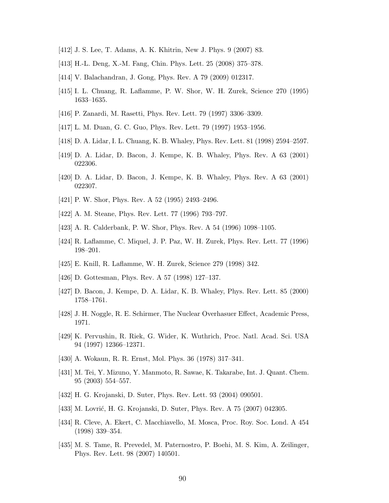- [412] J. S. Lee, T. Adams, A. K. Khitrin, New J. Phys. 9 (2007) 83.
- [413] H.-L. Deng, X.-M. Fang, Chin. Phys. Lett. 25 (2008) 375–378.
- [414] V. Balachandran, J. Gong, Phys. Rev. A 79 (2009) 012317.
- [415] I. L. Chuang, R. Laflamme, P. W. Shor, W. H. Zurek, Science 270 (1995) 1633–1635.
- [416] P. Zanardi, M. Rasetti, Phys. Rev. Lett. 79 (1997) 3306–3309.
- [417] L. M. Duan, G. C. Guo, Phys. Rev. Lett. 79 (1997) 1953–1956.
- [418] D. A. Lidar, I. L. Chuang, K. B. Whaley, Phys. Rev. Lett. 81 (1998) 2594–2597.
- [419] D. A. Lidar, D. Bacon, J. Kempe, K. B. Whaley, Phys. Rev. A 63 (2001) 022306.
- [420] D. A. Lidar, D. Bacon, J. Kempe, K. B. Whaley, Phys. Rev. A 63 (2001) 022307.
- [421] P. W. Shor, Phys. Rev. A 52 (1995) 2493-2496.
- [422] A. M. Steane, Phys. Rev. Lett. 77 (1996) 793–797.
- [423] A. R. Calderbank, P. W. Shor, Phys. Rev. A 54 (1996) 1098–1105.
- [424] R. Laflamme, C. Miquel, J. P. Paz, W. H. Zurek, Phys. Rev. Lett. 77 (1996) 198–201.
- [425] E. Knill, R. Laflamme, W. H. Zurek, Science 279 (1998) 342.
- [426] D. Gottesman, Phys. Rev. A 57 (1998) 127–137.
- [427] D. Bacon, J. Kempe, D. A. Lidar, K. B. Whaley, Phys. Rev. Lett. 85 (2000) 1758–1761.
- [428] J. H. Noggle, R. E. Schirmer, The Nuclear Overhasuer Effect, Academic Press, 1971.
- [429] K. Pervushin, R. Riek, G. Wider, K. Wuthrich, Proc. Natl. Acad. Sci. USA 94 (1997) 12366–12371.
- [430] A. Wokaun, R. R. Ernst, Mol. Phys. 36 (1978) 317–341.
- [431] M. Tei, Y. Mizuno, Y. Manmoto, R. Sawae, K. Takarabe, Int. J. Quant. Chem. 95 (2003) 554–557.
- [432] H. G. Krojanski, D. Suter, Phys. Rev. Lett. 93 (2004) 090501.
- [433] M. Lovrić, H. G. Krojanski, D. Suter, Phys. Rev. A 75 (2007) 042305.
- [434] R. Cleve, A. Ekert, C. Macchiavello, M. Mosca, Proc. Roy. Soc. Lond. A 454 (1998) 339–354.
- [435] M. S. Tame, R. Prevedel, M. Paternostro, P. Boehi, M. S. Kim, A. Zeilinger, Phys. Rev. Lett. 98 (2007) 140501.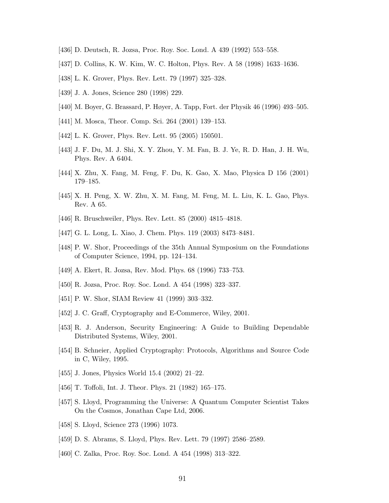- [436] D. Deutsch, R. Jozsa, Proc. Roy. Soc. Lond. A 439 (1992) 553–558.
- [437] D. Collins, K. W. Kim, W. C. Holton, Phys. Rev. A 58 (1998) 1633–1636.
- [438] L. K. Grover, Phys. Rev. Lett. 79 (1997) 325–328.
- [439] J. A. Jones, Science 280 (1998) 229.
- [440] M. Boyer, G. Brassard, P. Høyer, A. Tapp, Fort. der Physik 46 (1996) 493–505.
- [441] M. Mosca, Theor. Comp. Sci. 264 (2001) 139–153.
- [442] L. K. Grover, Phys. Rev. Lett. 95 (2005) 150501.
- [443] J. F. Du, M. J. Shi, X. Y. Zhou, Y. M. Fan, B. J. Ye, R. D. Han, J. H. Wu, Phys. Rev. A 6404.
- [444] X. Zhu, X. Fang, M. Feng, F. Du, K. Gao, X. Mao, Physica D 156 (2001) 179–185.
- [445] X. H. Peng, X. W. Zhu, X. M. Fang, M. Feng, M. L. Liu, K. L. Gao, Phys. Rev. A 65.
- [446] R. Bruschweiler, Phys. Rev. Lett. 85 (2000) 4815–4818.
- [447] G. L. Long, L. Xiao, J. Chem. Phys. 119 (2003) 8473–8481.
- [448] P. W. Shor, Proceedings of the 35th Annual Symposium on the Foundations of Computer Science, 1994, pp. 124–134.
- [449] A. Ekert, R. Jozsa, Rev. Mod. Phys. 68 (1996) 733–753.
- [450] R. Jozsa, Proc. Roy. Soc. Lond. A 454 (1998) 323–337.
- [451] P. W. Shor, SIAM Review 41 (1999) 303–332.
- [452] J. C. Graff, Cryptography and E-Commerce, Wiley, 2001.
- [453] R. J. Anderson, Security Engineering: A Guide to Building Dependable Distributed Systems, Wiley, 2001.
- [454] B. Schneier, Applied Cryptography: Protocols, Algorithms and Source Code in C, Wiley, 1995.
- [455] J. Jones, Physics World 15.4 (2002) 21–22.
- [456] T. Toffoli, Int. J. Theor. Phys. 21 (1982) 165–175.
- [457] S. Lloyd, Programming the Universe: A Quantum Computer Scientist Takes On the Cosmos, Jonathan Cape Ltd, 2006.
- [458] S. Lloyd, Science 273 (1996) 1073.
- [459] D. S. Abrams, S. Lloyd, Phys. Rev. Lett. 79 (1997) 2586–2589.
- [460] C. Zalka, Proc. Roy. Soc. Lond. A 454 (1998) 313–322.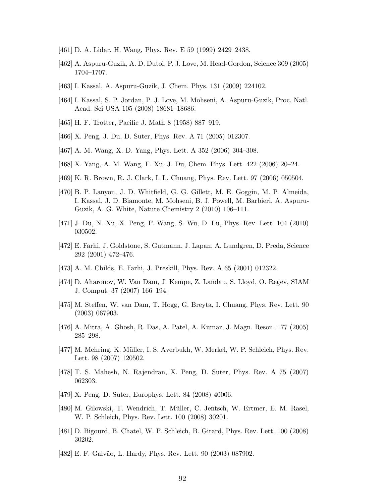- [461] D. A. Lidar, H. Wang, Phys. Rev. E 59 (1999) 2429–2438.
- [462] A. Aspuru-Guzik, A. D. Dutoi, P. J. Love, M. Head-Gordon, Science 309 (2005) 1704–1707.
- [463] I. Kassal, A. Aspuru-Guzik, J. Chem. Phys. 131 (2009) 224102.
- [464] I. Kassal, S. P. Jordan, P. J. Love, M. Mohseni, A. Aspuru-Guzik, Proc. Natl. Acad. Sci USA 105 (2008) 18681–18686.
- [465] H. F. Trotter, Pacific J. Math 8 (1958) 887–919.
- [466] X. Peng, J. Du, D. Suter, Phys. Rev. A 71 (2005) 012307.
- [467] A. M. Wang, X. D. Yang, Phys. Lett. A 352 (2006) 304–308.
- [468] X. Yang, A. M. Wang, F. Xu, J. Du, Chem. Phys. Lett. 422 (2006) 20–24.
- [469] K. R. Brown, R. J. Clark, I. L. Chuang, Phys. Rev. Lett. 97 (2006) 050504.
- [470] B. P. Lanyon, J. D. Whitfield, G. G. Gillett, M. E. Goggin, M. P. Almeida, I. Kassal, J. D. Biamonte, M. Mohseni, B. J. Powell, M. Barbieri, A. Aspuru-Guzik, A. G. White, Nature Chemistry 2 (2010) 106–111.
- [471] J. Du, N. Xu, X. Peng, P. Wang, S. Wu, D. Lu, Phys. Rev. Lett. 104 (2010) 030502.
- [472] E. Farhi, J. Goldstone, S. Gutmann, J. Lapan, A. Lundgren, D. Preda, Science 292 (2001) 472–476.
- [473] A. M. Childs, E. Farhi, J. Preskill, Phys. Rev. A 65 (2001) 012322.
- [474] D. Aharonov, W. Van Dam, J. Kempe, Z. Landau, S. Lloyd, O. Regev, SIAM J. Comput. 37 (2007) 166–194.
- [475] M. Steffen, W. van Dam, T. Hogg, G. Breyta, I. Chuang, Phys. Rev. Lett. 90 (2003) 067903.
- [476] A. Mitra, A. Ghosh, R. Das, A. Patel, A. Kumar, J. Magn. Reson. 177 (2005) 285–298.
- [477] M. Mehring, K. Müller, I. S. Averbukh, W. Merkel, W. P. Schleich, Phys. Rev. Lett. 98 (2007) 120502.
- [478] T. S. Mahesh, N. Rajendran, X. Peng, D. Suter, Phys. Rev. A 75 (2007) 062303.
- [479] X. Peng, D. Suter, Europhys. Lett. 84 (2008) 40006.
- [480] M. Gilowski, T. Wendrich, T. M¨uller, C. Jentsch, W. Ertmer, E. M. Rasel, W. P. Schleich, Phys. Rev. Lett. 100 (2008) 30201.
- [481] D. Bigourd, B. Chatel, W. P. Schleich, B. Girard, Phys. Rev. Lett. 100 (2008) 30202.
- [482] E. F. Galvão, L. Hardy, Phys. Rev. Lett. 90 (2003) 087902.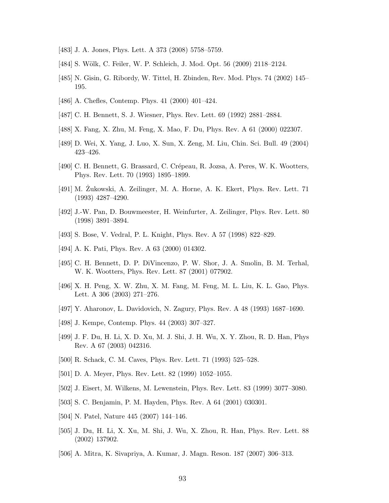- [483] J. A. Jones, Phys. Lett. A 373 (2008) 5758–5759.
- [484] S. Wölk, C. Feiler, W. P. Schleich, J. Mod. Opt. 56 (2009) 2118–2124.
- [485] N. Gisin, G. Ribordy, W. Tittel, H. Zbinden, Rev. Mod. Phys. 74 (2002) 145– 195.
- [486] A. Chefles, Contemp. Phys. 41 (2000) 401–424.
- [487] C. H. Bennett, S. J. Wiesner, Phys. Rev. Lett. 69 (1992) 2881–2884.
- [488] X. Fang, X. Zhu, M. Feng, X. Mao, F. Du, Phys. Rev. A 61 (2000) 022307.
- [489] D. Wei, X. Yang, J. Luo, X. Sun, X. Zeng, M. Liu, Chin. Sci. Bull. 49 (2004) 423–426.
- [490] C. H. Bennett, G. Brassard, C. Crépeau, R. Jozsa, A. Peres, W. K. Wootters, Phys. Rev. Lett. 70 (1993) 1895–1899.
- $[491]$  M. Zukowski, A. Zeilinger, M. A. Horne, A. K. Ekert, Phys. Rev. Lett. 71 (1993) 4287–4290.
- [492] J.-W. Pan, D. Bouwmeester, H. Weinfurter, A. Zeilinger, Phys. Rev. Lett. 80 (1998) 3891–3894.
- [493] S. Bose, V. Vedral, P. L. Knight, Phys. Rev. A 57 (1998) 822–829.
- [494] A. K. Pati, Phys. Rev. A 63 (2000) 014302.
- [495] C. H. Bennett, D. P. DiVincenzo, P. W. Shor, J. A. Smolin, B. M. Terhal, W. K. Wootters, Phys. Rev. Lett. 87 (2001) 077902.
- [496] X. H. Peng, X. W. Zhu, X. M. Fang, M. Feng, M. L. Liu, K. L. Gao, Phys. Lett. A 306 (2003) 271–276.
- [497] Y. Aharonov, L. Davidovich, N. Zagury, Phys. Rev. A 48 (1993) 1687–1690.
- [498] J. Kempe, Contemp. Phys. 44 (2003) 307–327.
- [499] J. F. Du, H. Li, X. D. Xu, M. J. Shi, J. H. Wu, X. Y. Zhou, R. D. Han, Phys Rev. A 67 (2003) 042316.
- [500] R. Schack, C. M. Caves, Phys. Rev. Lett. 71 (1993) 525–528.
- [501] D. A. Meyer, Phys. Rev. Lett. 82 (1999) 1052–1055.
- [502] J. Eisert, M. Wilkens, M. Lewenstein, Phys. Rev. Lett. 83 (1999) 3077–3080.
- [503] S. C. Benjamin, P. M. Hayden, Phys. Rev. A 64 (2001) 030301.
- [504] N. Patel, Nature 445 (2007) 144–146.
- [505] J. Du, H. Li, X. Xu, M. Shi, J. Wu, X. Zhou, R. Han, Phys. Rev. Lett. 88 (2002) 137902.
- [506] A. Mitra, K. Sivapriya, A. Kumar, J. Magn. Reson. 187 (2007) 306–313.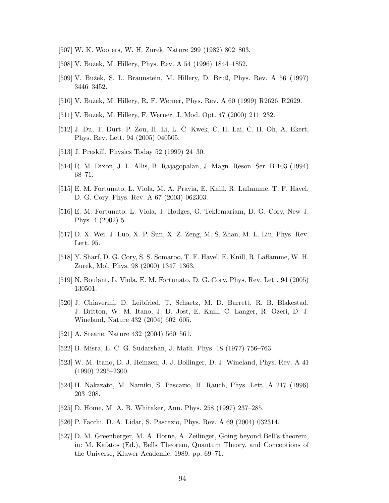- [507] W. K. Wooters, W. H. Zurek, Nature 299 (1982) 802–803.
- [508] V. Bužek, M. Hillery, Phys. Rev. A 54 (1996) 1844–1852.
- $[509]$  V. Bužek, S. L. Braunstein, M. Hillery, D. Bruß, Phys. Rev. A 56 (1997) 3446–3452.
- [510] V. Bužek, M. Hillery, R. F. Werner, Phys. Rev. A 60 (1999) R2626-R2629.
- [511] V. Bužek, M. Hillery, F. Werner, J. Mod. Opt. 47 (2000) 211–232.
- [512] J. Du, T. Durt, P. Zou, H. Li, L. C. Kwek, C. H. Lai, C. H. Oh, A. Ekert, Phys. Rev. Lett. 94 (2005) 040505.
- [513] J. Preskill, Physics Today 52 (1999) 24–30.
- [514] R. M. Dixon, J. L. Allis, B. Rajagopalan, J. Magn. Reson. Ser. B 103 (1994) 68–71.
- [515] E. M. Fortunato, L. Viola, M. A. Pravia, E. Knill, R. Laflamme, T. F. Havel, D. G. Cory, Phys. Rev. A 67 (2003) 062303.
- [516] E. M. Fortunato, L. Viola, J. Hodges, G. Teklemariam, D. G. Cory, New J. Phys. 4 (2002) 5.
- [517] D. X. Wei, J. Luo, X. P. Sun, X. Z. Zeng, M. S. Zhan, M. L. Liu, Phys. Rev. Lett. 95.
- [518] Y. Sharf, D. G. Cory, S. S. Somaroo, T. F. Havel, E. Knill, R. Laflamme, W. H. Zurek, Mol. Phys. 98 (2000) 1347–1363.
- [519] N. Boulant, L. Viola, E. M. Fortunato, D. G. Cory, Phys. Rev. Lett. 94 (2005) 130501.
- [520] J. Chiaverini, D. Leibfried, T. Schaetz, M. D. Barrett, R. B. Blakestad, J. Britton, W. M. Itano, J. D. Jost, E. Knill, C. Langer, R. Ozeri, D. J. Wineland, Nature 432 (2004) 602–605.
- [521] A. Steane, Nature 432 (2004) 560–561.
- [522] B. Misra, E. C. G. Sudarshan, J. Math. Phys. 18 (1977) 756–763.
- [523] W. M. Itano, D. J. Heinzen, J. J. Bollinger, D. J. Wineland, Phys. Rev. A 41 (1990) 2295–2300.
- [524] H. Nakazato, M. Namiki, S. Pascazio, H. Rauch, Phys. Lett. A 217 (1996) 203–208.
- [525] D. Home, M. A. B. Whitaker, Ann. Phys. 258 (1997) 237–285.
- [526] P. Facchi, D. A. Lidar, S. Pascazio, Phys. Rev. A 69 (2004) 032314.
- [527] D. M. Greenberger, M. A. Horne, A. Zeilinger, Going beyond Bell's theorem, in: M. Kafatos (Ed.), Bells Theorem, Quantum Theory, and Conceptions of the Universe, Kluwer Academic, 1989, pp. 69–71.